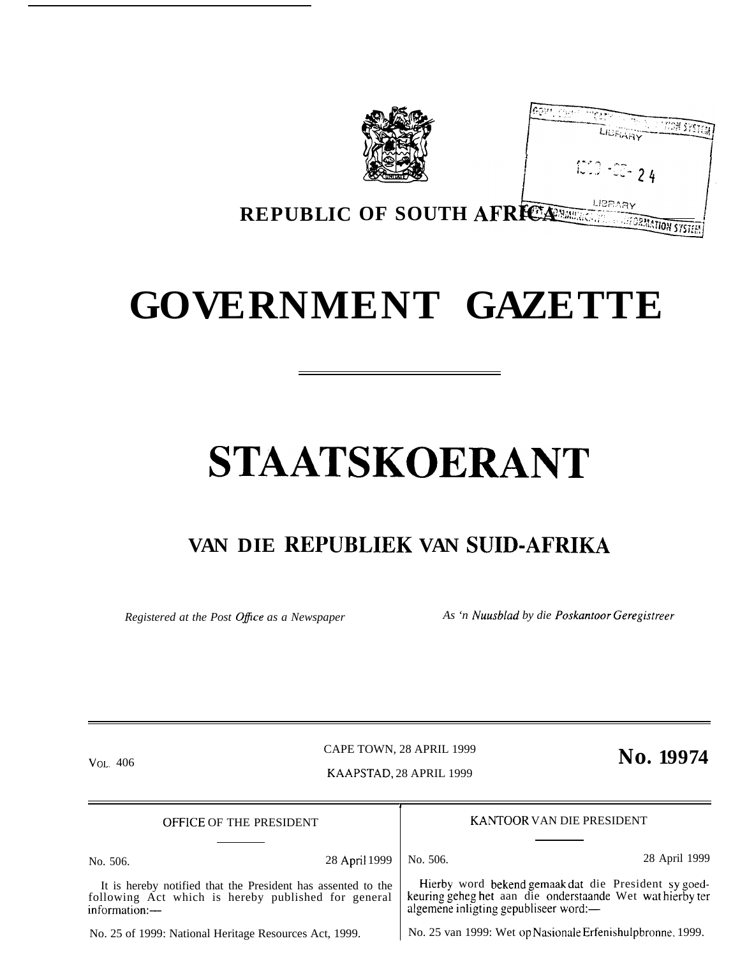

| <b>TELES CONSTRUCTION</b><br>LIBRIARY |  |
|---------------------------------------|--|
| $1 - 22 - 24$                         |  |
| LIBRARY<br><b>SERVICE AND STRUCKS</b> |  |

**REPUBLIC OF SOUTH EXAMATION SYST** 

# **GOVERNMENT GAZETTE**

# **STAATSKOERANT**

# **VAN DIE REPUBLIEK VAN SUID-AFRIKA**

*Registered at the Post O#ce as a Newspaper As 'n Nuusblad by die Poskantoor Geregistreer*

CAPE TOWN, 28 APRIL 1999

г

KAAPSTAD, 28 APRIL 1999

VOL. 406 **No. 19974** 

OFFICE OF THE PRESIDENT

No. 506. 28 April 1999

No. 506. 28 April 1999

It is hereby notified that the President has assented to the following Act which is hereby published for general information:—

No. 25 of 1999: National Heritage Resources Act, 1999.

keuring geheg het aan die onderstaande Wet wat hierby ter algemene inligting gepubliseer word:—

Hierby word bekend gemaak dat die President sy goed-

KANTOOR VAN DIE PRESIDENT

No. 25 van 1999: Wet op Nasionale Erfenishulpbronne. 1999.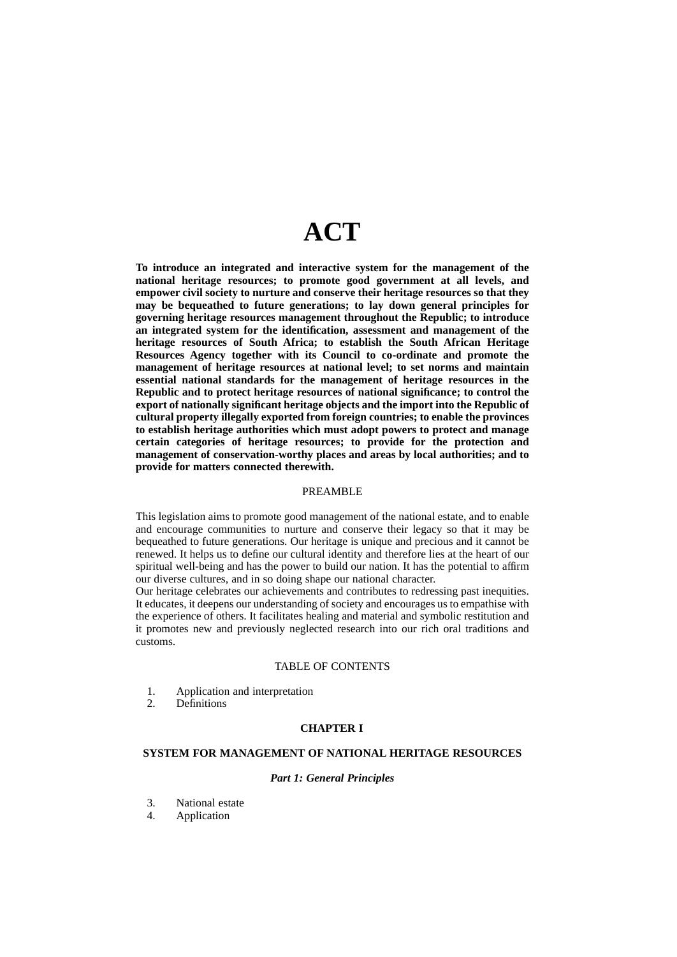# **ACT**

**To introduce an integrated and interactive system for the management of the national heritage resources; to promote good government at all levels, and empower civil society to nurture and conserve their heritage resources so that they may be bequeathed to future generations; to lay down general principles for governing heritage resources management throughout the Republic; to introduce an integrated system for the identification, assessment and management of the heritage resources of South Africa; to establish the South African Heritage Resources Agency together with its Council to co-ordinate and promote the management of heritage resources at national level; to set norms and maintain essential national standards for the management of heritage resources in the Republic and to protect heritage resources of national significance; to control the export of nationally significant heritage objects and the import into the Republic of cultural property illegally exported from foreign countries; to enable the provinces to establish heritage authorities which must adopt powers to protect and manage certain categories of heritage resources; to provide for the protection and management of conservation-worthy places and areas by local authorities; and to provide for matters connected therewith.**

# PREAMBLE

This legislation aims to promote good management of the national estate, and to enable and encourage communities to nurture and conserve their legacy so that it may be bequeathed to future generations. Our heritage is unique and precious and it cannot be renewed. It helps us to define our cultural identity and therefore lies at the heart of our spiritual well-being and has the power to build our nation. It has the potential to affirm our diverse cultures, and in so doing shape our national character.

Our heritage celebrates our achievements and contributes to redressing past inequities. It educates, it deepens our understanding of society and encourages us to empathise with the experience of others. It facilitates healing and material and symbolic restitution and it promotes new and previously neglected research into our rich oral traditions and customs.

# TABLE OF CONTENTS

- 1. Application and interpretation<br>2. Definitions
- **Definitions**

#### **CHAPTER I**

#### **SYSTEM FOR MANAGEMENT OF NATIONAL HERITAGE RESOURCES**

## *Part 1: General Principles*

- 3. National estate
- 4. Application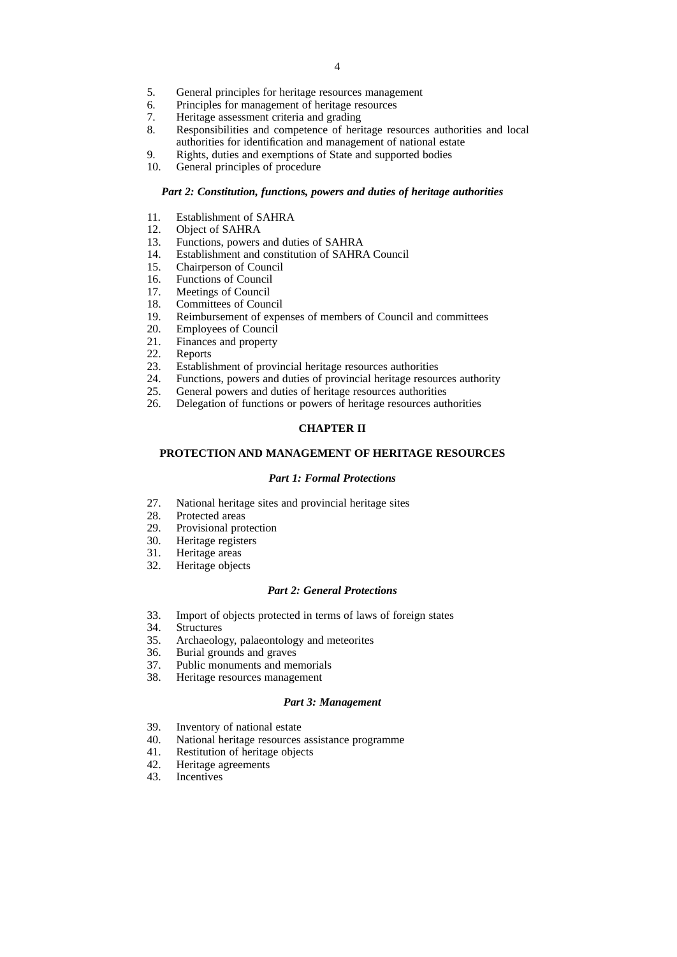- 5. General principles for heritage resources management
- 6. Principles for management of heritage resources
- 7. Heritage assessment criteria and grading
- 8. Responsibilities and competence of heritage resources authorities and local authorities for identification and management of national estate
- 9. Rights, duties and exemptions of State and supported bodies 10. General principles of procedure
- General principles of procedure

# *Part 2: Constitution, functions, powers and duties of heritage authorities*

- 11. Establishment of SAHRA
- 12. Object of SAHRA<br>13. Functions, powers
- Functions, powers and duties of SAHRA
- 14. Establishment and constitution of SAHRA Council<br>15. Chairperson of Council
- 15. Chairperson of Council<br>16. Functions of Council
- Functions of Council
- 17. Meetings of Council<br>18. Committees of Council
- 18. Committees of Council<br>19. Reimbursement of expe
- Reimbursement of expenses of members of Council and committees
- 20. Employees of Council<br>21. Finances and property
- 21. Finances and property<br>22. Reports
- Reports
- 23. Establishment of provincial heritage resources authorities
- 24. Functions, powers and duties of provincial heritage resources authority
- 25. General powers and duties of heritage resources authorities
- 26. Delegation of functions or powers of heritage resources authorities

# **CHAPTER II**

# **PROTECTION AND MANAGEMENT OF HERITAGE RESOURCES**

#### *Part 1: Formal Protections*

- 27. National heritage sites and provincial heritage sites
- 28. Protected areas<br>29. Provisional prot
- Provisional protection
- 30. Heritage registers<br>31 Heritage areas
- 31. Heritage areas<br>32. Heritage object
- Heritage objects

# *Part 2: General Protections*

- 33. Import of objects protected in terms of laws of foreign states
- 34. Structures
- 35. Archaeology, palaeontology and meteorites
- 36. Burial grounds and graves<br>37. Public monuments and mer-
- Public monuments and memorials
- 38. Heritage resources management

#### *Part 3: Management*

- 39. Inventory of national estate
- 40. National heritage resources assistance programme 41. Restitution of heritage objects
- Restitution of heritage objects
- 42. Heritage agreements
- 43. Incentives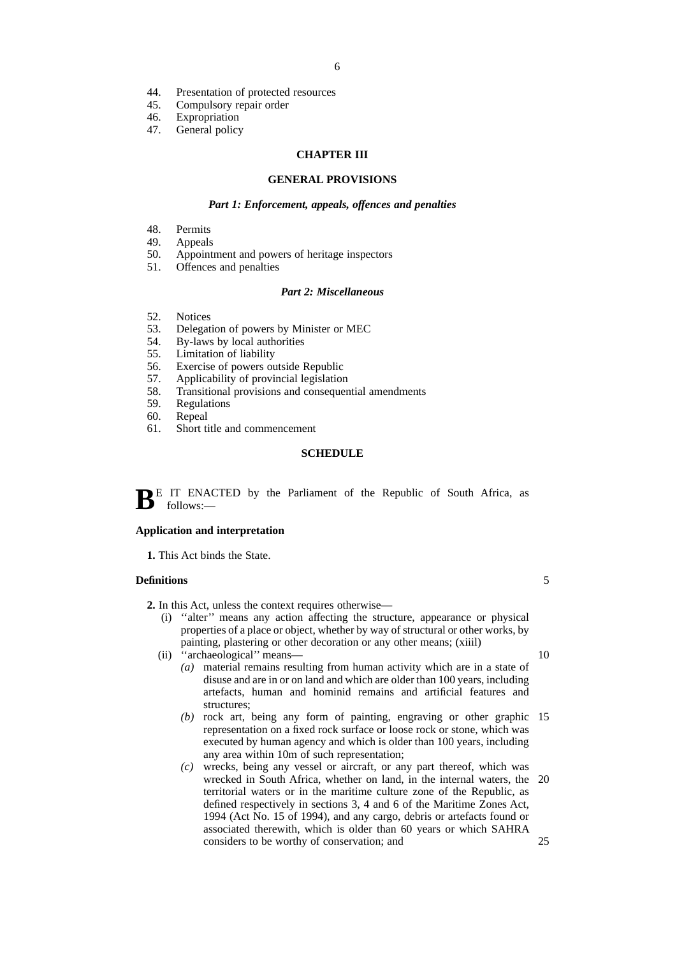- 44. Presentation of protected resources
- 45. Compulsory repair order
- 46. Expropriation
- 47. General policy

# **CHAPTER III**

# **GENERAL PROVISIONS**

#### *Part 1: Enforcement, appeals, offences and penalties*

- 48. Permits
- 49. Appeals
- 50. Appointment and powers of heritage inspectors
- 51. Offences and penalties

# *Part 2: Miscellaneous*

- 52. Notices
- 53. Delegation of powers by Minister or MEC
- 54. By-laws by local authorities
- 55. Limitation of liability
- 56. Exercise of powers outside Republic
- 57. Applicability of provincial legislation
- 58. Transitional provisions and consequential amendments
- 59. Regulations
- 60. Repeal
- 61. Short title and commencement

# **SCHEDULE**

**BE** IT ENACTED by the Parliament of the Republic of South Africa, as follows:—

#### **Application and interpretation**

**1.** This Act binds the State.

#### **Definitions**

- **2.** In this Act, unless the context requires otherwise—
	- (i) ''alter'' means any action affecting the structure, appearance or physical properties of a place or object, whether by way of structural or other works, by painting, plastering or other decoration or any other means; (xiiil)
	- (ii) ''archaeological'' means—
		- *(a)* material remains resulting from human activity which are in a state of disuse and are in or on land and which are older than 100 years, including artefacts, human and hominid remains and artificial features and structures;
		- *(b)* rock art, being any form of painting, engraving or other graphic 15 representation on a fixed rock surface or loose rock or stone, which was executed by human agency and which is older than 100 years, including any area within 10m of such representation;
		- *(c)* wrecks, being any vessel or aircraft, or any part thereof, which was wrecked in South Africa, whether on land, in the internal waters, the 20 territorial waters or in the maritime culture zone of the Republic, as defined respectively in sections 3, 4 and 6 of the Maritime Zones Act, 1994 (Act No. 15 of 1994), and any cargo, debris or artefacts found or associated therewith, which is older than 60 years or which SAHRA considers to be worthy of conservation; and 25

10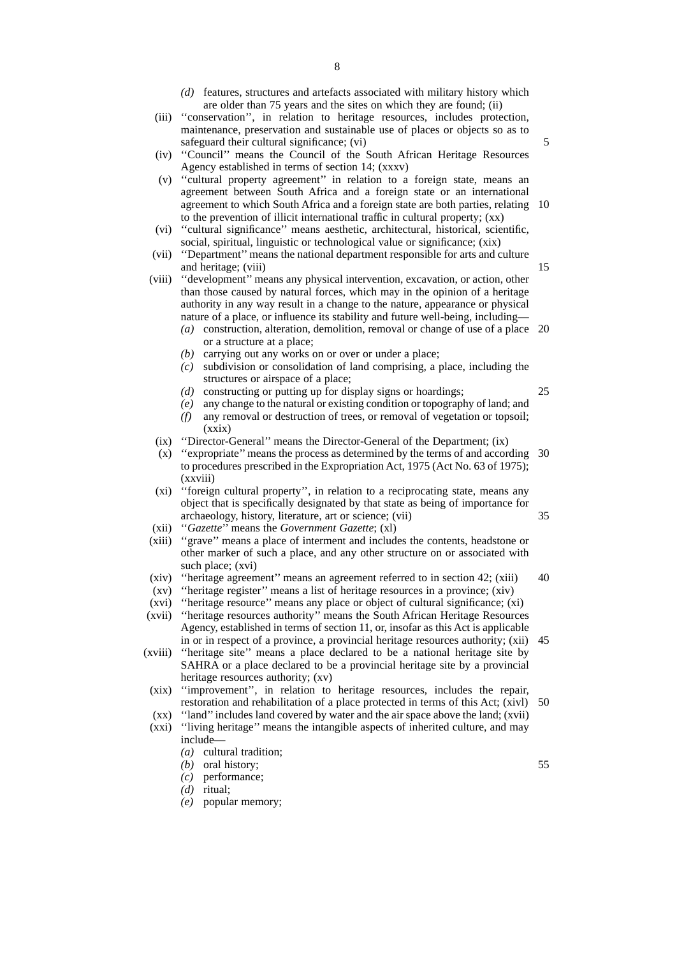8

- *(d)* features, structures and artefacts associated with military history which are older than 75 years and the sites on which they are found; (ii)
- (iii) ''conservation'', in relation to heritage resources, includes protection, maintenance, preservation and sustainable use of places or objects so as to safeguard their cultural significance; (vi)
- (iv) ''Council'' means the Council of the South African Heritage Resources Agency established in terms of section 14; (xxxv)
- (v) ''cultural property agreement'' in relation to a foreign state, means an agreement between South Africa and a foreign state or an international agreement to which South Africa and a foreign state are both parties, relating 10 to the prevention of illicit international traffic in cultural property; (xx)
- (vi) ''cultural significance'' means aesthetic, architectural, historical, scientific, social, spiritual, linguistic or technological value or significance; (xix)
- (vii) ''Department'' means the national department responsible for arts and culture and heritage; (viii)
- (viii) ''development'' means any physical intervention, excavation, or action, other than those caused by natural forces, which may in the opinion of a heritage authority in any way result in a change to the nature, appearance or physical nature of a place, or influence its stability and future well-being, including—
	- *(a)* construction, alteration, demolition, removal or change of use of a place 20 or a structure at a place;
	- *(b)* carrying out any works on or over or under a place;
	- *(c)* subdivision or consolidation of land comprising, a place, including the structures or airspace of a place;
	- *(d)* constructing or putting up for display signs or hoardings;
	- *(e)* any change to the natural or existing condition or topography of land; and *(f)* any removal or destruction of trees, or removal of vegetation or topsoil;
	- (xxix)
	- (ix) ''Director-General'' means the Director-General of the Department; (ix)
	- (x) ''expropriate'' means the process as determined by the terms of and according 30 to procedures prescribed in the Expropriation Act, 1975 (Act No. 63 of 1975); (xxviii)
- (xi) ''foreign cultural property'', in relation to a reciprocating state, means any object that is specifically designated by that state as being of importance for archaeology, history, literature, art or science; (vii) 35
- (xii) ''*Gazette*'' means the *Government Gazette*; (xl)
- (xiii) ''grave'' means a place of interment and includes the contents, headstone or other marker of such a place, and any other structure on or associated with such place; (xvi)
- (xiv) ''heritage agreement'' means an agreement referred to in section 42; (xiii) 40
- (xv) ''heritage register'' means a list of heritage resources in a province; (xiv)
- (xvi) ''heritage resource'' means any place or object of cultural significance; (xi)
- (xvii) ''heritage resources authority'' means the South African Heritage Resources Agency, established in terms of section 11, or, insofar as this Act is applicable in or in respect of a province, a provincial heritage resources authority; (xii) 45
- (xviii) ''heritage site'' means a place declared to be a national heritage site by SAHRA or a place declared to be a provincial heritage site by a provincial heritage resources authority; (xv)
	- (xix) ''improvement'', in relation to heritage resources, includes the repair, restoration and rehabilitation of a place protected in terms of this Act; (xivl) 50
	- (xx) ''land'' includes land covered by water and the air space above the land; (xvii) (xxi) ''living heritage'' means the intangible aspects of inherited culture, and may
		- include—
			- *(a)* cultural tradition;
			- *(b)* oral history;
			- *(c)* performance;
			- *(d)* ritual;
			- *(e)* popular memory;

55

5

15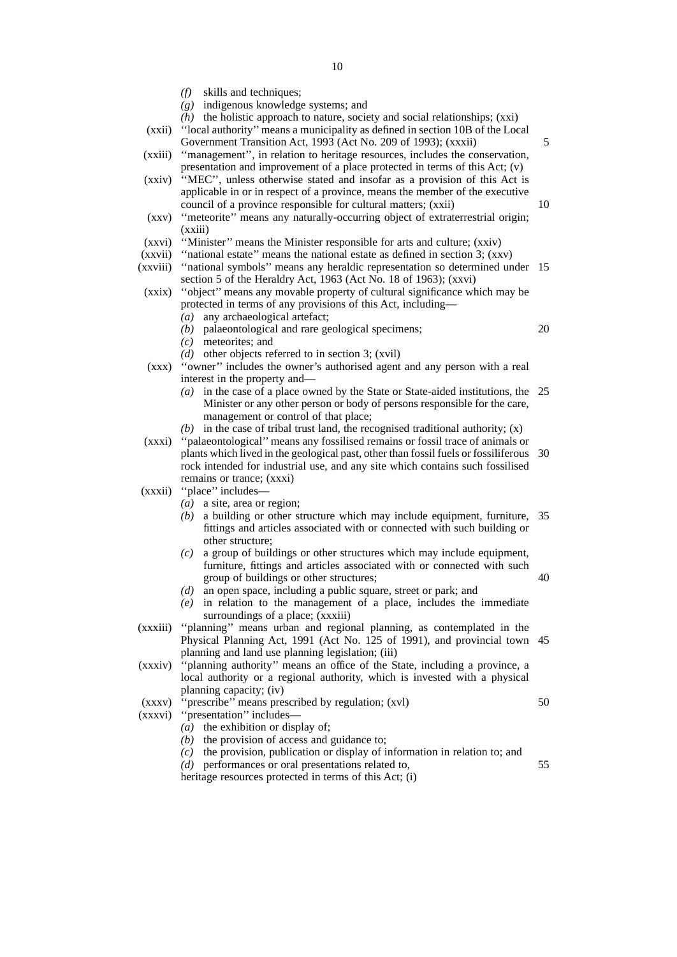- *(f)* skills and techniques;
- *(g)* indigenous knowledge systems; and
- *(h)* the holistic approach to nature, society and social relationships; (xxi)
- (xxii) ''local authority'' means a municipality as defined in section 10B of the Local Government Transition Act, 1993 (Act No. 209 of 1993); (xxxii)
- (xxiii) ''management'', in relation to heritage resources, includes the conservation, presentation and improvement of a place protected in terms of this Act; (v)
- (xxiv) ''MEC'', unless otherwise stated and insofar as a provision of this Act is applicable in or in respect of a province, means the member of the executive council of a province responsible for cultural matters; (xxii)
- (xxv) ''meteorite'' means any naturally-occurring object of extraterrestrial origin;  $(xxiii)$
- (xxvi) ''Minister'' means the Minister responsible for arts and culture; (xxiv)
- (xxvii) ''national estate'' means the national estate as defined in section 3; (xxv)
- (xxviii) ''national symbols'' means any heraldic representation so determined under 15 section 5 of the Heraldry Act, 1963 (Act No. 18 of 1963); (xxvi)
- (xxix) ''object'' means any movable property of cultural significance which may be protected in terms of any provisions of this Act, including—
	- *(a)* any archaeological artefact;
	- *(b)* palaeontological and rare geological specimens;
	- *(c)* meteorites; and
	- *(d)* other objects referred to in section 3; (xvil)
- (xxx) ''owner'' includes the owner's authorised agent and any person with a real interest in the property and—
	- *(a)* in the case of a place owned by the State or State-aided institutions, the 25 Minister or any other person or body of persons responsible for the care, management or control of that place;
	- *(b)* in the case of tribal trust land, the recognised traditional authority; (x)
- (xxxi) ''palaeontological'' means any fossilised remains or fossil trace of animals or plants which lived in the geological past, other than fossil fuels or fossiliferous 30 rock intended for industrial use, and any site which contains such fossilised remains or trance; (xxxi)
- (xxxii) ''place'' includes—
	- *(a)* a site, area or region;
	- *(b)* a building or other structure which may include equipment, furniture, 35 fittings and articles associated with or connected with such building or other structure;
	- *(c)* a group of buildings or other structures which may include equipment, furniture, fittings and articles associated with or connected with such group of buildings or other structures; 40
	- *(d)* an open space, including a public square, street or park; and
	- *(e)* in relation to the management of a place, includes the immediate surroundings of a place; (xxxiii)
- (xxxiii) ''planning'' means urban and regional planning, as contemplated in the Physical Planning Act, 1991 (Act No. 125 of 1991), and provincial town 45 planning and land use planning legislation; (iii)
- (xxxiv) ''planning authority'' means an office of the State, including a province, a local authority or a regional authority, which is invested with a physical planning capacity; (iv)
- (xxxv) ''prescribe'' means prescribed by regulation; (xvl)
- (xxxvi) ''presentation'' includes—
	- *(a)* the exhibition or display of;
	- *(b)* the provision of access and guidance to;
	- *(c)* the provision, publication or display of information in relation to; and
	- *(d)* performances or oral presentations related to,

heritage resources protected in terms of this Act; (i)

55

50

5

10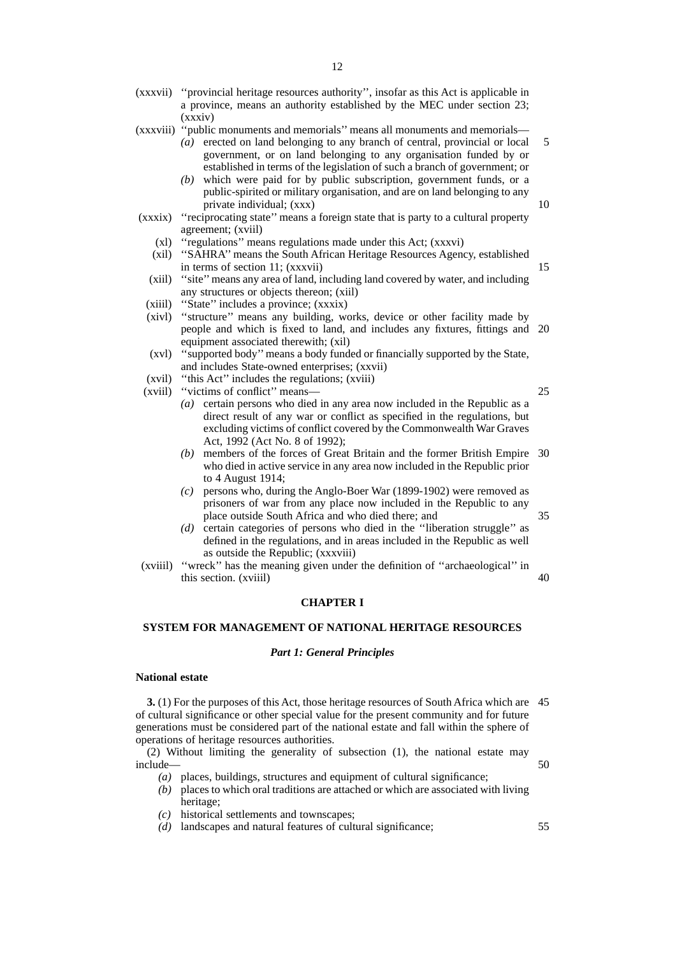- (xxxvii) ''provincial heritage resources authority'', insofar as this Act is applicable in a province, means an authority established by the MEC under section 23; (xxxiv)
- (xxxviii) ''public monuments and memorials'' means all monuments and memorials—
	- *(a)* erected on land belonging to any branch of central, provincial or local government, or on land belonging to any organisation funded by or established in terms of the legislation of such a branch of government; or 5
	- *(b)* which were paid for by public subscription, government funds, or a public-spirited or military organisation, and are on land belonging to any private individual; (xxx)
- (xxxix) ''reciprocating state'' means a foreign state that is party to a cultural property agreement; (xviil)
	- (xl) ''regulations'' means regulations made under this Act; (xxxvi)
	- (xil) ''SAHRA'' means the South African Heritage Resources Agency, established in terms of section 11; (xxxvii)
	- (xiil) ''site'' means any area of land, including land covered by water, and including any structures or objects thereon; (xiil)
	- (xiiil) ''State'' includes a province; (xxxix)
	- (xivl) ''structure'' means any building, works, device or other facility made by people and which is fixed to land, and includes any fixtures, fittings and 20 equipment associated therewith; (xil)
	- (xvl) ''supported body'' means a body funded or financially supported by the State, and includes State-owned enterprises; (xxvii)
	- (xvil) ''this Act'' includes the regulations; (xviii)
- (xviil) ''victims of conflict'' means—
	- *(a)* certain persons who died in any area now included in the Republic as a direct result of any war or conflict as specified in the regulations, but excluding victims of conflict covered by the Commonwealth War Graves Act, 1992 (Act No. 8 of 1992);
	- *(b)* members of the forces of Great Britain and the former British Empire 30 who died in active service in any area now included in the Republic prior to 4 August 1914;
	- *(c)* persons who, during the Anglo-Boer War (1899-1902) were removed as prisoners of war from any place now included in the Republic to any place outside South Africa and who died there; and
	- *(d)* certain categories of persons who died in the ''liberation struggle'' as defined in the regulations, and in areas included in the Republic as well as outside the Republic; (xxxviii)
- (xviiil) ''wreck'' has the meaning given under the definition of ''archaeological'' in this section. (xviiil)

# **CHAPTER I**

#### **SYSTEM FOR MANAGEMENT OF NATIONAL HERITAGE RESOURCES**

#### *Part 1: General Principles*

# **National estate**

**3.** (1) For the purposes of this Act, those heritage resources of South Africa which are 45 of cultural significance or other special value for the present community and for future generations must be considered part of the national estate and fall within the sphere of operations of heritage resources authorities.

(2) Without limiting the generality of subsection (1), the national estate may include—

- *(a)* places, buildings, structures and equipment of cultural significance;
- *(b)* places to which oral traditions are attached or which are associated with living heritage;
- *(c)* historical settlements and townscapes;
- *(d)* landscapes and natural features of cultural significance;

25

10

15

35

40

55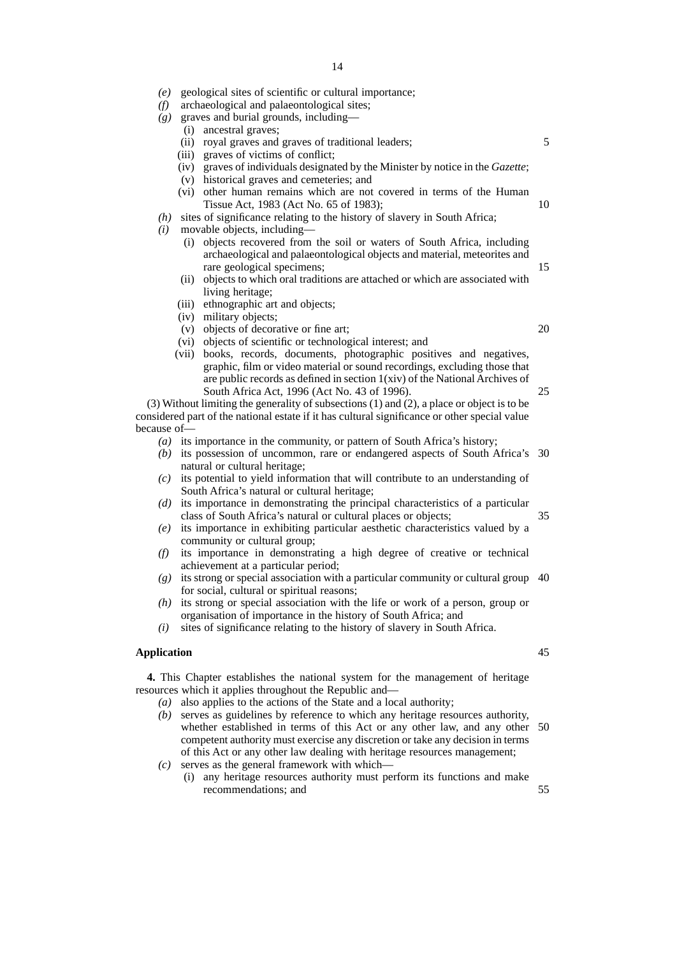- *(e)* geological sites of scientific or cultural importance;
- *(f)* archaeological and palaeontological sites;
- *(g)* graves and burial grounds, including—
	- (i) ancestral graves;
		- (ii) royal graves and graves of traditional leaders;
		- (iii) graves of victims of conflict;
		- (iv) graves of individuals designated by the Minister by notice in the *Gazette*;
		- (v) historical graves and cemeteries; and
		- (vi) other human remains which are not covered in terms of the Human Tissue Act, 1983 (Act No. 65 of 1983);
- *(h)* sites of significance relating to the history of slavery in South Africa;
- *(i)* movable objects, including—
	- (i) objects recovered from the soil or waters of South Africa, including archaeological and palaeontological objects and material, meteorites and rare geological specimens;
	- (ii) objects to which oral traditions are attached or which are associated with living heritage;
	- (iii) ethnographic art and objects;
	- (iv) military objects;
	- (v) objects of decorative or fine art;
	- (vi) objects of scientific or technological interest; and
	- (vii) books, records, documents, photographic positives and negatives, graphic, film or video material or sound recordings, excluding those that are public records as defined in section  $1(xiv)$  of the National Archives of South Africa Act, 1996 (Act No. 43 of 1996).

(3) Without limiting the generality of subsections (1) and (2), a place or object is to be considered part of the national estate if it has cultural significance or other special value because of—

- *(a)* its importance in the community, or pattern of South Africa's history;
- *(b)* its possession of uncommon, rare or endangered aspects of South Africa's 30 natural or cultural heritage;
- *(c)* its potential to yield information that will contribute to an understanding of South Africa's natural or cultural heritage;
- *(d)* its importance in demonstrating the principal characteristics of a particular class of South Africa's natural or cultural places or objects; 35
- *(e)* its importance in exhibiting particular aesthetic characteristics valued by a community or cultural group;
- *(f)* its importance in demonstrating a high degree of creative or technical achievement at a particular period;
- *(g)* its strong or special association with a particular community or cultural group 40 for social, cultural or spiritual reasons;
- *(h)* its strong or special association with the life or work of a person, group or organisation of importance in the history of South Africa; and
- *(i)* sites of significance relating to the history of slavery in South Africa.

# **Application**

**4.** This Chapter establishes the national system for the management of heritage resources which it applies throughout the Republic and—

*(a)* also applies to the actions of the State and a local authority;

- *(b)* serves as guidelines by reference to which any heritage resources authority, whether established in terms of this Act or any other law, and any other 50 competent authority must exercise any discretion or take any decision in terms of this Act or any other law dealing with heritage resources management;
- *(c)* serves as the general framework with which—
	- (i) any heritage resources authority must perform its functions and make recommendations; and

20

5

10

15

25

45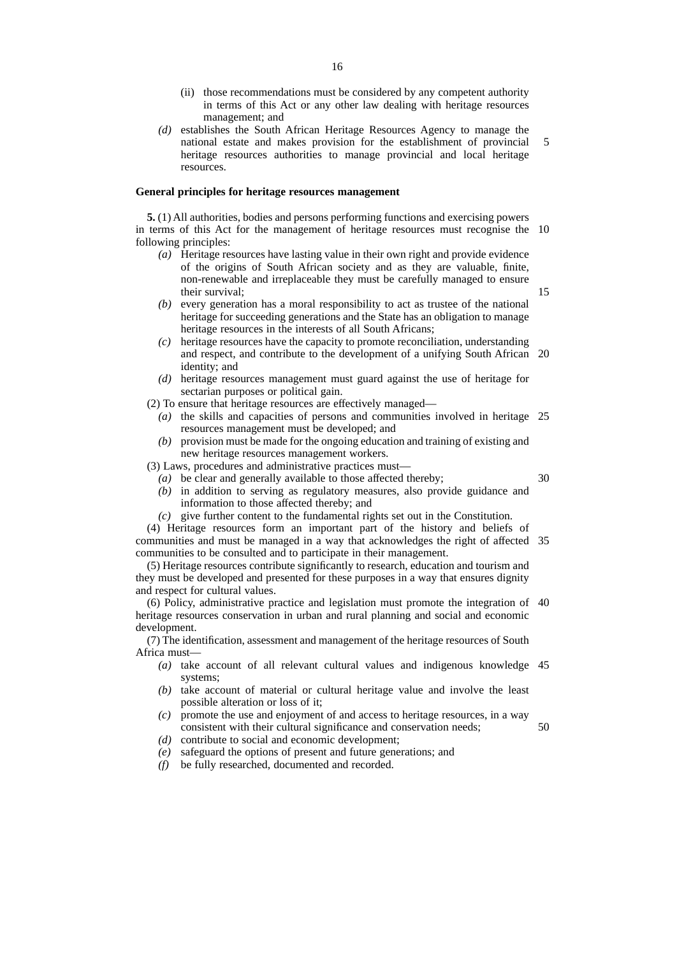- (ii) those recommendations must be considered by any competent authority in terms of this Act or any other law dealing with heritage resources management; and
- *(d)* establishes the South African Heritage Resources Agency to manage the national estate and makes provision for the establishment of provincial heritage resources authorities to manage provincial and local heritage resources. 5

## **General principles for heritage resources management**

**5.** (1) All authorities, bodies and persons performing functions and exercising powers in terms of this Act for the management of heritage resources must recognise the 10 following principles:

- *(a)* Heritage resources have lasting value in their own right and provide evidence of the origins of South African society and as they are valuable, finite, non-renewable and irreplaceable they must be carefully managed to ensure their survival;
- *(b)* every generation has a moral responsibility to act as trustee of the national heritage for succeeding generations and the State has an obligation to manage heritage resources in the interests of all South Africans;
- *(c)* heritage resources have the capacity to promote reconciliation, understanding and respect, and contribute to the development of a unifying South African 20 identity; and
- *(d)* heritage resources management must guard against the use of heritage for sectarian purposes or political gain.

(2) To ensure that heritage resources are effectively managed—

- *(a)* the skills and capacities of persons and communities involved in heritage 25 resources management must be developed; and
- *(b)* provision must be made for the ongoing education and training of existing and new heritage resources management workers.

(3) Laws, procedures and administrative practices must—

*(a)* be clear and generally available to those affected thereby;

30

15

- *(b)* in addition to serving as regulatory measures, also provide guidance and information to those affected thereby; and
- *(c)* give further content to the fundamental rights set out in the Constitution.

(4) Heritage resources form an important part of the history and beliefs of communities and must be managed in a way that acknowledges the right of affected 35 communities to be consulted and to participate in their management.

(5) Heritage resources contribute significantly to research, education and tourism and they must be developed and presented for these purposes in a way that ensures dignity and respect for cultural values.

(6) Policy, administrative practice and legislation must promote the integration of 40 heritage resources conservation in urban and rural planning and social and economic development.

(7) The identification, assessment and management of the heritage resources of South Africa must—

- *(a)* take account of all relevant cultural values and indigenous knowledge 45 systems;
- *(b)* take account of material or cultural heritage value and involve the least possible alteration or loss of it;
- *(c)* promote the use and enjoyment of and access to heritage resources, in a way consistent with their cultural significance and conservation needs;

- *(d)* contribute to social and economic development;
- *(e)* safeguard the options of present and future generations; and
- *(f)* be fully researched, documented and recorded.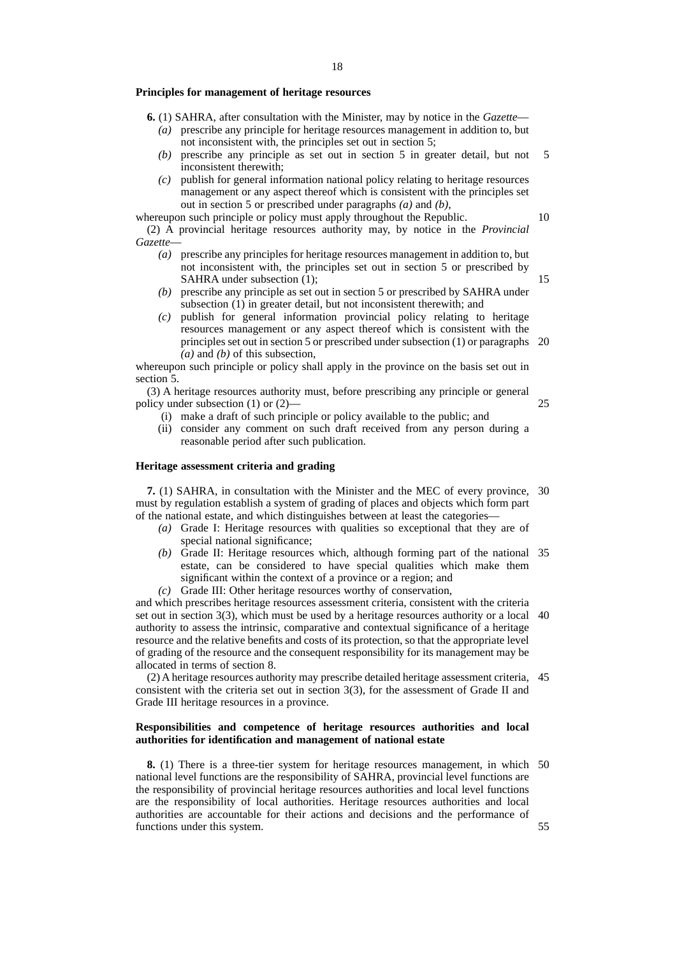#### **Principles for management of heritage resources**

- **6.** (1) SAHRA, after consultation with the Minister, may by notice in the *Gazette (a)* prescribe any principle for heritage resources management in addition to, but not inconsistent with, the principles set out in section 5;
	- *(b)* prescribe any principle as set out in section 5 in greater detail, but not inconsistent therewith; 5
	- *(c)* publish for general information national policy relating to heritage resources management or any aspect thereof which is consistent with the principles set out in section 5 or prescribed under paragraphs *(a)* and *(b)*,

whereupon such principle or policy must apply throughout the Republic.

10

15

25

(2) A provincial heritage resources authority may, by notice in the *Provincial Gazette*—

- *(a)* prescribe any principles for heritage resources management in addition to, but not inconsistent with, the principles set out in section 5 or prescribed by SAHRA under subsection (1);
- *(b)* prescribe any principle as set out in section 5 or prescribed by SAHRA under subsection (1) in greater detail, but not inconsistent therewith; and
- *(c)* publish for general information provincial policy relating to heritage resources management or any aspect thereof which is consistent with the principles set out in section 5 or prescribed under subsection (1) or paragraphs 20 *(a)* and *(b)* of this subsection,

whereupon such principle or policy shall apply in the province on the basis set out in section 5.

(3) A heritage resources authority must, before prescribing any principle or general policy under subsection (1) or (2)—

- (i) make a draft of such principle or policy available to the public; and
- (ii) consider any comment on such draft received from any person during a reasonable period after such publication.

## **Heritage assessment criteria and grading**

**7.** (1) SAHRA, in consultation with the Minister and the MEC of every province, 30 must by regulation establish a system of grading of places and objects which form part of the national estate, and which distinguishes between at least the categories—

- *(a)* Grade I: Heritage resources with qualities so exceptional that they are of special national significance;
- *(b)* Grade II: Heritage resources which, although forming part of the national 35 estate, can be considered to have special qualities which make them significant within the context of a province or a region; and
- *(c)* Grade III: Other heritage resources worthy of conservation,

and which prescribes heritage resources assessment criteria, consistent with the criteria set out in section 3(3), which must be used by a heritage resources authority or a local 40 authority to assess the intrinsic, comparative and contextual significance of a heritage resource and the relative benefits and costs of its protection, so that the appropriate level of grading of the resource and the consequent responsibility for its management may be allocated in terms of section 8.

(2) A heritage resources authority may prescribe detailed heritage assessment criteria, 45 consistent with the criteria set out in section 3(3), for the assessment of Grade II and Grade III heritage resources in a province.

# **Responsibilities and competence of heritage resources authorities and local authorities for identification and management of national estate**

**8.** (1) There is a three-tier system for heritage resources management, in which 50 national level functions are the responsibility of SAHRA, provincial level functions are the responsibility of provincial heritage resources authorities and local level functions are the responsibility of local authorities. Heritage resources authorities and local authorities are accountable for their actions and decisions and the performance of functions under this system. 55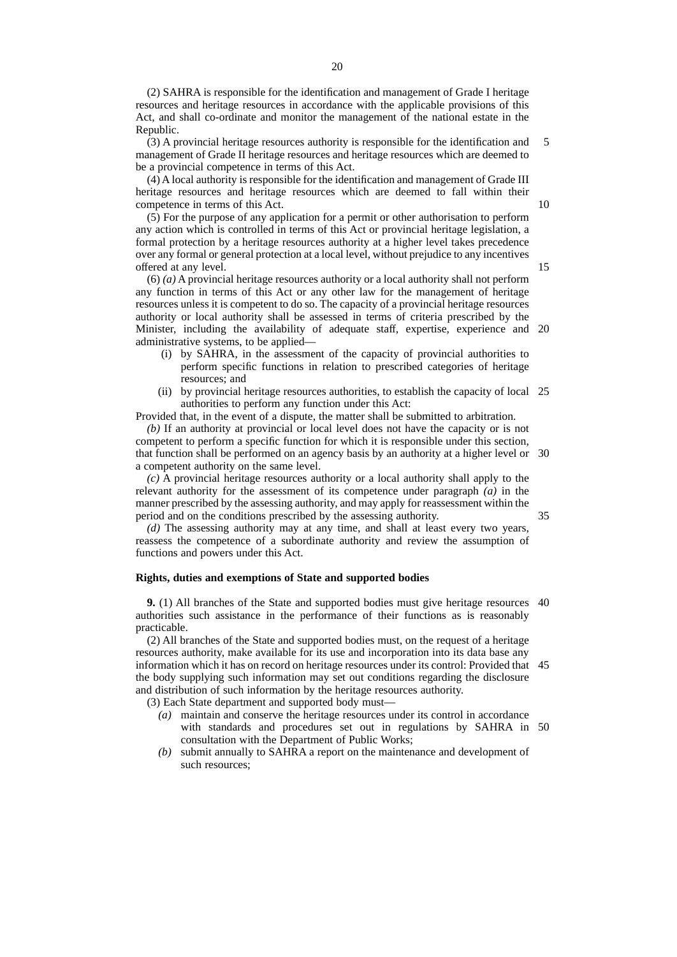(2) SAHRA is responsible for the identification and management of Grade I heritage resources and heritage resources in accordance with the applicable provisions of this Act, and shall co-ordinate and monitor the management of the national estate in the Republic.

(3) A provincial heritage resources authority is responsible for the identification and management of Grade II heritage resources and heritage resources which are deemed to be a provincial competence in terms of this Act. 5

(4) A local authority is responsible for the identification and management of Grade III heritage resources and heritage resources which are deemed to fall within their competence in terms of this Act.

(5) For the purpose of any application for a permit or other authorisation to perform any action which is controlled in terms of this Act or provincial heritage legislation, a formal protection by a heritage resources authority at a higher level takes precedence over any formal or general protection at a local level, without prejudice to any incentives offered at any level.

(6) *(a)* A provincial heritage resources authority or a local authority shall not perform any function in terms of this Act or any other law for the management of heritage resources unless it is competent to do so. The capacity of a provincial heritage resources authority or local authority shall be assessed in terms of criteria prescribed by the Minister, including the availability of adequate staff, expertise, experience and 20 administrative systems, to be applied—

- (i) by SAHRA, in the assessment of the capacity of provincial authorities to perform specific functions in relation to prescribed categories of heritage resources; and
- (ii) by provincial heritage resources authorities, to establish the capacity of local 25 authorities to perform any function under this Act:

Provided that, in the event of a dispute, the matter shall be submitted to arbitration.

*(b)* If an authority at provincial or local level does not have the capacity or is not competent to perform a specific function for which it is responsible under this section, that function shall be performed on an agency basis by an authority at a higher level or 30 a competent authority on the same level.

*(c)* A provincial heritage resources authority or a local authority shall apply to the relevant authority for the assessment of its competence under paragraph *(a)* in the manner prescribed by the assessing authority, and may apply for reassessment within the period and on the conditions prescribed by the assessing authority.

*(d)* The assessing authority may at any time, and shall at least every two years, reassess the competence of a subordinate authority and review the assumption of functions and powers under this Act.

# **Rights, duties and exemptions of State and supported bodies**

**9.** (1) All branches of the State and supported bodies must give heritage resources 40 authorities such assistance in the performance of their functions as is reasonably practicable.

(2) All branches of the State and supported bodies must, on the request of a heritage resources authority, make available for its use and incorporation into its data base any information which it has on record on heritage resources under its control: Provided that 45 the body supplying such information may set out conditions regarding the disclosure and distribution of such information by the heritage resources authority.

(3) Each State department and supported body must—

- *(a)* maintain and conserve the heritage resources under its control in accordance with standards and procedures set out in regulations by SAHRA in 50consultation with the Department of Public Works;
- *(b)* submit annually to SAHRA a report on the maintenance and development of such resources;

15

35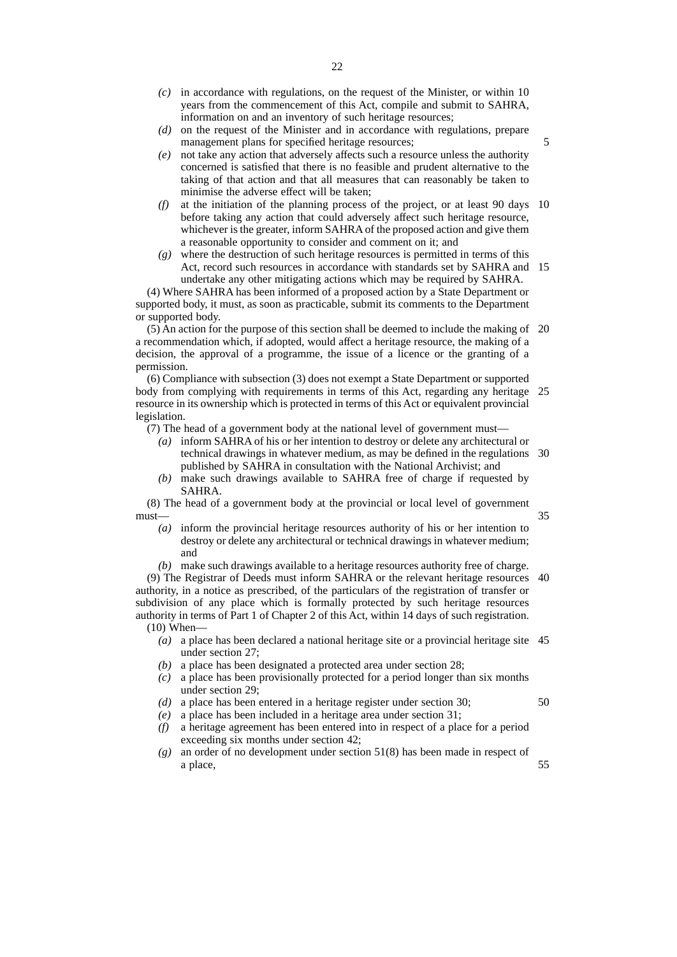- *(c)* in accordance with regulations, on the request of the Minister, or within 10 years from the commencement of this Act, compile and submit to SAHRA, information on and an inventory of such heritage resources;
- *(d)* on the request of the Minister and in accordance with regulations, prepare management plans for specified heritage resources;

5

50

- *(e)* not take any action that adversely affects such a resource unless the authority concerned is satisfied that there is no feasible and prudent alternative to the taking of that action and that all measures that can reasonably be taken to minimise the adverse effect will be taken;
- *(f)* at the initiation of the planning process of the project, or at least 90 days 10 before taking any action that could adversely affect such heritage resource, whichever is the greater, inform SAHRA of the proposed action and give them a reasonable opportunity to consider and comment on it; and
- *(g)* where the destruction of such heritage resources is permitted in terms of this Act, record such resources in accordance with standards set by SAHRA and 15 undertake any other mitigating actions which may be required by SAHRA.

(4) Where SAHRA has been informed of a proposed action by a State Department or supported body, it must, as soon as practicable, submit its comments to the Department or supported body.

(5) An action for the purpose of this section shall be deemed to include the making of 20 a recommendation which, if adopted, would affect a heritage resource, the making of a decision, the approval of a programme, the issue of a licence or the granting of a permission.

(6) Compliance with subsection (3) does not exempt a State Department or supported body from complying with requirements in terms of this Act, regarding any heritage 25 resource in its ownership which is protected in terms of this Act or equivalent provincial legislation.

(7) The head of a government body at the national level of government must—

- *(a)* inform SAHRA of his or her intention to destroy or delete any architectural or technical drawings in whatever medium, as may be defined in the regulations 30 published by SAHRA in consultation with the National Archivist; and
- *(b)* make such drawings available to SAHRA free of charge if requested by SAHRA.

(8) The head of a government body at the provincial or local level of government must— 35

*(a)* inform the provincial heritage resources authority of his or her intention to destroy or delete any architectural or technical drawings in whatever medium; and

*(b)* make such drawings available to a heritage resources authority free of charge.

(9) The Registrar of Deeds must inform SAHRA or the relevant heritage resources 40 authority, in a notice as prescribed, of the particulars of the registration of transfer or subdivision of any place which is formally protected by such heritage resources authority in terms of Part 1 of Chapter 2 of this Act, within 14 days of such registration. (10) When—

- *(a)* a place has been declared a national heritage site or a provincial heritage site 45 under section 27;
- *(b)* a place has been designated a protected area under section 28;
- *(c)* a place has been provisionally protected for a period longer than six months under section 29;
- *(d)* a place has been entered in a heritage register under section 30;
- *(e)* a place has been included in a heritage area under section 31;
- *(f)* a heritage agreement has been entered into in respect of a place for a period exceeding six months under section 42;
- *(g)* an order of no development under section 51(8) has been made in respect of a place, 55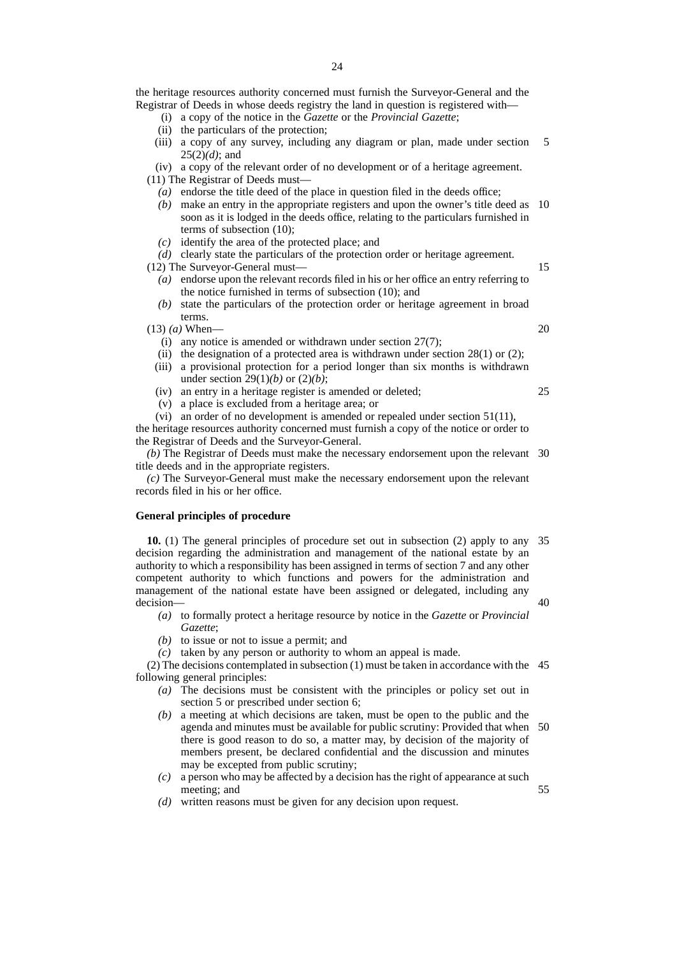the heritage resources authority concerned must furnish the Surveyor-General and the Registrar of Deeds in whose deeds registry the land in question is registered with—

- (i) a copy of the notice in the *Gazette* or the *Provincial Gazette*;
- (ii) the particulars of the protection;
- (iii) a copy of any survey, including any diagram or plan, made under section 25(2)*(d)*; and 5
- (iv) a copy of the relevant order of no development or of a heritage agreement.

(11) The Registrar of Deeds must—

- *(a)* endorse the title deed of the place in question filed in the deeds office;
- *(b)* make an entry in the appropriate registers and upon the owner's title deed as 10 soon as it is lodged in the deeds office, relating to the particulars furnished in terms of subsection (10);
- *(c)* identify the area of the protected place; and
- *(d)* clearly state the particulars of the protection order or heritage agreement.

(12) The Surveyor-General must—

- *(a)* endorse upon the relevant records filed in his or her office an entry referring to the notice furnished in terms of subsection (10); and
- *(b)* state the particulars of the protection order or heritage agreement in broad terms.

(13) *(a)* When—

- (i) any notice is amended or withdrawn under section 27(7);
- (ii) the designation of a protected area is withdrawn under section  $28(1)$  or  $(2)$ ;
- (iii) a provisional protection for a period longer than six months is withdrawn under section 29(1)*(b)* or (2)*(b)*;
- (iv) an entry in a heritage register is amended or deleted;
- (v) a place is excluded from a heritage area; or
- (vi) an order of no development is amended or repealed under section 51(11),

the heritage resources authority concerned must furnish a copy of the notice or order to the Registrar of Deeds and the Surveyor-General.

*(b)* The Registrar of Deeds must make the necessary endorsement upon the relevant 30 title deeds and in the appropriate registers.

*(c)* The Surveyor-General must make the necessary endorsement upon the relevant records filed in his or her office.

# **General principles of procedure**

**10.** (1) The general principles of procedure set out in subsection (2) apply to any 35 decision regarding the administration and management of the national estate by an authority to which a responsibility has been assigned in terms of section 7 and any other competent authority to which functions and powers for the administration and management of the national estate have been assigned or delegated, including any decision— 40

- *(a)* to formally protect a heritage resource by notice in the *Gazette* or *Provincial Gazette*;
- *(b)* to issue or not to issue a permit; and
- *(c)* taken by any person or authority to whom an appeal is made.

(2) The decisions contemplated in subsection (1) must be taken in accordance with the 45 following general principles:

- *(a)* The decisions must be consistent with the principles or policy set out in section 5 or prescribed under section 6;
- *(b)* a meeting at which decisions are taken, must be open to the public and the agenda and minutes must be available for public scrutiny: Provided that when 50 there is good reason to do so, a matter may, by decision of the majority of members present, be declared confidential and the discussion and minutes may be excepted from public scrutiny;
- *(c)* a person who may be affected by a decision has the right of appearance at such meeting; and
- *(d)* written reasons must be given for any decision upon request.

20

25

55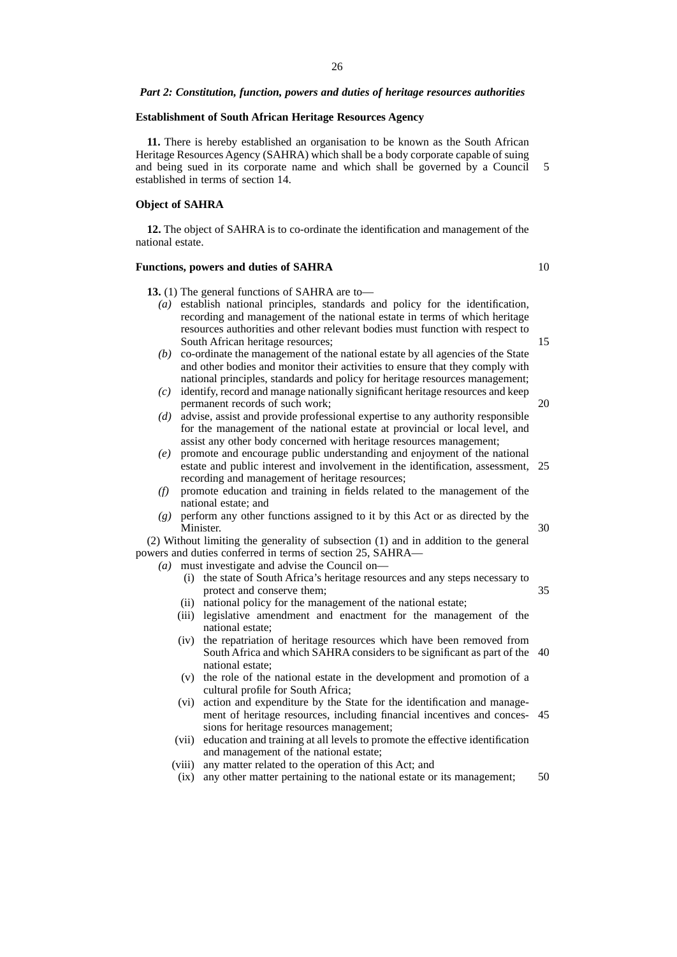#### *Part 2: Constitution, function, powers and duties of heritage resources authorities*

## **Establishment of South African Heritage Resources Agency**

**11.** There is hereby established an organisation to be known as the South African Heritage Resources Agency (SAHRA) which shall be a body corporate capable of suing and being sued in its corporate name and which shall be governed by a Council established in terms of section 14. 5

# **Object of SAHRA**

**12.** The object of SAHRA is to co-ordinate the identification and management of the national estate.

#### **Functions, powers and duties of SAHRA**

**13.** (1) The general functions of SAHRA are to—

- *(a)* establish national principles, standards and policy for the identification, recording and management of the national estate in terms of which heritage resources authorities and other relevant bodies must function with respect to South African heritage resources;
- *(b)* co-ordinate the management of the national estate by all agencies of the State and other bodies and monitor their activities to ensure that they comply with national principles, standards and policy for heritage resources management;
- *(c)* identify, record and manage nationally significant heritage resources and keep permanent records of such work;
- *(d)* advise, assist and provide professional expertise to any authority responsible for the management of the national estate at provincial or local level, and assist any other body concerned with heritage resources management;
- *(e)* promote and encourage public understanding and enjoyment of the national estate and public interest and involvement in the identification, assessment, 25 recording and management of heritage resources;
- *(f)* promote education and training in fields related to the management of the national estate; and
- *(g)* perform any other functions assigned to it by this Act or as directed by the Minister.

(2) Without limiting the generality of subsection (1) and in addition to the general powers and duties conferred in terms of section 25, SAHRA—

- *(a)* must investigate and advise the Council on—
	- (i) the state of South Africa's heritage resources and any steps necessary to protect and conserve them; 35
	- (ii) national policy for the management of the national estate;
	- (iii) legislative amendment and enactment for the management of the national estate;
	- (iv) the repatriation of heritage resources which have been removed from South Africa and which SAHRA considers to be significant as part of the 40 national estate;
	- (v) the role of the national estate in the development and promotion of a cultural profile for South Africa;
	- (vi) action and expenditure by the State for the identification and management of heritage resources, including financial incentives and conces-45 sions for heritage resources management;
	- (vii) education and training at all levels to promote the effective identification and management of the national estate;
	- (viii) any matter related to the operation of this Act; and
	- (ix) any other matter pertaining to the national estate or its management; 50

15

20

30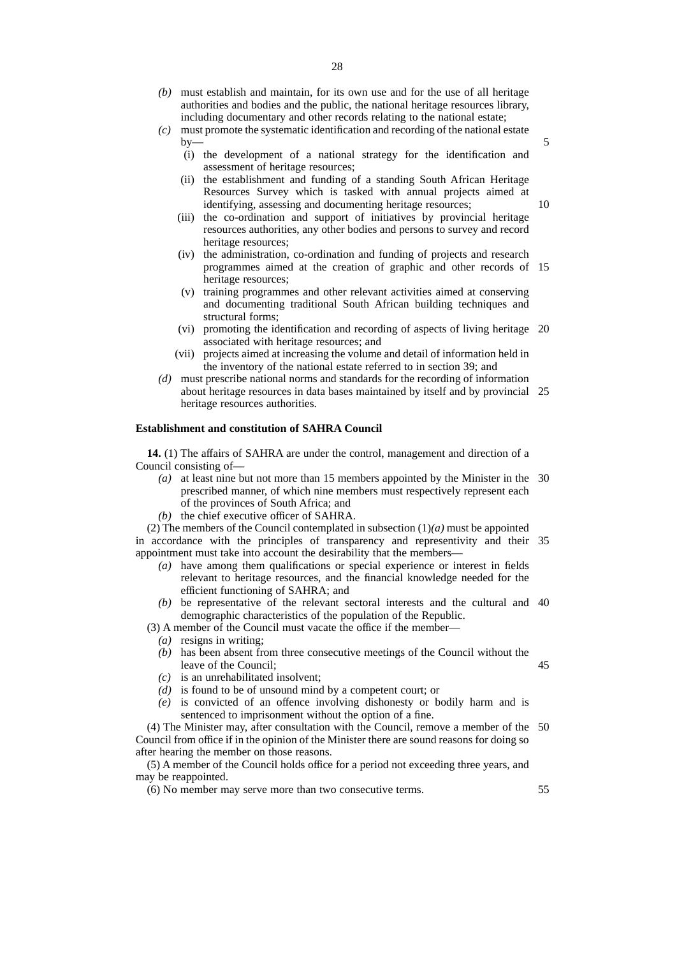- *(b)* must establish and maintain, for its own use and for the use of all heritage authorities and bodies and the public, the national heritage resources library, including documentary and other records relating to the national estate;
- *(c)* must promote the systematic identification and recording of the national estate  $bv$ 
	- (i) the development of a national strategy for the identification and assessment of heritage resources;
	- (ii) the establishment and funding of a standing South African Heritage Resources Survey which is tasked with annual projects aimed at identifying, assessing and documenting heritage resources;
	- (iii) the co-ordination and support of initiatives by provincial heritage resources authorities, any other bodies and persons to survey and record heritage resources;
	- (iv) the administration, co-ordination and funding of projects and research programmes aimed at the creation of graphic and other records of 15 heritage resources;
	- (v) training programmes and other relevant activities aimed at conserving and documenting traditional South African building techniques and structural forms;
	- (vi) promoting the identification and recording of aspects of living heritage 20 associated with heritage resources; and
	- (vii) projects aimed at increasing the volume and detail of information held in the inventory of the national estate referred to in section 39; and
- *(d)* must prescribe national norms and standards for the recording of information about heritage resources in data bases maintained by itself and by provincial 25 heritage resources authorities.

# **Establishment and constitution of SAHRA Council**

**14.** (1) The affairs of SAHRA are under the control, management and direction of a Council consisting of—

- *(a)* at least nine but not more than 15 members appointed by the Minister in the 30 prescribed manner, of which nine members must respectively represent each of the provinces of South Africa; and
- *(b)* the chief executive officer of SAHRA.

(2) The members of the Council contemplated in subsection (1)*(a)* must be appointed in accordance with the principles of transparency and representivity and their 35 appointment must take into account the desirability that the members—

- *(a)* have among them qualifications or special experience or interest in fields relevant to heritage resources, and the financial knowledge needed for the efficient functioning of SAHRA; and
- *(b)* be representative of the relevant sectoral interests and the cultural and 40 demographic characteristics of the population of the Republic.

(3) A member of the Council must vacate the office if the member—

- *(a)* resigns in writing;
- *(b)* has been absent from three consecutive meetings of the Council without the leave of the Council;
- *(c)* is an unrehabilitated insolvent;
- *(d)* is found to be of unsound mind by a competent court; or
- *(e)* is convicted of an offence involving dishonesty or bodily harm and is sentenced to imprisonment without the option of a fine.

(4) The Minister may, after consultation with the Council, remove a member of the 50 Council from office if in the opinion of the Minister there are sound reasons for doing so after hearing the member on those reasons.

(5) A member of the Council holds office for a period not exceeding three years, and may be reappointed.

(6) No member may serve more than two consecutive terms.

45

5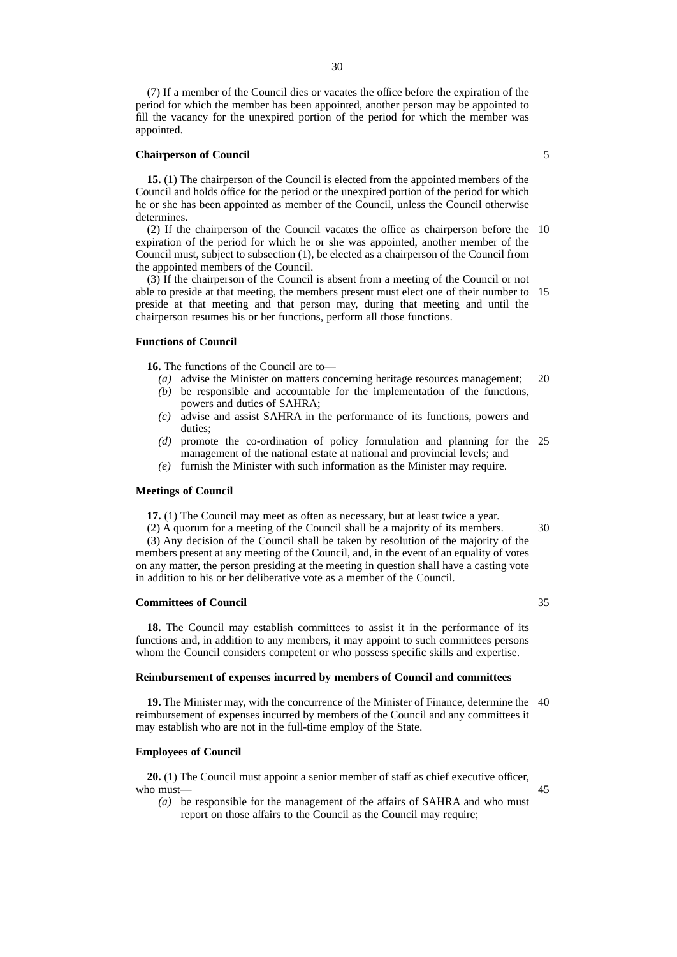(7) If a member of the Council dies or vacates the office before the expiration of the period for which the member has been appointed, another person may be appointed to fill the vacancy for the unexpired portion of the period for which the member was appointed.

#### **Chairperson of Council**

**15.** (1) The chairperson of the Council is elected from the appointed members of the Council and holds office for the period or the unexpired portion of the period for which he or she has been appointed as member of the Council, unless the Council otherwise determines.

(2) If the chairperson of the Council vacates the office as chairperson before the 10 expiration of the period for which he or she was appointed, another member of the Council must, subject to subsection (1), be elected as a chairperson of the Council from the appointed members of the Council.

(3) If the chairperson of the Council is absent from a meeting of the Council or not able to preside at that meeting, the members present must elect one of their number to 15 preside at that meeting and that person may, during that meeting and until the chairperson resumes his or her functions, perform all those functions.

# **Functions of Council**

**16.** The functions of the Council are to—

- *(a)* advise the Minister on matters concerning heritage resources management; 20
- *(b)* be responsible and accountable for the implementation of the functions, powers and duties of SAHRA;
- *(c)* advise and assist SAHRA in the performance of its functions, powers and duties;
- *(d)* promote the co-ordination of policy formulation and planning for the 25 management of the national estate at national and provincial levels; and
- *(e)* furnish the Minister with such information as the Minister may require.

#### **Meetings of Council**

**17.** (1) The Council may meet as often as necessary, but at least twice a year.

(2) A quorum for a meeting of the Council shall be a majority of its members. (3) Any decision of the Council shall be taken by resolution of the majority of the members present at any meeting of the Council, and, in the event of an equality of votes on any matter, the person presiding at the meeting in question shall have a casting vote in addition to his or her deliberative vote as a member of the Council.

# **Committees of Council**

**18.** The Council may establish committees to assist it in the performance of its functions and, in addition to any members, it may appoint to such committees persons whom the Council considers competent or who possess specific skills and expertise.

# **Reimbursement of expenses incurred by members of Council and committees**

**19.** The Minister may, with the concurrence of the Minister of Finance, determine the 40 reimbursement of expenses incurred by members of the Council and any committees it may establish who are not in the full-time employ of the State.

#### **Employees of Council**

**20.** (1) The Council must appoint a senior member of staff as chief executive officer, who must—

*(a)* be responsible for the management of the affairs of SAHRA and who must report on those affairs to the Council as the Council may require;

30

35

45

30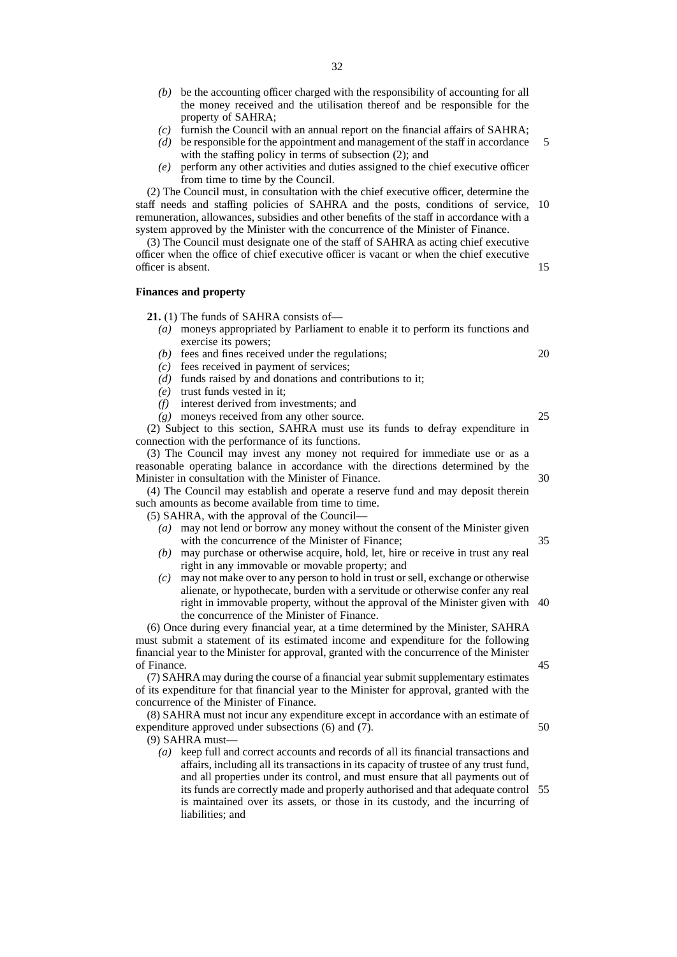- *(b)* be the accounting officer charged with the responsibility of accounting for all the money received and the utilisation thereof and be responsible for the property of SAHRA;
- *(c)* furnish the Council with an annual report on the financial affairs of SAHRA;
- *(d)* be responsible for the appointment and management of the staff in accordance with the staffing policy in terms of subsection (2); and 5
- *(e)* perform any other activities and duties assigned to the chief executive officer from time to time by the Council.

(2) The Council must, in consultation with the chief executive officer, determine the staff needs and staffing policies of SAHRA and the posts, conditions of service, 10 remuneration, allowances, subsidies and other benefits of the staff in accordance with a system approved by the Minister with the concurrence of the Minister of Finance.

(3) The Council must designate one of the staff of SAHRA as acting chief executive officer when the office of chief executive officer is vacant or when the chief executive officer is absent.

#### **Finances and property**

**21.** (1) The funds of SAHRA consists of—

- *(a)* moneys appropriated by Parliament to enable it to perform its functions and exercise its powers;
- *(b)* fees and fines received under the regulations;
- *(c)* fees received in payment of services;
- *(d)* funds raised by and donations and contributions to it;
- *(e)* trust funds vested in it;
- *(f)* interest derived from investments; and
- *(g)* moneys received from any other source.

(2) Subject to this section, SAHRA must use its funds to defray expenditure in connection with the performance of its functions.

(3) The Council may invest any money not required for immediate use or as a reasonable operating balance in accordance with the directions determined by the Minister in consultation with the Minister of Finance.

(4) The Council may establish and operate a reserve fund and may deposit therein such amounts as become available from time to time.

(5) SAHRA, with the approval of the Council—

- *(a)* may not lend or borrow any money without the consent of the Minister given with the concurrence of the Minister of Finance;
- *(b)* may purchase or otherwise acquire, hold, let, hire or receive in trust any real right in any immovable or movable property; and
- *(c)* may not make over to any person to hold in trust or sell, exchange or otherwise alienate, or hypothecate, burden with a servitude or otherwise confer any real right in immovable property, without the approval of the Minister given with 40 the concurrence of the Minister of Finance.

(6) Once during every financial year, at a time determined by the Minister, SAHRA must submit a statement of its estimated income and expenditure for the following financial year to the Minister for approval, granted with the concurrence of the Minister of Finance.

(7) SAHRA may during the course of a financial year submit supplementary estimates of its expenditure for that financial year to the Minister for approval, granted with the concurrence of the Minister of Finance.

(8) SAHRA must not incur any expenditure except in accordance with an estimate of expenditure approved under subsections (6) and (7). 50

(9) SAHRA must—

*(a)* keep full and correct accounts and records of all its financial transactions and affairs, including all its transactions in its capacity of trustee of any trust fund, and all properties under its control, and must ensure that all payments out of its funds are correctly made and properly authorised and that adequate control is maintained over its assets, or those in its custody, and the incurring of liabilities; and 55

20

25

30

35

45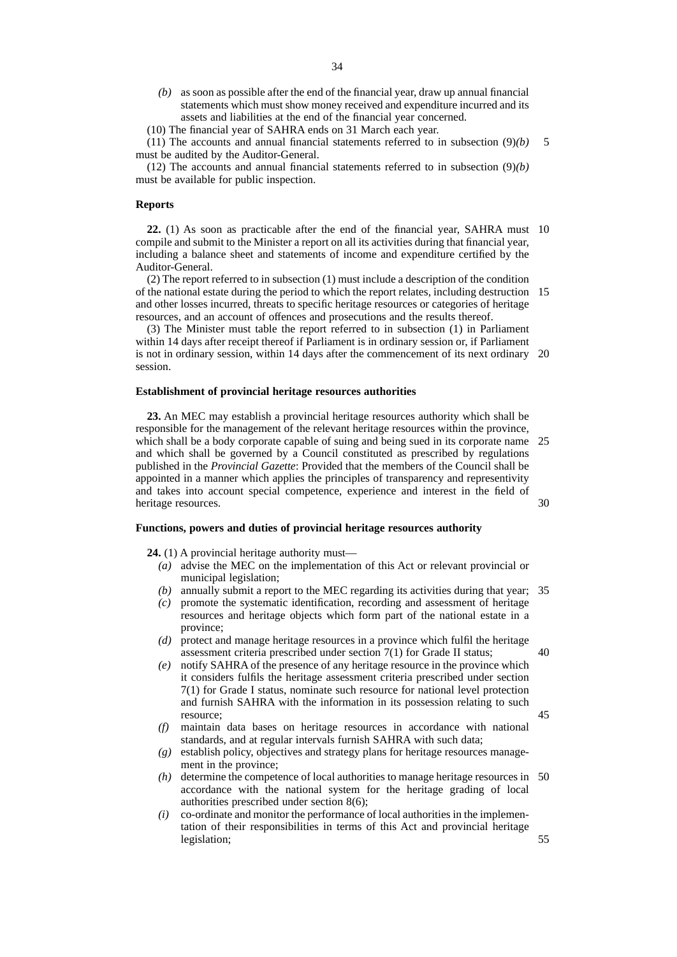*(b)* as soon as possible after the end of the financial year, draw up annual financial statements which must show money received and expenditure incurred and its assets and liabilities at the end of the financial year concerned.

(10) The financial year of SAHRA ends on 31 March each year.

(11) The accounts and annual financial statements referred to in subsection (9)*(b)* must be audited by the Auditor-General. 5

(12) The accounts and annual financial statements referred to in subsection (9)*(b)* must be available for public inspection.

# **Reports**

**22.** (1) As soon as practicable after the end of the financial year, SAHRA must 10 compile and submit to the Minister a report on all its activities during that financial year, including a balance sheet and statements of income and expenditure certified by the Auditor-General.

(2) The report referred to in subsection (1) must include a description of the condition of the national estate during the period to which the report relates, including destruction 15 and other losses incurred, threats to specific heritage resources or categories of heritage resources, and an account of offences and prosecutions and the results thereof.

(3) The Minister must table the report referred to in subsection (1) in Parliament within 14 days after receipt thereof if Parliament is in ordinary session or, if Parliament is not in ordinary session, within 14 days after the commencement of its next ordinary 20 session.

# **Establishment of provincial heritage resources authorities**

**23.** An MEC may establish a provincial heritage resources authority which shall be responsible for the management of the relevant heritage resources within the province, which shall be a body corporate capable of suing and being sued in its corporate name 25 and which shall be governed by a Council constituted as prescribed by regulations published in the *Provincial Gazette*: Provided that the members of the Council shall be appointed in a manner which applies the principles of transparency and representivity and takes into account special competence, experience and interest in the field of heritage resources. 30

#### **Functions, powers and duties of provincial heritage resources authority**

**24.** (1) A provincial heritage authority must—

- *(a)* advise the MEC on the implementation of this Act or relevant provincial or municipal legislation;
- *(b)* annually submit a report to the MEC regarding its activities during that year; 35
- *(c)* promote the systematic identification, recording and assessment of heritage resources and heritage objects which form part of the national estate in a province;
- *(d)* protect and manage heritage resources in a province which fulfil the heritage assessment criteria prescribed under section 7(1) for Grade II status; 40
- *(e)* notify SAHRA of the presence of any heritage resource in the province which it considers fulfils the heritage assessment criteria prescribed under section 7(1) for Grade I status, nominate such resource for national level protection and furnish SAHRA with the information in its possession relating to such resource; 45
- *(f)* maintain data bases on heritage resources in accordance with national standards, and at regular intervals furnish SAHRA with such data;
- *(g)* establish policy, objectives and strategy plans for heritage resources management in the province;
- *(h)* determine the competence of local authorities to manage heritage resources in 50 accordance with the national system for the heritage grading of local authorities prescribed under section 8(6);
- *(i)* co-ordinate and monitor the performance of local authorities in the implementation of their responsibilities in terms of this Act and provincial heritage legislation;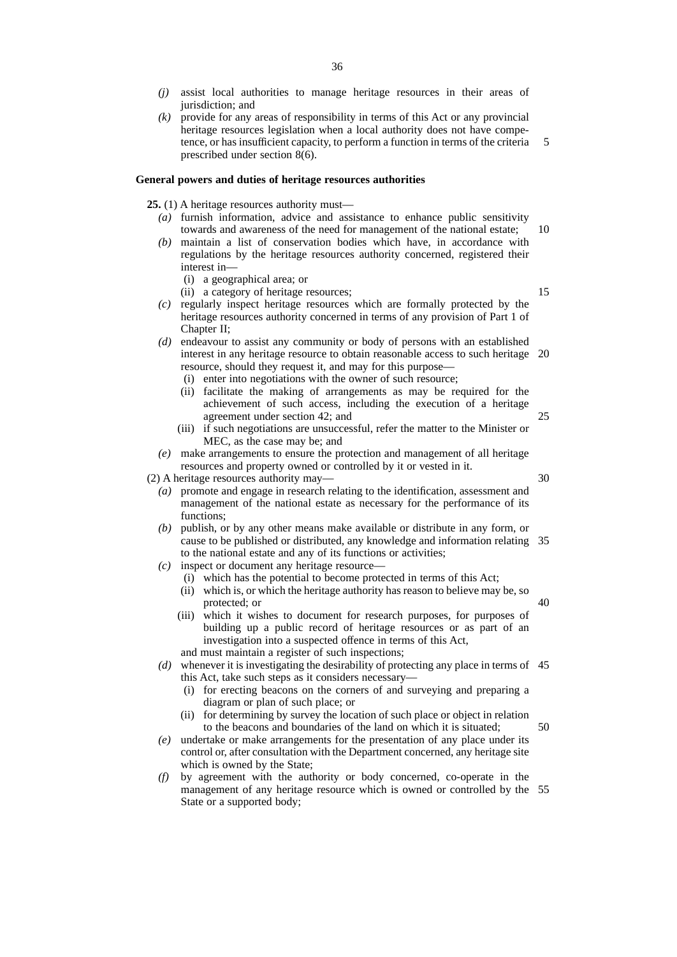- *(j)* assist local authorities to manage heritage resources in their areas of jurisdiction; and
- *(k)* provide for any areas of responsibility in terms of this Act or any provincial heritage resources legislation when a local authority does not have competence, or has insufficient capacity, to perform a function in terms of the criteria prescribed under section 8(6). 5

#### **General powers and duties of heritage resources authorities**

**25.** (1) A heritage resources authority must—

- *(a)* furnish information, advice and assistance to enhance public sensitivity towards and awareness of the need for management of the national estate; 10
- *(b)* maintain a list of conservation bodies which have, in accordance with regulations by the heritage resources authority concerned, registered their interest in—
	- (i) a geographical area; or
	- (ii) a category of heritage resources;

15

- *(c)* regularly inspect heritage resources which are formally protected by the heritage resources authority concerned in terms of any provision of Part 1 of Chapter II;
- *(d)* endeavour to assist any community or body of persons with an established interest in any heritage resource to obtain reasonable access to such heritage 20 resource, should they request it, and may for this purpose—
	- (i) enter into negotiations with the owner of such resource;
	- (ii) facilitate the making of arrangements as may be required for the achievement of such access, including the execution of a heritage agreement under section 42; and
	- (iii) if such negotiations are unsuccessful, refer the matter to the Minister or MEC, as the case may be; and
- *(e)* make arrangements to ensure the protection and management of all heritage resources and property owned or controlled by it or vested in it.

(2) A heritage resources authority may—

- *(a)* promote and engage in research relating to the identification, assessment and management of the national estate as necessary for the performance of its functions;
- *(b)* publish, or by any other means make available or distribute in any form, or cause to be published or distributed, any knowledge and information relating 35 to the national estate and any of its functions or activities;
- *(c)* inspect or document any heritage resource—
	- (i) which has the potential to become protected in terms of this Act;
	- (ii) which is, or which the heritage authority has reason to believe may be, so protected; or
	- (iii) which it wishes to document for research purposes, for purposes of building up a public record of heritage resources or as part of an investigation into a suspected offence in terms of this Act, and must maintain a register of such inspections;
- *(d)* whenever it is investigating the desirability of protecting any place in terms of 45 this Act, take such steps as it considers necessary—
	- (i) for erecting beacons on the corners of and surveying and preparing a diagram or plan of such place; or
	- (ii) for determining by survey the location of such place or object in relation to the beacons and boundaries of the land on which it is situated; 50
- *(e)* undertake or make arrangements for the presentation of any place under its control or, after consultation with the Department concerned, any heritage site which is owned by the State;
- *(f)* by agreement with the authority or body concerned, co-operate in the management of any heritage resource which is owned or controlled by the 55State or a supported body;

30

40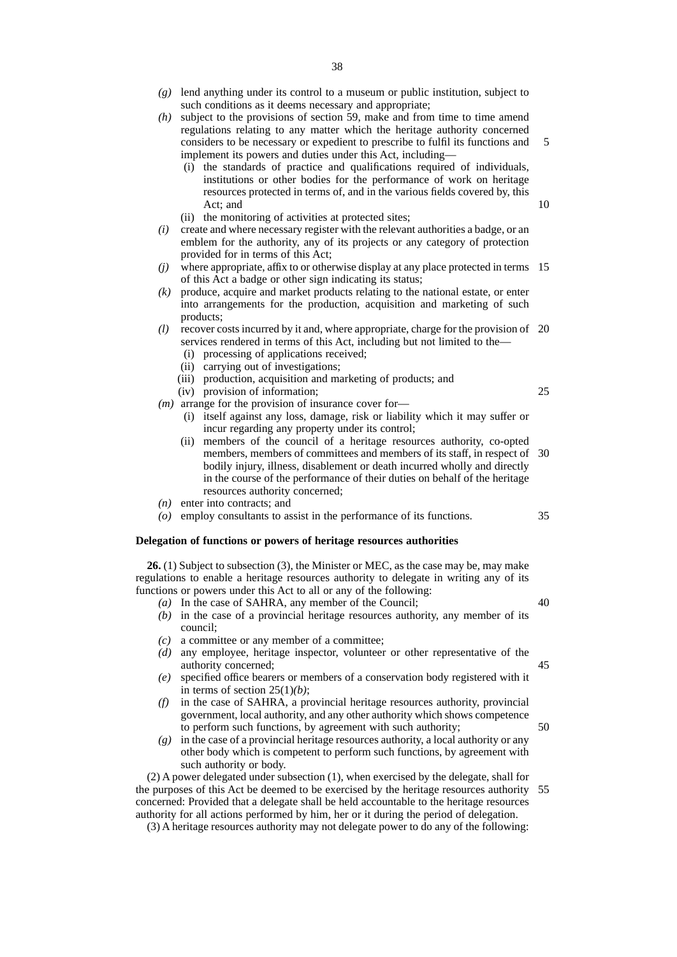- *(g)* lend anything under its control to a museum or public institution, subject to such conditions as it deems necessary and appropriate;
- *(h)* subject to the provisions of section 59, make and from time to time amend regulations relating to any matter which the heritage authority concerned considers to be necessary or expedient to prescribe to fulfil its functions and implement its powers and duties under this Act, including— 5
	- (i) the standards of practice and qualifications required of individuals, institutions or other bodies for the performance of work on heritage resources protected in terms of, and in the various fields covered by, this Act; and
	- (ii) the monitoring of activities at protected sites;
- *(i)* create and where necessary register with the relevant authorities a badge, or an emblem for the authority, any of its projects or any category of protection provided for in terms of this Act;
- *(j)* where appropriate, affix to or otherwise display at any place protected in terms 15 of this Act a badge or other sign indicating its status;
- *(k)* produce, acquire and market products relating to the national estate, or enter into arrangements for the production, acquisition and marketing of such products;
- *(l)* recover costs incurred by it and, where appropriate, charge for the provision of 20 services rendered in terms of this Act, including but not limited to the-
	- (i) processing of applications received;
	- (ii) carrying out of investigations;
	- (iii) production, acquisition and marketing of products; and
	- (iv) provision of information;
- *(m)* arrange for the provision of insurance cover for—
	- (i) itself against any loss, damage, risk or liability which it may suffer or incur regarding any property under its control;
	- (ii) members of the council of a heritage resources authority, co-opted members, members of committees and members of its staff, in respect of 30 bodily injury, illness, disablement or death incurred wholly and directly in the course of the performance of their duties on behalf of the heritage resources authority concerned;
- *(n)* enter into contracts; and
- *(o)* employ consultants to assist in the performance of its functions.

# **Delegation of functions or powers of heritage resources authorities**

**26.** (1) Subject to subsection (3), the Minister or MEC, as the case may be, may make regulations to enable a heritage resources authority to delegate in writing any of its functions or powers under this Act to all or any of the following:

*(a)* In the case of SAHRA, any member of the Council;

40

45

50

35

- *(b)* in the case of a provincial heritage resources authority, any member of its council;
- *(c)* a committee or any member of a committee;
- *(d)* any employee, heritage inspector, volunteer or other representative of the authority concerned;
- *(e)* specified office bearers or members of a conservation body registered with it in terms of section 25(1)*(b)*;
- *(f)* in the case of SAHRA, a provincial heritage resources authority, provincial government, local authority, and any other authority which shows competence to perform such functions, by agreement with such authority;
- *(g)* in the case of a provincial heritage resources authority, a local authority or any other body which is competent to perform such functions, by agreement with such authority or body.

(2) A power delegated under subsection (1), when exercised by the delegate, shall for the purposes of this Act be deemed to be exercised by the heritage resources authority concerned: Provided that a delegate shall be held accountable to the heritage resources authority for all actions performed by him, her or it during the period of delegation. 55

(3) A heritage resources authority may not delegate power to do any of the following:

25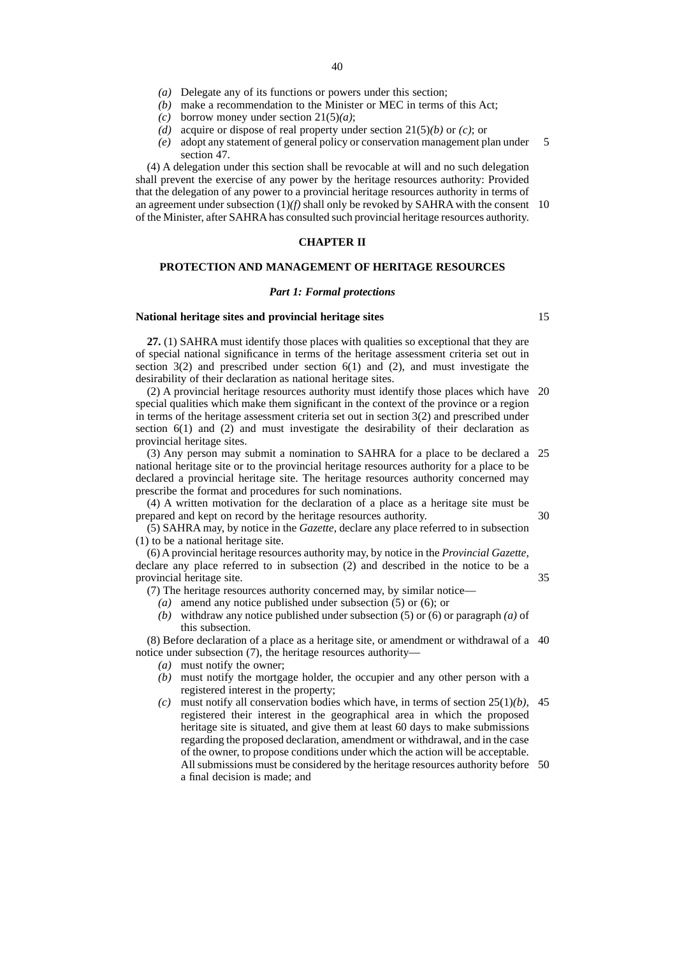- *(a)* Delegate any of its functions or powers under this section;
- *(b)* make a recommendation to the Minister or MEC in terms of this Act;
- *(c)* borrow money under section 21(5)*(a)*;
- *(d)* acquire or dispose of real property under section 21(5)*(b)* or *(c)*; or
- *(e)* adopt any statement of general policy or conservation management plan under section 47. 5

(4) A delegation under this section shall be revocable at will and no such delegation shall prevent the exercise of any power by the heritage resources authority: Provided that the delegation of any power to a provincial heritage resources authority in terms of an agreement under subsection  $(1)(f)$  shall only be revoked by SAHRA with the consent 10 of the Minister, after SAHRA has consulted such provincial heritage resources authority.

# **CHAPTER II**

# **PROTECTION AND MANAGEMENT OF HERITAGE RESOURCES**

#### *Part 1: Formal protections*

# **National heritage sites and provincial heritage sites**

**27.** (1) SAHRA must identify those places with qualities so exceptional that they are of special national significance in terms of the heritage assessment criteria set out in section  $3(2)$  and prescribed under section  $6(1)$  and  $(2)$ , and must investigate the desirability of their declaration as national heritage sites.

(2) A provincial heritage resources authority must identify those places which have 20 special qualities which make them significant in the context of the province or a region in terms of the heritage assessment criteria set out in section 3(2) and prescribed under section  $6(1)$  and  $(2)$  and must investigate the desirability of their declaration as provincial heritage sites.

(3) Any person may submit a nomination to SAHRA for a place to be declared a 25 national heritage site or to the provincial heritage resources authority for a place to be declared a provincial heritage site. The heritage resources authority concerned may prescribe the format and procedures for such nominations.

(4) A written motivation for the declaration of a place as a heritage site must be prepared and kept on record by the heritage resources authority. 30

(5) SAHRA may, by notice in the *Gazette*, declare any place referred to in subsection (1) to be a national heritage site.

(6) A provincial heritage resources authority may, by notice in the *Provincial Gazette*, declare any place referred to in subsection (2) and described in the notice to be a provincial heritage site. 35

- (7) The heritage resources authority concerned may, by similar notice—
	- *(a)* amend any notice published under subsection (5) or (6); or
	- *(b)* withdraw any notice published under subsection (5) or (6) or paragraph *(a)* of this subsection.

(8) Before declaration of a place as a heritage site, or amendment or withdrawal of a 40 notice under subsection (7), the heritage resources authority—

- *(a)* must notify the owner;
- *(b)* must notify the mortgage holder, the occupier and any other person with a registered interest in the property;
- *(c)* must notify all conservation bodies which have, in terms of section 25(1)*(b)*, 45 registered their interest in the geographical area in which the proposed heritage site is situated, and give them at least 60 days to make submissions regarding the proposed declaration, amendment or withdrawal, and in the case of the owner, to propose conditions under which the action will be acceptable. All submissions must be considered by the heritage resources authority before 50a final decision is made; and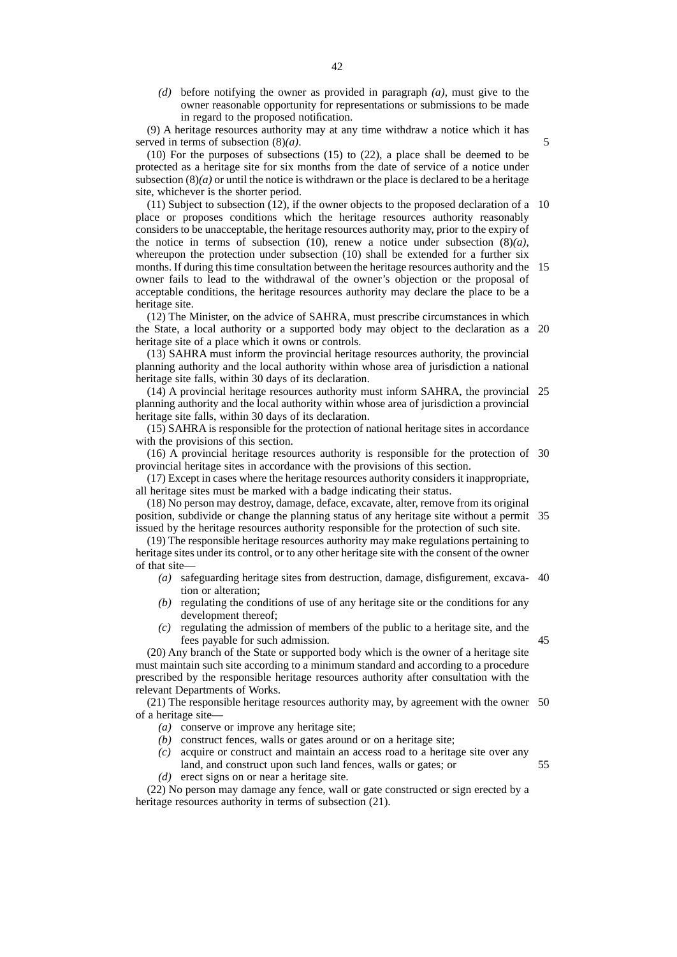*(d)* before notifying the owner as provided in paragraph *(a)*, must give to the owner reasonable opportunity for representations or submissions to be made in regard to the proposed notification.

(9) A heritage resources authority may at any time withdraw a notice which it has served in terms of subsection (8)*(a)*.

(10) For the purposes of subsections (15) to (22), a place shall be deemed to be protected as a heritage site for six months from the date of service of a notice under subsection  $(8)(a)$  or until the notice is withdrawn or the place is declared to be a heritage site, whichever is the shorter period.

(11) Subject to subsection (12), if the owner objects to the proposed declaration of a 10 place or proposes conditions which the heritage resources authority reasonably considers to be unacceptable, the heritage resources authority may, prior to the expiry of the notice in terms of subsection  $(10)$ , renew a notice under subsection  $(8)(a)$ , whereupon the protection under subsection (10) shall be extended for a further six months. If during this time consultation between the heritage resources authority and the owner fails to lead to the withdrawal of the owner's objection or the proposal of acceptable conditions, the heritage resources authority may declare the place to be a heritage site. 15

(12) The Minister, on the advice of SAHRA, must prescribe circumstances in which the State, a local authority or a supported body may object to the declaration as a 20 heritage site of a place which it owns or controls.

(13) SAHRA must inform the provincial heritage resources authority, the provincial planning authority and the local authority within whose area of jurisdiction a national heritage site falls, within 30 days of its declaration.

(14) A provincial heritage resources authority must inform SAHRA, the provincial planning authority and the local authority within whose area of jurisdiction a provincial heritage site falls, within 30 days of its declaration. 25

(15) SAHRA is responsible for the protection of national heritage sites in accordance with the provisions of this section.

(16) A provincial heritage resources authority is responsible for the protection of 30 provincial heritage sites in accordance with the provisions of this section.

(17) Except in cases where the heritage resources authority considers it inappropriate, all heritage sites must be marked with a badge indicating their status.

(18) No person may destroy, damage, deface, excavate, alter, remove from its original position, subdivide or change the planning status of any heritage site without a permit 35 issued by the heritage resources authority responsible for the protection of such site.

(19) The responsible heritage resources authority may make regulations pertaining to heritage sites under its control, or to any other heritage site with the consent of the owner of that site—

- *(a)* safeguarding heritage sites from destruction, damage, disfigurement, excava-40 tion or alteration;
- *(b)* regulating the conditions of use of any heritage site or the conditions for any development thereof;
- *(c)* regulating the admission of members of the public to a heritage site, and the fees payable for such admission.

(20) Any branch of the State or supported body which is the owner of a heritage site must maintain such site according to a minimum standard and according to a procedure prescribed by the responsible heritage resources authority after consultation with the relevant Departments of Works.

(21) The responsible heritage resources authority may, by agreement with the owner 50 of a heritage site—

- *(a)* conserve or improve any heritage site;
- *(b)* construct fences, walls or gates around or on a heritage site;
- *(c)* acquire or construct and maintain an access road to a heritage site over any land, and construct upon such land fences, walls or gates; or *(d)* erect signs on or near a heritage site.

(22) No person may damage any fence, wall or gate constructed or sign erected by a heritage resources authority in terms of subsection  $(21)$ .

5

45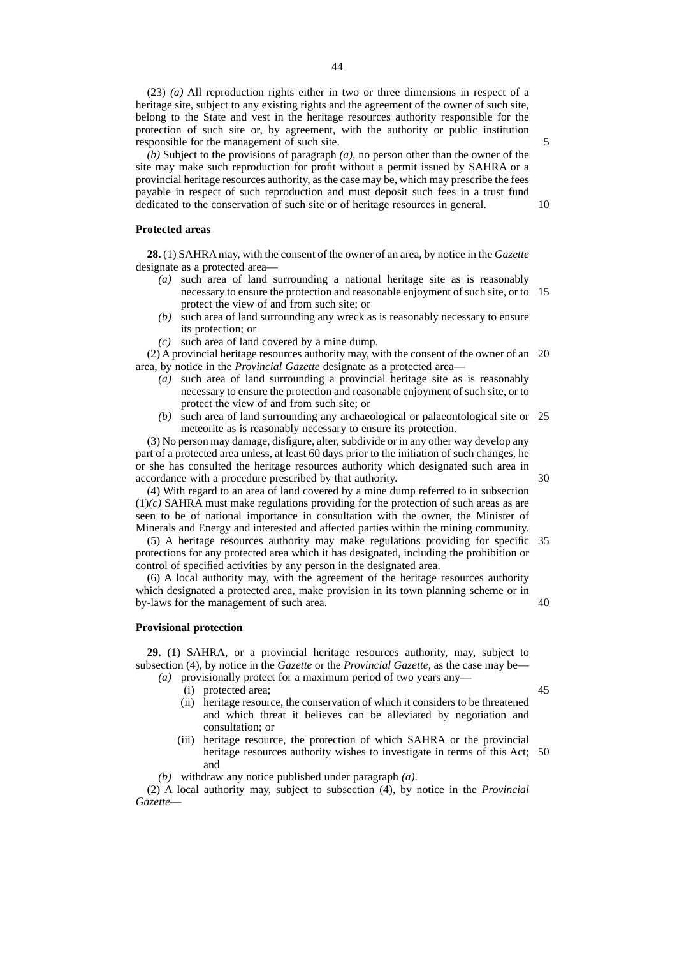(23) *(a)* All reproduction rights either in two or three dimensions in respect of a heritage site, subject to any existing rights and the agreement of the owner of such site, belong to the State and vest in the heritage resources authority responsible for the protection of such site or, by agreement, with the authority or public institution responsible for the management of such site.

*(b)* Subject to the provisions of paragraph *(a)*, no person other than the owner of the site may make such reproduction for profit without a permit issued by SAHRA or a provincial heritage resources authority, as the case may be, which may prescribe the fees payable in respect of such reproduction and must deposit such fees in a trust fund dedicated to the conservation of such site or of heritage resources in general.

# **Protected areas**

**28.** (1) SAHRA may, with the consent of the owner of an area, by notice in the *Gazette* designate as a protected area—

- *(a)* such area of land surrounding a national heritage site as is reasonably necessary to ensure the protection and reasonable enjoyment of such site, or to 15 protect the view of and from such site; or
- *(b)* such area of land surrounding any wreck as is reasonably necessary to ensure its protection; or
- *(c)* such area of land covered by a mine dump.

(2) A provincial heritage resources authority may, with the consent of the owner of an 20 area, by notice in the *Provincial Gazette* designate as a protected area—

- *(a)* such area of land surrounding a provincial heritage site as is reasonably necessary to ensure the protection and reasonable enjoyment of such site, or to protect the view of and from such site; or
- *(b)* such area of land surrounding any archaeological or palaeontological site or 25 meteorite as is reasonably necessary to ensure its protection.

(3) No person may damage, disfigure, alter, subdivide or in any other way develop any part of a protected area unless, at least 60 days prior to the initiation of such changes, he or she has consulted the heritage resources authority which designated such area in accordance with a procedure prescribed by that authority.

(4) With regard to an area of land covered by a mine dump referred to in subsection (1)*(c)* SAHRA must make regulations providing for the protection of such areas as are seen to be of national importance in consultation with the owner, the Minister of Minerals and Energy and interested and affected parties within the mining community.

(5) A heritage resources authority may make regulations providing for specific 35 protections for any protected area which it has designated, including the prohibition or control of specified activities by any person in the designated area.

(6) A local authority may, with the agreement of the heritage resources authority which designated a protected area, make provision in its town planning scheme or in by-laws for the management of such area.

#### **Provisional protection**

**29.** (1) SAHRA, or a provincial heritage resources authority, may, subject to subsection (4), by notice in the *Gazette* or the *Provincial Gazette*, as the case may be—

*(a)* provisionally protect for a maximum period of two years any—

- (i) protected area;
	- (ii) heritage resource, the conservation of which it considers to be threatened and which threat it believes can be alleviated by negotiation and consultation; or
- (iii) heritage resource, the protection of which SAHRA or the provincial heritage resources authority wishes to investigate in terms of this Act; 50and

*(b)* withdraw any notice published under paragraph *(a)*.

(2) A local authority may, subject to subsection (4), by notice in the *Provincial Gazette*—

45

40

30

5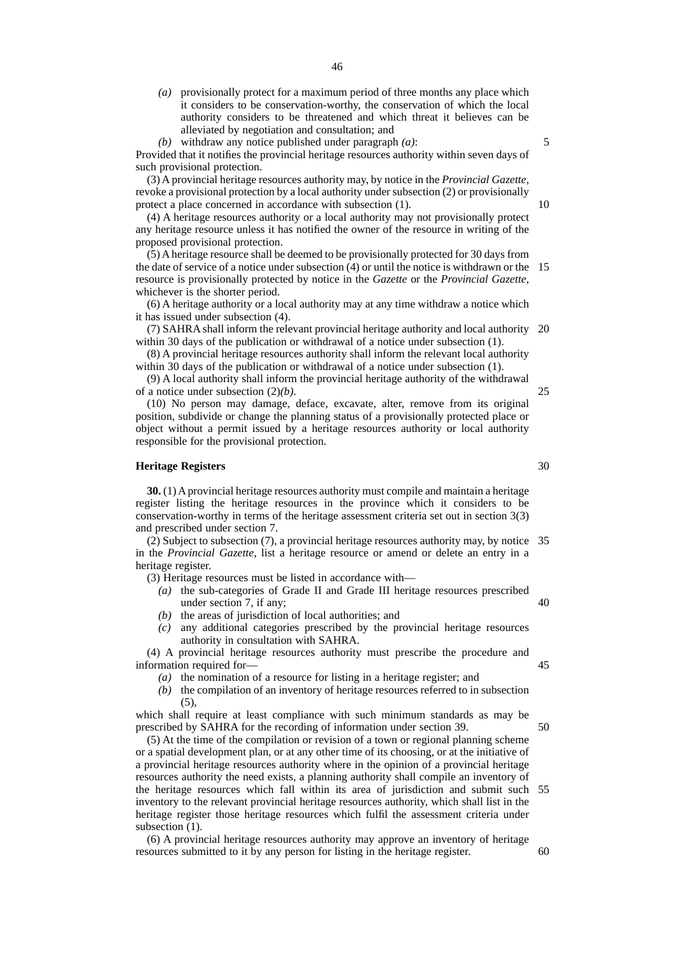*(a)* provisionally protect for a maximum period of three months any place which it considers to be conservation-worthy, the conservation of which the local authority considers to be threatened and which threat it believes can be alleviated by negotiation and consultation; and

*(b)* withdraw any notice published under paragraph *(a)*:

Provided that it notifies the provincial heritage resources authority within seven days of such provisional protection.

(3) A provincial heritage resources authority may, by notice in the *Provincial Gazette*, revoke a provisional protection by a local authority under subsection (2) or provisionally protect a place concerned in accordance with subsection (1).

(4) A heritage resources authority or a local authority may not provisionally protect any heritage resource unless it has notified the owner of the resource in writing of the proposed provisional protection.

(5) A heritage resource shall be deemed to be provisionally protected for 30 days from the date of service of a notice under subsection (4) or until the notice is withdrawn or the 15 resource is provisionally protected by notice in the *Gazette* or the *Provincial Gazette*, whichever is the shorter period.

(6) A heritage authority or a local authority may at any time withdraw a notice which it has issued under subsection (4).

(7) SAHRA shall inform the relevant provincial heritage authority and local authority 20 within 30 days of the publication or withdrawal of a notice under subsection (1).

(8) A provincial heritage resources authority shall inform the relevant local authority within 30 days of the publication or withdrawal of a notice under subsection (1).

(9) A local authority shall inform the provincial heritage authority of the withdrawal of a notice under subsection (2)*(b)*.

(10) No person may damage, deface, excavate, alter, remove from its original position, subdivide or change the planning status of a provisionally protected place or object without a permit issued by a heritage resources authority or local authority responsible for the provisional protection.

# **Heritage Registers**

**30.** (1) A provincial heritage resources authority must compile and maintain a heritage register listing the heritage resources in the province which it considers to be conservation-worthy in terms of the heritage assessment criteria set out in section 3(3) and prescribed under section 7.

(2) Subject to subsection (7), a provincial heritage resources authority may, by notice 35 in the *Provincial Gazette*, list a heritage resource or amend or delete an entry in a heritage register.

(3) Heritage resources must be listed in accordance with—

- *(a)* the sub-categories of Grade II and Grade III heritage resources prescribed under section 7, if any;
- *(b)* the areas of jurisdiction of local authorities; and
- *(c)* any additional categories prescribed by the provincial heritage resources authority in consultation with SAHRA.

(4) A provincial heritage resources authority must prescribe the procedure and information required for—

- *(a)* the nomination of a resource for listing in a heritage register; and
- *(b)* the compilation of an inventory of heritage resources referred to in subsection (5),

which shall require at least compliance with such minimum standards as may be prescribed by SAHRA for the recording of information under section 39.

(5) At the time of the compilation or revision of a town or regional planning scheme or a spatial development plan, or at any other time of its choosing, or at the initiative of a provincial heritage resources authority where in the opinion of a provincial heritage resources authority the need exists, a planning authority shall compile an inventory of the heritage resources which fall within its area of jurisdiction and submit such inventory to the relevant provincial heritage resources authority, which shall list in the heritage register those heritage resources which fulfil the assessment criteria under subsection  $(1)$ . 55

(6) A provincial heritage resources authority may approve an inventory of heritage resources submitted to it by any person for listing in the heritage register.

30

25

5

10

45

40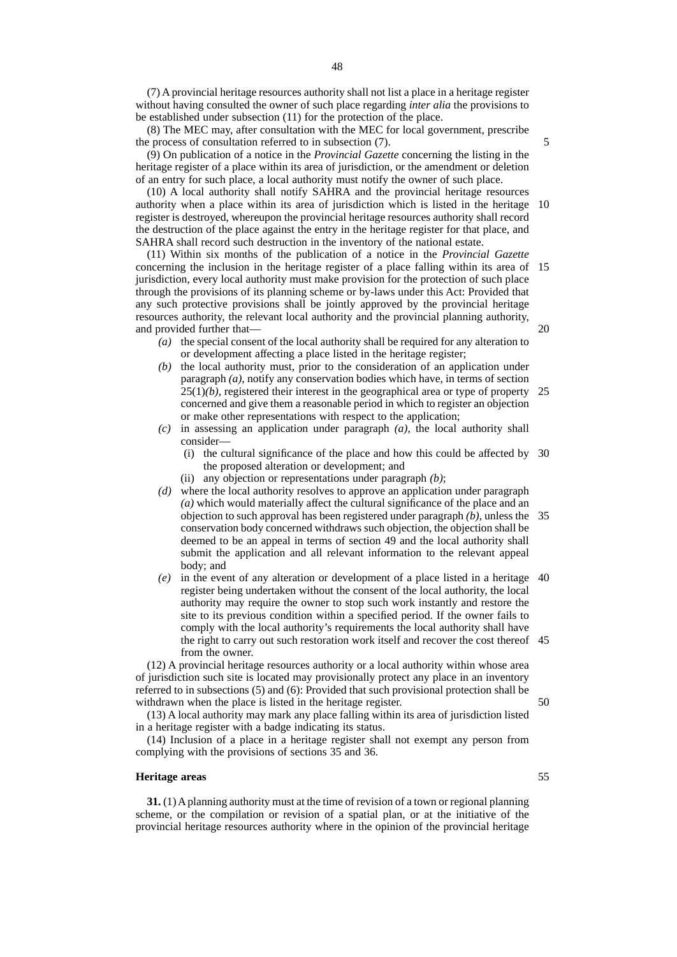(7) A provincial heritage resources authority shall not list a place in a heritage register without having consulted the owner of such place regarding *inter alia* the provisions to be established under subsection (11) for the protection of the place.

(8) The MEC may, after consultation with the MEC for local government, prescribe the process of consultation referred to in subsection (7).

(9) On publication of a notice in the *Provincial Gazette* concerning the listing in the heritage register of a place within its area of jurisdiction, or the amendment or deletion of an entry for such place, a local authority must notify the owner of such place.

(10) A local authority shall notify SAHRA and the provincial heritage resources authority when a place within its area of jurisdiction which is listed in the heritage 10 register is destroyed, whereupon the provincial heritage resources authority shall record the destruction of the place against the entry in the heritage register for that place, and SAHRA shall record such destruction in the inventory of the national estate.

(11) Within six months of the publication of a notice in the *Provincial Gazette* concerning the inclusion in the heritage register of a place falling within its area of jurisdiction, every local authority must make provision for the protection of such place through the provisions of its planning scheme or by-laws under this Act: Provided that any such protective provisions shall be jointly approved by the provincial heritage resources authority, the relevant local authority and the provincial planning authority, and provided further that— 15

- *(a)* the special consent of the local authority shall be required for any alteration to or development affecting a place listed in the heritage register;
- *(b)* the local authority must, prior to the consideration of an application under paragraph *(a)*, notify any conservation bodies which have, in terms of section 25(1)*(b)*, registered their interest in the geographical area or type of property concerned and give them a reasonable period in which to register an objection or make other representations with respect to the application; 25
- *(c)* in assessing an application under paragraph *(a)*, the local authority shall consider—
	- (i) the cultural significance of the place and how this could be affected by 30 the proposed alteration or development; and
	- (ii) any objection or representations under paragraph *(b)*;
- *(d)* where the local authority resolves to approve an application under paragraph *(a)* which would materially affect the cultural significance of the place and an objection to such approval has been registered under paragraph *(b)*, unless the 35 conservation body concerned withdraws such objection, the objection shall be deemed to be an appeal in terms of section 49 and the local authority shall submit the application and all relevant information to the relevant appeal body; and
- *(e)* in the event of any alteration or development of a place listed in a heritage 40 register being undertaken without the consent of the local authority, the local authority may require the owner to stop such work instantly and restore the site to its previous condition within a specified period. If the owner fails to comply with the local authority's requirements the local authority shall have the right to carry out such restoration work itself and recover the cost thereof 45 from the owner.

(12) A provincial heritage resources authority or a local authority within whose area of jurisdiction such site is located may provisionally protect any place in an inventory referred to in subsections (5) and (6): Provided that such provisional protection shall be withdrawn when the place is listed in the heritage register.

(13) A local authority may mark any place falling within its area of jurisdiction listed in a heritage register with a badge indicating its status.

(14) Inclusion of a place in a heritage register shall not exempt any person from complying with the provisions of sections 35 and 36.

## **Heritage areas**

**31.** (1) A planning authority must at the time of revision of a town or regional planning scheme, or the compilation or revision of a spatial plan, or at the initiative of the provincial heritage resources authority where in the opinion of the provincial heritage

55

50

20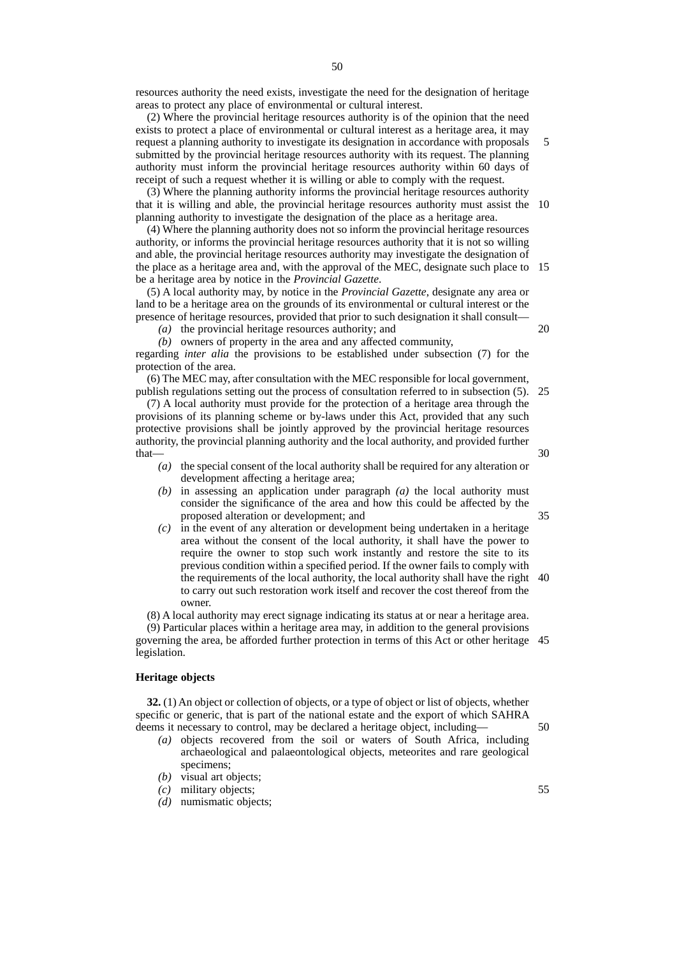resources authority the need exists, investigate the need for the designation of heritage

areas to protect any place of environmental or cultural interest. (2) Where the provincial heritage resources authority is of the opinion that the need exists to protect a place of environmental or cultural interest as a heritage area, it may request a planning authority to investigate its designation in accordance with proposals submitted by the provincial heritage resources authority with its request. The planning authority must inform the provincial heritage resources authority within 60 days of receipt of such a request whether it is willing or able to comply with the request.

(3) Where the planning authority informs the provincial heritage resources authority that it is willing and able, the provincial heritage resources authority must assist the 10 planning authority to investigate the designation of the place as a heritage area.

(4) Where the planning authority does not so inform the provincial heritage resources authority, or informs the provincial heritage resources authority that it is not so willing and able, the provincial heritage resources authority may investigate the designation of the place as a heritage area and, with the approval of the MEC, designate such place to 15 be a heritage area by notice in the *Provincial Gazette*.

(5) A local authority may, by notice in the *Provincial Gazette*, designate any area or land to be a heritage area on the grounds of its environmental or cultural interest or the presence of heritage resources, provided that prior to such designation it shall consult—

*(a)* the provincial heritage resources authority; and

*(b)* owners of property in the area and any affected community, regarding *inter alia* the provisions to be established under subsection (7) for the protection of the area.

(6) The MEC may, after consultation with the MEC responsible for local government, publish regulations setting out the process of consultation referred to in subsection (5). 25

(7) A local authority must provide for the protection of a heritage area through the provisions of its planning scheme or by-laws under this Act, provided that any such protective provisions shall be jointly approved by the provincial heritage resources authority, the provincial planning authority and the local authority, and provided further that— 30

- *(a)* the special consent of the local authority shall be required for any alteration or development affecting a heritage area;
- *(b)* in assessing an application under paragraph *(a)* the local authority must consider the significance of the area and how this could be affected by the proposed alteration or development; and
- *(c)* in the event of any alteration or development being undertaken in a heritage area without the consent of the local authority, it shall have the power to require the owner to stop such work instantly and restore the site to its previous condition within a specified period. If the owner fails to comply with the requirements of the local authority, the local authority shall have the right 40 to carry out such restoration work itself and recover the cost thereof from the owner.

(8) A local authority may erect signage indicating its status at or near a heritage area.

(9) Particular places within a heritage area may, in addition to the general provisions governing the area, be afforded further protection in terms of this Act or other heritage 45 legislation.

# **Heritage objects**

**32.** (1) An object or collection of objects, or a type of object or list of objects, whether specific or generic, that is part of the national estate and the export of which SAHRA deems it necessary to control, may be declared a heritage object, including—

- *(a)* objects recovered from the soil or waters of South Africa, including archaeological and palaeontological objects, meteorites and rare geological specimens;
- *(b)* visual art objects;
- *(c)* military objects;
- *(d)* numismatic objects;

55

50

20

5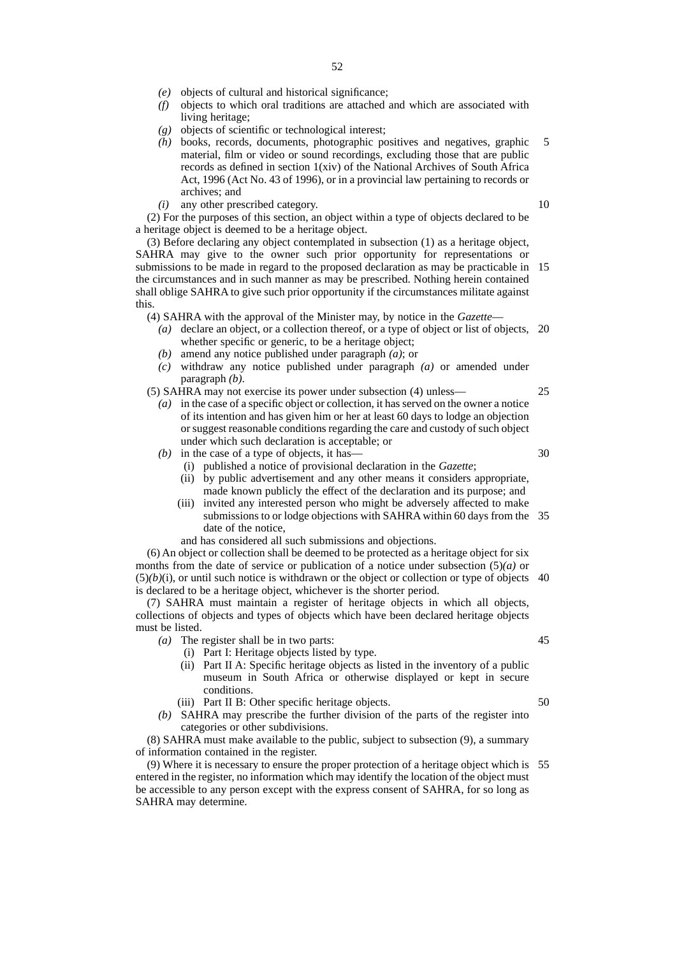- *(e)* objects of cultural and historical significance;
- *(f)* objects to which oral traditions are attached and which are associated with living heritage;
- *(g)* objects of scientific or technological interest;
- *(h)* books, records, documents, photographic positives and negatives, graphic material, film or video or sound recordings, excluding those that are public records as defined in section 1(xiv) of the National Archives of South Africa Act, 1996 (Act No. 43 of 1996), or in a provincial law pertaining to records or archives; and 5
- *(i)* any other prescribed category.

(2) For the purposes of this section, an object within a type of objects declared to be a heritage object is deemed to be a heritage object.

(3) Before declaring any object contemplated in subsection (1) as a heritage object, SAHRA may give to the owner such prior opportunity for representations or submissions to be made in regard to the proposed declaration as may be practicable in the circumstances and in such manner as may be prescribed. Nothing herein contained shall oblige SAHRA to give such prior opportunity if the circumstances militate against this. 15

(4) SAHRA with the approval of the Minister may, by notice in the *Gazette*—

- *(a)* declare an object, or a collection thereof, or a type of object or list of objects, 20 whether specific or generic, to be a heritage object;
- *(b)* amend any notice published under paragraph *(a)*; or
- *(c)* withdraw any notice published under paragraph *(a)* or amended under paragraph *(b)*.

(5) SAHRA may not exercise its power under subsection (4) unless—

- *(a)* in the case of a specific object or collection, it has served on the owner a notice of its intention and has given him or her at least 60 days to lodge an objection or suggest reasonable conditions regarding the care and custody of such object under which such declaration is acceptable; or
- *(b)* in the case of a type of objects, it has—
	- (i) published a notice of provisional declaration in the *Gazette*;
	- (ii) by public advertisement and any other means it considers appropriate, made known publicly the effect of the declaration and its purpose; and
	- (iii) invited any interested person who might be adversely affected to make submissions to or lodge objections with SAHRA within 60 days from the 35 date of the notice,

and has considered all such submissions and objections.

(6) An object or collection shall be deemed to be protected as a heritage object for six months from the date of service or publication of a notice under subsection (5)*(a)* or  $(5)(b)(i)$ , or until such notice is withdrawn or the object or collection or type of objects 40 is declared to be a heritage object, whichever is the shorter period.

(7) SAHRA must maintain a register of heritage objects in which all objects, collections of objects and types of objects which have been declared heritage objects must be listed.

*(a)* The register shall be in two parts:

- (i) Part I: Heritage objects listed by type.
- (ii) Part II A: Specific heritage objects as listed in the inventory of a public museum in South Africa or otherwise displayed or kept in secure conditions.
- (iii) Part II B: Other specific heritage objects.
- *(b)* SAHRA may prescribe the further division of the parts of the register into categories or other subdivisions.

(8) SAHRA must make available to the public, subject to subsection (9), a summary of information contained in the register.

(9) Where it is necessary to ensure the proper protection of a heritage object which is 55entered in the register, no information which may identify the location of the object must be accessible to any person except with the express consent of SAHRA, for so long as SAHRA may determine.

10

30

25

45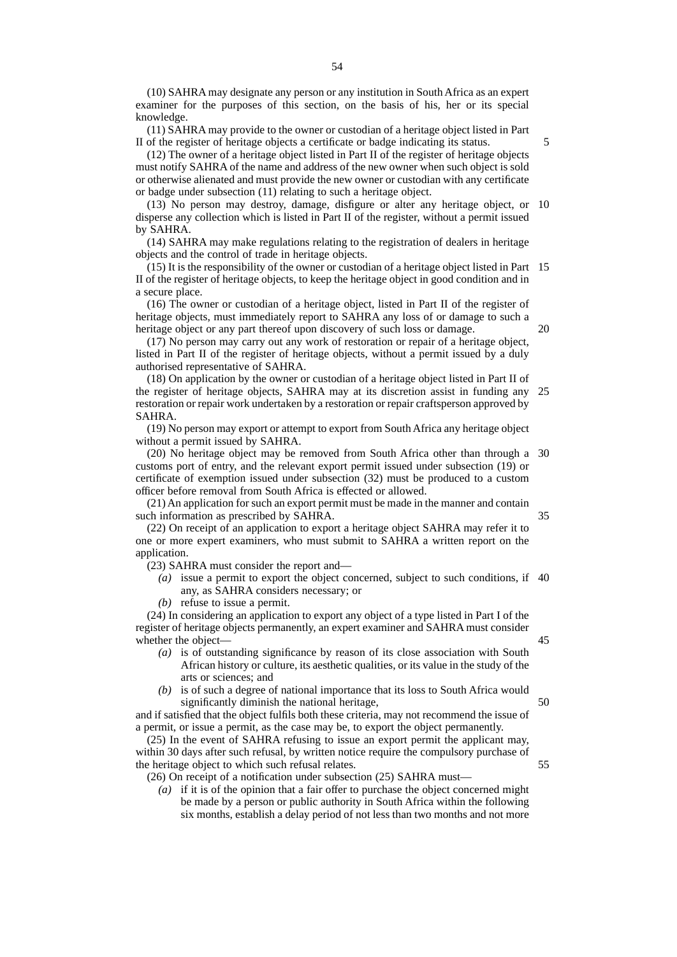(10) SAHRA may designate any person or any institution in South Africa as an expert examiner for the purposes of this section, on the basis of his, her or its special knowledge.

(11) SAHRA may provide to the owner or custodian of a heritage object listed in Part II of the register of heritage objects a certificate or badge indicating its status.

(12) The owner of a heritage object listed in Part II of the register of heritage objects must notify SAHRA of the name and address of the new owner when such object is sold or otherwise alienated and must provide the new owner or custodian with any certificate or badge under subsection (11) relating to such a heritage object.

(13) No person may destroy, damage, disfigure or alter any heritage object, or 10 disperse any collection which is listed in Part II of the register, without a permit issued by SAHRA.

(14) SAHRA may make regulations relating to the registration of dealers in heritage objects and the control of trade in heritage objects.

(15) It is the responsibility of the owner or custodian of a heritage object listed in Part 15 II of the register of heritage objects, to keep the heritage object in good condition and in a secure place.

(16) The owner or custodian of a heritage object, listed in Part II of the register of heritage objects, must immediately report to SAHRA any loss of or damage to such a heritage object or any part thereof upon discovery of such loss or damage.

20

50

55

5

(17) No person may carry out any work of restoration or repair of a heritage object, listed in Part II of the register of heritage objects, without a permit issued by a duly authorised representative of SAHRA.

(18) On application by the owner or custodian of a heritage object listed in Part II of the register of heritage objects, SAHRA may at its discretion assist in funding any restoration or repair work undertaken by a restoration or repair craftsperson approved by SAHRA. 25

(19) No person may export or attempt to export from South Africa any heritage object without a permit issued by SAHRA.

(20) No heritage object may be removed from South Africa other than through a 30 customs port of entry, and the relevant export permit issued under subsection (19) or certificate of exemption issued under subsection (32) must be produced to a custom officer before removal from South Africa is effected or allowed.

(21) An application for such an export permit must be made in the manner and contain such information as prescribed by SAHRA. 35

(22) On receipt of an application to export a heritage object SAHRA may refer it to one or more expert examiners, who must submit to SAHRA a written report on the application.

(23) SAHRA must consider the report and—

- *(a)* issue a permit to export the object concerned, subject to such conditions, if 40 any, as SAHRA considers necessary; or
- *(b)* refuse to issue a permit.

(24) In considering an application to export any object of a type listed in Part I of the register of heritage objects permanently, an expert examiner and SAHRA must consider whether the object— 45

- *(a)* is of outstanding significance by reason of its close association with South African history or culture, its aesthetic qualities, or its value in the study of the arts or sciences; and
- *(b)* is of such a degree of national importance that its loss to South Africa would significantly diminish the national heritage,

and if satisfied that the object fulfils both these criteria, may not recommend the issue of a permit, or issue a permit, as the case may be, to export the object permanently.

(25) In the event of SAHRA refusing to issue an export permit the applicant may, within 30 days after such refusal, by written notice require the compulsory purchase of the heritage object to which such refusal relates.

(26) On receipt of a notification under subsection (25) SAHRA must—

*(a)* if it is of the opinion that a fair offer to purchase the object concerned might be made by a person or public authority in South Africa within the following six months, establish a delay period of not less than two months and not more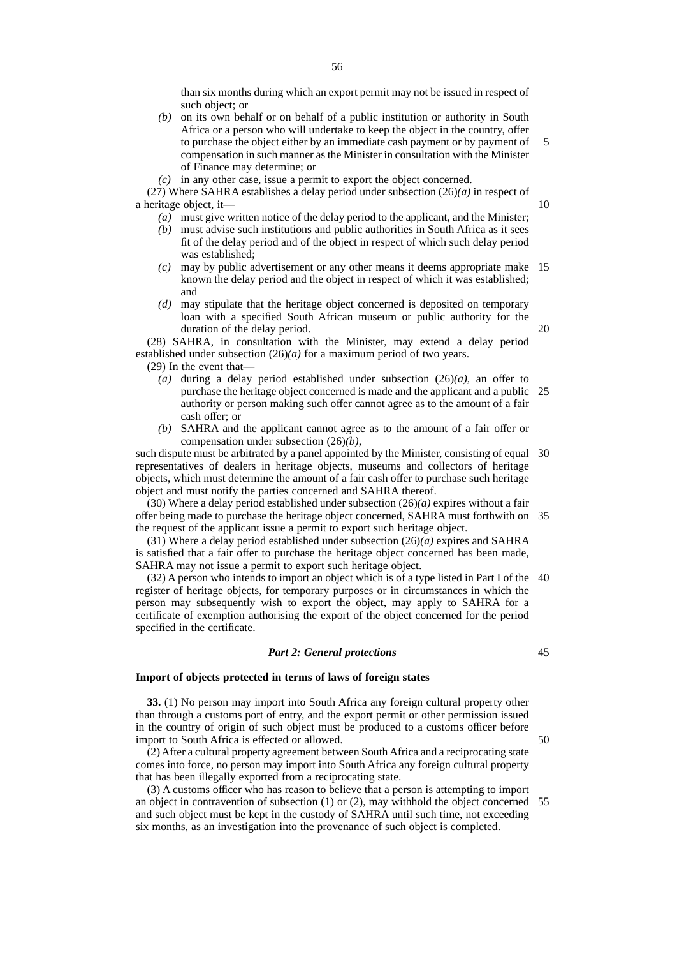than six months during which an export permit may not be issued in respect of such object; or

*(b)* on its own behalf or on behalf of a public institution or authority in South Africa or a person who will undertake to keep the object in the country, offer to purchase the object either by an immediate cash payment or by payment of compensation in such manner as the Minister in consultation with the Minister of Finance may determine; or 5

*(c)* in any other case, issue a permit to export the object concerned.

(27) Where SAHRA establishes a delay period under subsection (26)*(a)* in respect of a heritage object, it—

- *(a)* must give written notice of the delay period to the applicant, and the Minister;
- *(b)* must advise such institutions and public authorities in South Africa as it sees fit of the delay period and of the object in respect of which such delay period was established;
- *(c)* may by public advertisement or any other means it deems appropriate make 15 known the delay period and the object in respect of which it was established; and
- *(d)* may stipulate that the heritage object concerned is deposited on temporary loan with a specified South African museum or public authority for the duration of the delay period.

(28) SAHRA, in consultation with the Minister, may extend a delay period established under subsection (26)*(a)* for a maximum period of two years.

(29) In the event that—

- *(a)* during a delay period established under subsection (26)*(a)*, an offer to purchase the heritage object concerned is made and the applicant and a public 25 authority or person making such offer cannot agree as to the amount of a fair cash offer; or
- *(b)* SAHRA and the applicant cannot agree as to the amount of a fair offer or compensation under subsection (26)*(b)*,

such dispute must be arbitrated by a panel appointed by the Minister, consisting of equal 30 representatives of dealers in heritage objects, museums and collectors of heritage objects, which must determine the amount of a fair cash offer to purchase such heritage object and must notify the parties concerned and SAHRA thereof.

(30) Where a delay period established under subsection (26)*(a)* expires without a fair offer being made to purchase the heritage object concerned, SAHRA must forthwith on 35 the request of the applicant issue a permit to export such heritage object.

(31) Where a delay period established under subsection (26)*(a)* expires and SAHRA is satisfied that a fair offer to purchase the heritage object concerned has been made, SAHRA may not issue a permit to export such heritage object.

(32) A person who intends to import an object which is of a type listed in Part I of the 40 register of heritage objects, for temporary purposes or in circumstances in which the person may subsequently wish to export the object, may apply to SAHRA for a certificate of exemption authorising the export of the object concerned for the period specified in the certificate.

# *Part 2: General protections*

## 45

50

#### **Import of objects protected in terms of laws of foreign states**

**33.** (1) No person may import into South Africa any foreign cultural property other than through a customs port of entry, and the export permit or other permission issued in the country of origin of such object must be produced to a customs officer before import to South Africa is effected or allowed.

(2) After a cultural property agreement between South Africa and a reciprocating state comes into force, no person may import into South Africa any foreign cultural property that has been illegally exported from a reciprocating state.

(3) A customs officer who has reason to believe that a person is attempting to import an object in contravention of subsection (1) or (2), may withhold the object concerned 55and such object must be kept in the custody of SAHRA until such time, not exceeding six months, as an investigation into the provenance of such object is completed.

10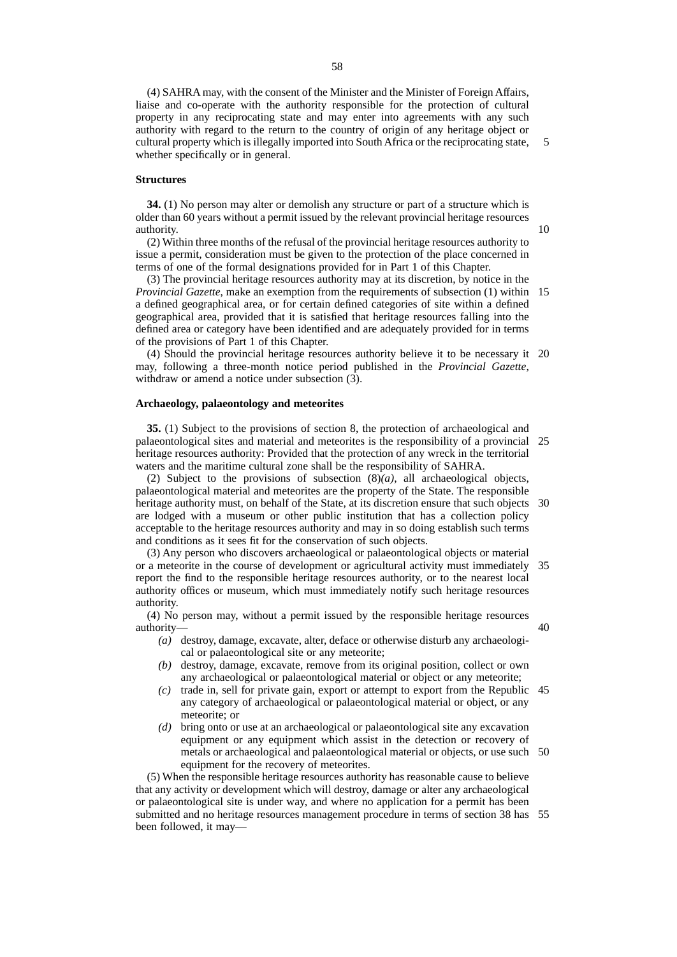(4) SAHRA may, with the consent of the Minister and the Minister of Foreign Affairs, liaise and co-operate with the authority responsible for the protection of cultural property in any reciprocating state and may enter into agreements with any such authority with regard to the return to the country of origin of any heritage object or cultural property which is illegally imported into South Africa or the reciprocating state, whether specifically or in general.

# **Structures**

**34.** (1) No person may alter or demolish any structure or part of a structure which is older than 60 years without a permit issued by the relevant provincial heritage resources authority.

(2) Within three months of the refusal of the provincial heritage resources authority to issue a permit, consideration must be given to the protection of the place concerned in terms of one of the formal designations provided for in Part 1 of this Chapter.

(3) The provincial heritage resources authority may at its discretion, by notice in the *Provincial Gazette*, make an exemption from the requirements of subsection (1) within 15 a defined geographical area, or for certain defined categories of site within a defined geographical area, provided that it is satisfied that heritage resources falling into the defined area or category have been identified and are adequately provided for in terms of the provisions of Part 1 of this Chapter.

(4) Should the provincial heritage resources authority believe it to be necessary it 20 may, following a three-month notice period published in the *Provincial Gazette*, withdraw or amend a notice under subsection (3).

# **Archaeology, palaeontology and meteorites**

**35.** (1) Subject to the provisions of section 8, the protection of archaeological and palaeontological sites and material and meteorites is the responsibility of a provincial 25 heritage resources authority: Provided that the protection of any wreck in the territorial waters and the maritime cultural zone shall be the responsibility of SAHRA.

(2) Subject to the provisions of subsection (8)*(a)*, all archaeological objects, palaeontological material and meteorites are the property of the State. The responsible heritage authority must, on behalf of the State, at its discretion ensure that such objects 30 are lodged with a museum or other public institution that has a collection policy acceptable to the heritage resources authority and may in so doing establish such terms and conditions as it sees fit for the conservation of such objects.

(3) Any person who discovers archaeological or palaeontological objects or material or a meteorite in the course of development or agricultural activity must immediately report the find to the responsible heritage resources authority, or to the nearest local authority offices or museum, which must immediately notify such heritage resources authority. 35

(4) No person may, without a permit issued by the responsible heritage resources authority—

- *(a)* destroy, damage, excavate, alter, deface or otherwise disturb any archaeological or palaeontological site or any meteorite;
- *(b)* destroy, damage, excavate, remove from its original position, collect or own any archaeological or palaeontological material or object or any meteorite;
- *(c)* trade in, sell for private gain, export or attempt to export from the Republic 45 any category of archaeological or palaeontological material or object, or any meteorite; or
- *(d)* bring onto or use at an archaeological or palaeontological site any excavation equipment or any equipment which assist in the detection or recovery of metals or archaeological and palaeontological material or objects, or use such 50 equipment for the recovery of meteorites.

(5) When the responsible heritage resources authority has reasonable cause to believe that any activity or development which will destroy, damage or alter any archaeological or palaeontological site is under way, and where no application for a permit has been submitted and no heritage resources management procedure in terms of section 38 has 55been followed, it may—

10

5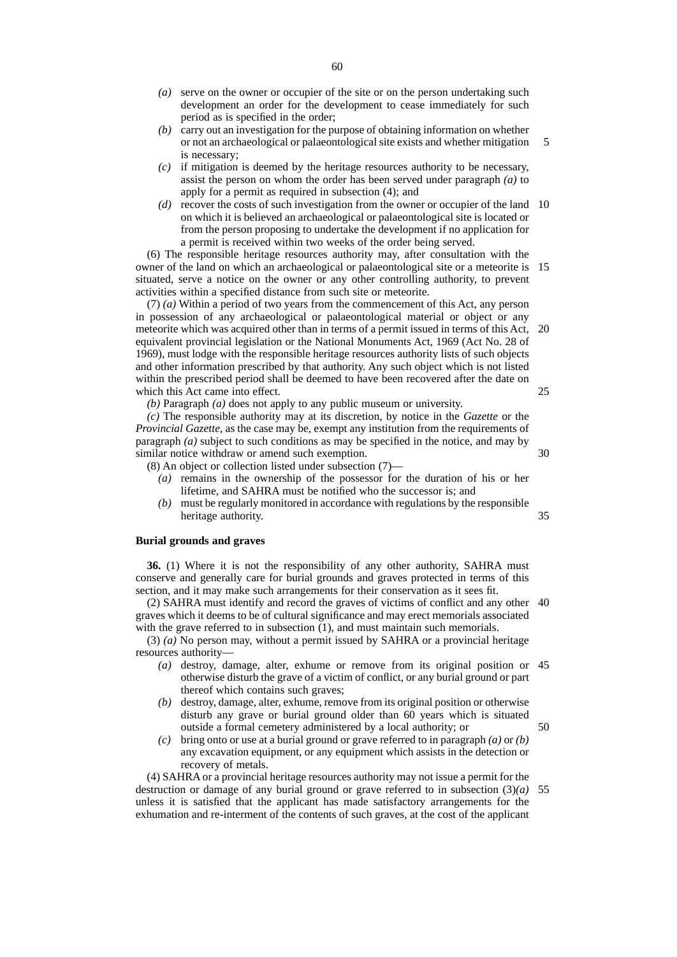- *(a)* serve on the owner or occupier of the site or on the person undertaking such development an order for the development to cease immediately for such period as is specified in the order;
- *(b)* carry out an investigation for the purpose of obtaining information on whether or not an archaeological or palaeontological site exists and whether mitigation is necessary; 5
- *(c)* if mitigation is deemed by the heritage resources authority to be necessary, assist the person on whom the order has been served under paragraph *(a)* to apply for a permit as required in subsection (4); and
- *(d)* recover the costs of such investigation from the owner or occupier of the land 10 on which it is believed an archaeological or palaeontological site is located or from the person proposing to undertake the development if no application for a permit is received within two weeks of the order being served.

(6) The responsible heritage resources authority may, after consultation with the owner of the land on which an archaeological or palaeontological site or a meteorite is situated, serve a notice on the owner or any other controlling authority, to prevent activities within a specified distance from such site or meteorite. 15

(7) *(a)* Within a period of two years from the commencement of this Act, any person in possession of any archaeological or palaeontological material or object or any meteorite which was acquired other than in terms of a permit issued in terms of this Act, equivalent provincial legislation or the National Monuments Act, 1969 (Act No. 28 of 1969), must lodge with the responsible heritage resources authority lists of such objects and other information prescribed by that authority. Any such object which is not listed within the prescribed period shall be deemed to have been recovered after the date on which this Act came into effect. 20 25

*(b)* Paragraph *(a)* does not apply to any public museum or university.

*(c)* The responsible authority may at its discretion, by notice in the *Gazette* or the *Provincial Gazette*, as the case may be, exempt any institution from the requirements of paragraph *(a)* subject to such conditions as may be specified in the notice, and may by similar notice withdraw or amend such exemption.

(8) An object or collection listed under subsection (7)—

*(a)* remains in the ownership of the possessor for the duration of his or her lifetime, and SAHRA must be notified who the successor is; and

30

50

*(b)* must be regularly monitored in accordance with regulations by the responsible heritage authority. 35

# **Burial grounds and graves**

**36.** (1) Where it is not the responsibility of any other authority, SAHRA must conserve and generally care for burial grounds and graves protected in terms of this section, and it may make such arrangements for their conservation as it sees fit.

(2) SAHRA must identify and record the graves of victims of conflict and any other 40 graves which it deems to be of cultural significance and may erect memorials associated with the grave referred to in subsection (1), and must maintain such memorials.

(3) *(a)* No person may, without a permit issued by SAHRA or a provincial heritage resources authority—

- *(a)* destroy, damage, alter, exhume or remove from its original position or 45 otherwise disturb the grave of a victim of conflict, or any burial ground or part thereof which contains such graves;
- *(b)* destroy, damage, alter, exhume, remove from its original position or otherwise disturb any grave or burial ground older than 60 years which is situated outside a formal cemetery administered by a local authority; or
- *(c)* bring onto or use at a burial ground or grave referred to in paragraph *(a)* or *(b)* any excavation equipment, or any equipment which assists in the detection or recovery of metals.

(4) SAHRA or a provincial heritage resources authority may not issue a permit for the destruction or damage of any burial ground or grave referred to in subsection (3)*(a)* unless it is satisfied that the applicant has made satisfactory arrangements for the exhumation and re-interment of the contents of such graves, at the cost of the applicant 55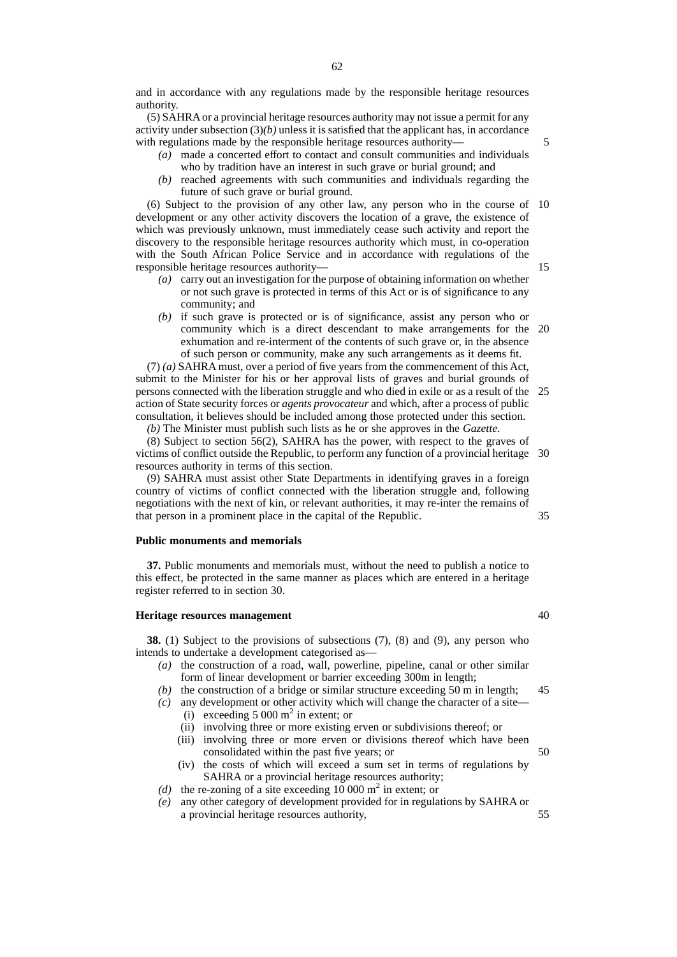and in accordance with any regulations made by the responsible heritage resources authority.

(5) SAHRA or a provincial heritage resources authority may not issue a permit for any activity under subsection  $(3)(b)$  unless it is satisfied that the applicant has, in accordance with regulations made by the responsible heritage resources authority—

- *(a)* made a concerted effort to contact and consult communities and individuals who by tradition have an interest in such grave or burial ground; and
- *(b)* reached agreements with such communities and individuals regarding the future of such grave or burial ground.

(6) Subject to the provision of any other law, any person who in the course of 10 development or any other activity discovers the location of a grave, the existence of which was previously unknown, must immediately cease such activity and report the discovery to the responsible heritage resources authority which must, in co-operation with the South African Police Service and in accordance with regulations of the responsible heritage resources authority— 15

- *(a)* carry out an investigation for the purpose of obtaining information on whether or not such grave is protected in terms of this Act or is of significance to any community; and
- *(b)* if such grave is protected or is of significance, assist any person who or community which is a direct descendant to make arrangements for the exhumation and re-interment of the contents of such grave or, in the absence of such person or community, make any such arrangements as it deems fit. 20

(7) *(a)* SAHRA must, over a period of five years from the commencement of this Act, submit to the Minister for his or her approval lists of graves and burial grounds of persons connected with the liberation struggle and who died in exile or as a result of the 25 action of State security forces or *agents provocateur* and which, after a process of public consultation, it believes should be included among those protected under this section.

*(b)* The Minister must publish such lists as he or she approves in the *Gazette*.

(8) Subject to section 56(2), SAHRA has the power, with respect to the graves of victims of conflict outside the Republic, to perform any function of a provincial heritage 30 resources authority in terms of this section.

(9) SAHRA must assist other State Departments in identifying graves in a foreign country of victims of conflict connected with the liberation struggle and, following negotiations with the next of kin, or relevant authorities, it may re-inter the remains of that person in a prominent place in the capital of the Republic. 35

# **Public monuments and memorials**

**37.** Public monuments and memorials must, without the need to publish a notice to this effect, be protected in the same manner as places which are entered in a heritage register referred to in section 30.

# **Heritage resources management**

**38.** (1) Subject to the provisions of subsections (7), (8) and (9), any person who intends to undertake a development categorised as—

- *(a)* the construction of a road, wall, powerline, pipeline, canal or other similar form of linear development or barrier exceeding 300m in length;
- *(b)* the construction of a bridge or similar structure exceeding 50 m in length; 45
- *(c)* any development or other activity which will change the character of a site— (i) exceeding  $5000 \text{ m}^2$  in extent; or
	- (ii) involving three or more existing erven or subdivisions thereof; or
	- (iii) involving three or more erven or divisions thereof which have been consolidated within the past five years; or
	- (iv) the costs of which will exceed a sum set in terms of regulations by SAHRA or a provincial heritage resources authority;
- (d) the re-zoning of a site exceeding  $10\,000\,\mathrm{m}^2$  in extent; or
- *(e)* any other category of development provided for in regulations by SAHRA or a provincial heritage resources authority, 55

40

50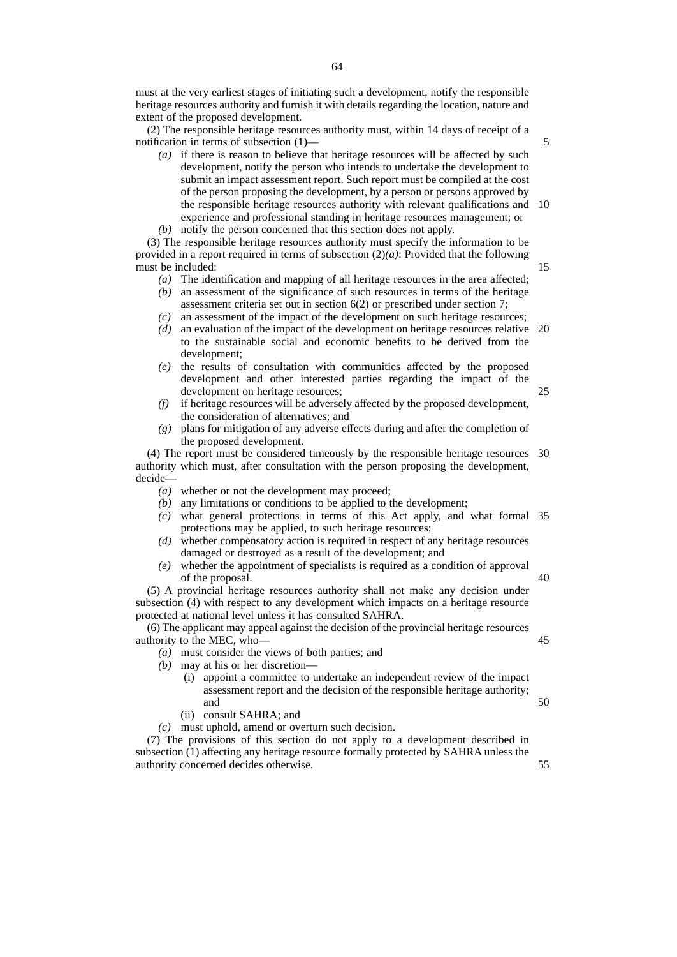must at the very earliest stages of initiating such a development, notify the responsible heritage resources authority and furnish it with details regarding the location, nature and extent of the proposed development.

(2) The responsible heritage resources authority must, within 14 days of receipt of a notification in terms of subsection (1)—

*(a)* if there is reason to believe that heritage resources will be affected by such development, notify the person who intends to undertake the development to submit an impact assessment report. Such report must be compiled at the cost of the person proposing the development, by a person or persons approved by the responsible heritage resources authority with relevant qualifications and 10 experience and professional standing in heritage resources management; or

*(b)* notify the person concerned that this section does not apply.

(3) The responsible heritage resources authority must specify the information to be provided in a report required in terms of subsection (2)*(a)*: Provided that the following must be included:

- *(a)* The identification and mapping of all heritage resources in the area affected;
- *(b)* an assessment of the significance of such resources in terms of the heritage assessment criteria set out in section 6(2) or prescribed under section 7;
- *(c)* an assessment of the impact of the development on such heritage resources;
- *(d)* an evaluation of the impact of the development on heritage resources relative to the sustainable social and economic benefits to be derived from the development; 20
- *(e)* the results of consultation with communities affected by the proposed development and other interested parties regarding the impact of the development on heritage resources;
- *(f)* if heritage resources will be adversely affected by the proposed development, the consideration of alternatives; and
- *(g)* plans for mitigation of any adverse effects during and after the completion of the proposed development.

(4) The report must be considered timeously by the responsible heritage resources 30 authority which must, after consultation with the person proposing the development, decide—

- *(a)* whether or not the development may proceed;
- *(b)* any limitations or conditions to be applied to the development;
- *(c)* what general protections in terms of this Act apply, and what formal 35 protections may be applied, to such heritage resources;
- *(d)* whether compensatory action is required in respect of any heritage resources damaged or destroyed as a result of the development; and
- *(e)* whether the appointment of specialists is required as a condition of approval of the proposal. 40

(5) A provincial heritage resources authority shall not make any decision under subsection (4) with respect to any development which impacts on a heritage resource protected at national level unless it has consulted SAHRA.

(6) The applicant may appeal against the decision of the provincial heritage resources authority to the MEC, who—

*(a)* must consider the views of both parties; and

*(b)* may at his or her discretion—

- (i) appoint a committee to undertake an independent review of the impact assessment report and the decision of the responsible heritage authority; and
- (ii) consult SAHRA; and
- *(c)* must uphold, amend or overturn such decision.

(7) The provisions of this section do not apply to a development described in subsection (1) affecting any heritage resource formally protected by SAHRA unless the authority concerned decides otherwise.

5

15

25

45

50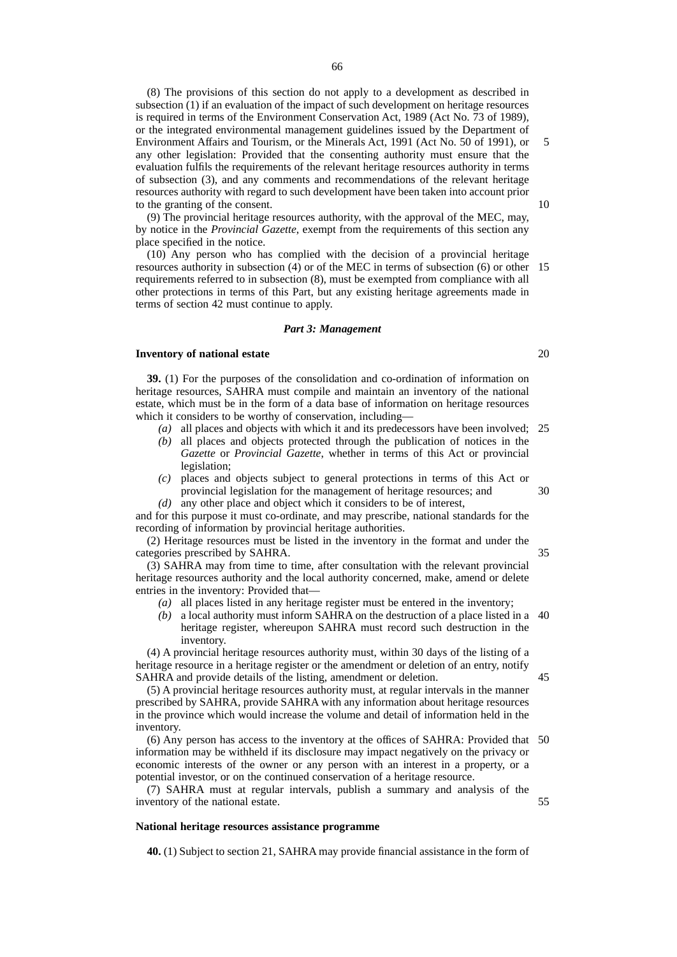(8) The provisions of this section do not apply to a development as described in subsection (1) if an evaluation of the impact of such development on heritage resources is required in terms of the Environment Conservation Act, 1989 (Act No. 73 of 1989), or the integrated environmental management guidelines issued by the Department of Environment Affairs and Tourism, or the Minerals Act, 1991 (Act No. 50 of 1991), or any other legislation: Provided that the consenting authority must ensure that the evaluation fulfils the requirements of the relevant heritage resources authority in terms of subsection (3), and any comments and recommendations of the relevant heritage resources authority with regard to such development have been taken into account prior to the granting of the consent.

(9) The provincial heritage resources authority, with the approval of the MEC, may, by notice in the *Provincial Gazette*, exempt from the requirements of this section any place specified in the notice.

(10) Any person who has complied with the decision of a provincial heritage resources authority in subsection (4) or of the MEC in terms of subsection (6) or other requirements referred to in subsection (8), must be exempted from compliance with all other protections in terms of this Part, but any existing heritage agreements made in terms of section 42 must continue to apply. 15

# *Part 3: Management*

# **Inventory of national estate**

**39.** (1) For the purposes of the consolidation and co-ordination of information on heritage resources, SAHRA must compile and maintain an inventory of the national estate, which must be in the form of a data base of information on heritage resources which it considers to be worthy of conservation, including—

- *(a)* all places and objects with which it and its predecessors have been involved; 25
- *(b)* all places and objects protected through the publication of notices in the *Gazette* or *Provincial Gazette*, whether in terms of this Act or provincial legislation;
- *(c)* places and objects subject to general protections in terms of this Act or provincial legislation for the management of heritage resources; and 30
- *(d)* any other place and object which it considers to be of interest,

and for this purpose it must co-ordinate, and may prescribe, national standards for the recording of information by provincial heritage authorities.

(2) Heritage resources must be listed in the inventory in the format and under the categories prescribed by SAHRA. 35

(3) SAHRA may from time to time, after consultation with the relevant provincial heritage resources authority and the local authority concerned, make, amend or delete entries in the inventory: Provided that—

- *(a)* all places listed in any heritage register must be entered in the inventory;
- *(b)* a local authority must inform SAHRA on the destruction of a place listed in a 40 heritage register, whereupon SAHRA must record such destruction in the inventory.

(4) A provincial heritage resources authority must, within 30 days of the listing of a heritage resource in a heritage register or the amendment or deletion of an entry, notify SAHRA and provide details of the listing, amendment or deletion.

45

55

(5) A provincial heritage resources authority must, at regular intervals in the manner prescribed by SAHRA, provide SAHRA with any information about heritage resources in the province which would increase the volume and detail of information held in the inventory.

(6) Any person has access to the inventory at the offices of SAHRA: Provided that 50 information may be withheld if its disclosure may impact negatively on the privacy or economic interests of the owner or any person with an interest in a property, or a potential investor, or on the continued conservation of a heritage resource.

(7) SAHRA must at regular intervals, publish a summary and analysis of the inventory of the national estate.

#### **National heritage resources assistance programme**

**40.** (1) Subject to section 21, SAHRA may provide financial assistance in the form of

20

5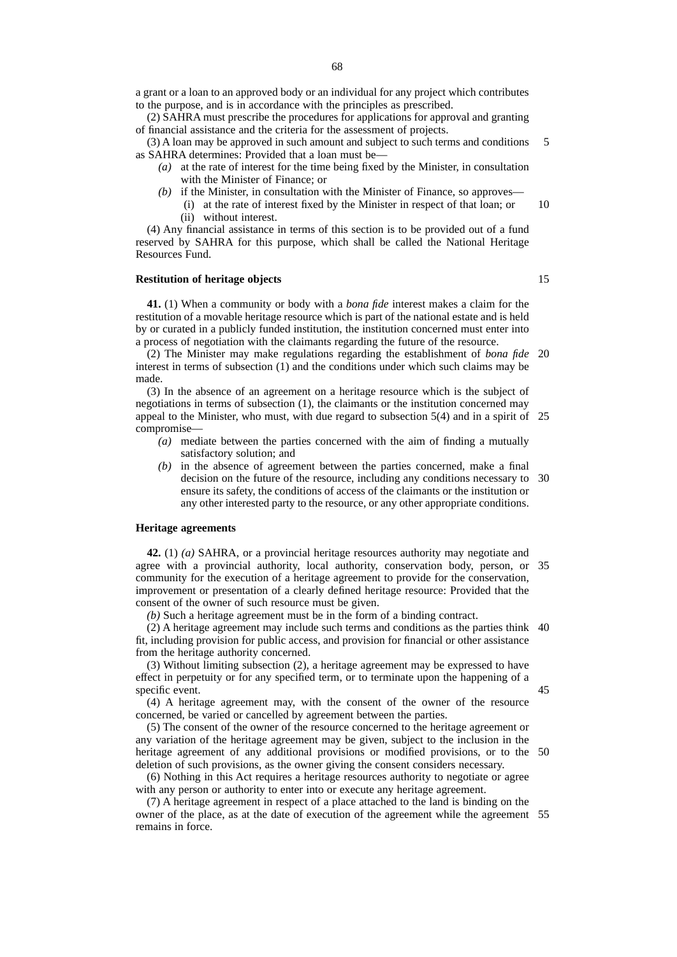a grant or a loan to an approved body or an individual for any project which contributes to the purpose, and is in accordance with the principles as prescribed.

(2) SAHRA must prescribe the procedures for applications for approval and granting of financial assistance and the criteria for the assessment of projects.

(3) A loan may be approved in such amount and subject to such terms and conditions as SAHRA determines: Provided that a loan must be— 5

- *(a)* at the rate of interest for the time being fixed by the Minister, in consultation with the Minister of Finance; or
- *(b)* if the Minister, in consultation with the Minister of Finance, so approves—
	- (i) at the rate of interest fixed by the Minister in respect of that loan; or (ii) without interest.

(4) Any financial assistance in terms of this section is to be provided out of a fund reserved by SAHRA for this purpose, which shall be called the National Heritage Resources Fund.

# **Restitution of heritage objects**

**41.** (1) When a community or body with a *bona fide* interest makes a claim for the restitution of a movable heritage resource which is part of the national estate and is held by or curated in a publicly funded institution, the institution concerned must enter into a process of negotiation with the claimants regarding the future of the resource.

(2) The Minister may make regulations regarding the establishment of *bona fide* 20 interest in terms of subsection (1) and the conditions under which such claims may be made.

(3) In the absence of an agreement on a heritage resource which is the subject of negotiations in terms of subsection (1), the claimants or the institution concerned may appeal to the Minister, who must, with due regard to subsection 5(4) and in a spirit of 25 compromise—

- *(a)* mediate between the parties concerned with the aim of finding a mutually satisfactory solution; and
- *(b)* in the absence of agreement between the parties concerned, make a final decision on the future of the resource, including any conditions necessary to 30 ensure its safety, the conditions of access of the claimants or the institution or any other interested party to the resource, or any other appropriate conditions.

# **Heritage agreements**

**42.** (1) *(a)* SAHRA, or a provincial heritage resources authority may negotiate and agree with a provincial authority, local authority, conservation body, person, or 35 community for the execution of a heritage agreement to provide for the conservation, improvement or presentation of a clearly defined heritage resource: Provided that the consent of the owner of such resource must be given.

*(b)* Such a heritage agreement must be in the form of a binding contract.

(2) A heritage agreement may include such terms and conditions as the parties think 40 fit, including provision for public access, and provision for financial or other assistance from the heritage authority concerned.

(3) Without limiting subsection (2), a heritage agreement may be expressed to have effect in perpetuity or for any specified term, or to terminate upon the happening of a specific event.

(4) A heritage agreement may, with the consent of the owner of the resource concerned, be varied or cancelled by agreement between the parties.

(5) The consent of the owner of the resource concerned to the heritage agreement or any variation of the heritage agreement may be given, subject to the inclusion in the heritage agreement of any additional provisions or modified provisions, or to the 50 deletion of such provisions, as the owner giving the consent considers necessary.

(6) Nothing in this Act requires a heritage resources authority to negotiate or agree with any person or authority to enter into or execute any heritage agreement.

(7) A heritage agreement in respect of a place attached to the land is binding on the owner of the place, as at the date of execution of the agreement while the agreement 55remains in force.

10

15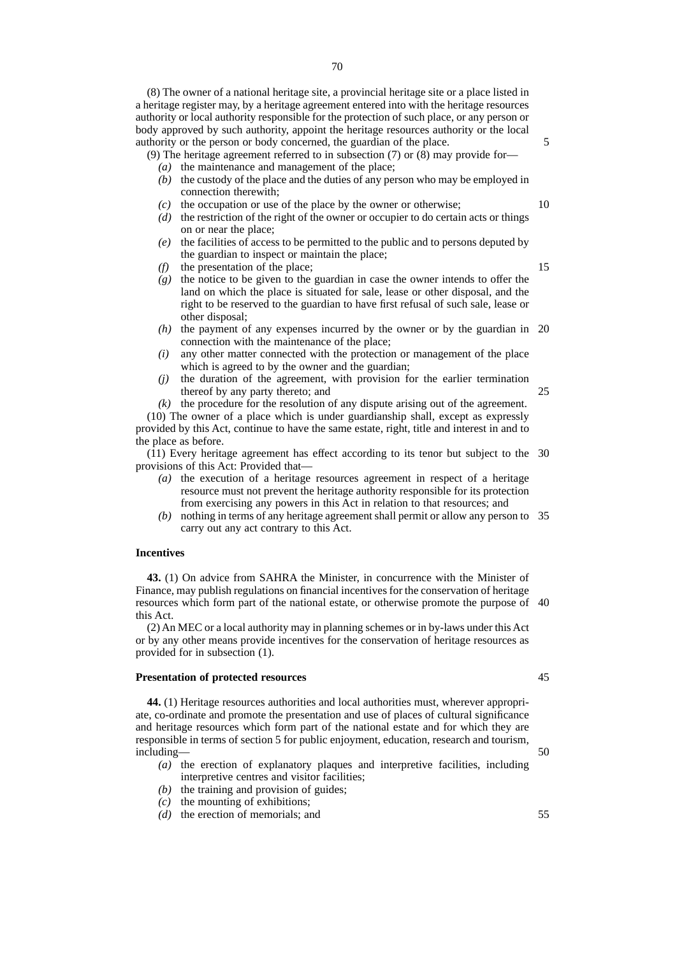(8) The owner of a national heritage site, a provincial heritage site or a place listed in a heritage register may, by a heritage agreement entered into with the heritage resources authority or local authority responsible for the protection of such place, or any person or body approved by such authority, appoint the heritage resources authority or the local authority or the person or body concerned, the guardian of the place.

- (9) The heritage agreement referred to in subsection (7) or (8) may provide for—
	- *(a)* the maintenance and management of the place;
	- *(b)* the custody of the place and the duties of any person who may be employed in connection therewith;
	- *(c)* the occupation or use of the place by the owner or otherwise;
	- *(d)* the restriction of the right of the owner or occupier to do certain acts or things on or near the place;
	- *(e)* the facilities of access to be permitted to the public and to persons deputed by the guardian to inspect or maintain the place;
	- *(f)* the presentation of the place;
	- *(g)* the notice to be given to the guardian in case the owner intends to offer the land on which the place is situated for sale, lease or other disposal, and the right to be reserved to the guardian to have first refusal of such sale, lease or other disposal;
	- *(h)* the payment of any expenses incurred by the owner or by the guardian in 20 connection with the maintenance of the place;
	- *(i)* any other matter connected with the protection or management of the place which is agreed to by the owner and the guardian;
	- *(j)* the duration of the agreement, with provision for the earlier termination thereof by any party thereto; and 25

*(k)* the procedure for the resolution of any dispute arising out of the agreement.

(10) The owner of a place which is under guardianship shall, except as expressly provided by this Act, continue to have the same estate, right, title and interest in and to the place as before.

(11) Every heritage agreement has effect according to its tenor but subject to the 30 provisions of this Act: Provided that—

- *(a)* the execution of a heritage resources agreement in respect of a heritage resource must not prevent the heritage authority responsible for its protection from exercising any powers in this Act in relation to that resources; and
- *(b)* nothing in terms of any heritage agreement shall permit or allow any person to 35 carry out any act contrary to this Act.

# **Incentives**

**43.** (1) On advice from SAHRA the Minister, in concurrence with the Minister of Finance, may publish regulations on financial incentives for the conservation of heritage resources which form part of the national estate, or otherwise promote the purpose of 40 this Act.

(2) An MEC or a local authority may in planning schemes or in by-laws under this Act or by any other means provide incentives for the conservation of heritage resources as provided for in subsection (1).

#### **Presentation of protected resources**

**44.** (1) Heritage resources authorities and local authorities must, wherever appropriate, co-ordinate and promote the presentation and use of places of cultural significance and heritage resources which form part of the national estate and for which they are responsible in terms of section 5 for public enjoyment, education, research and tourism, including—

- *(a)* the erection of explanatory plaques and interpretive facilities, including interpretive centres and visitor facilities;
- *(b)* the training and provision of guides;
- *(c)* the mounting of exhibitions;
- *(d)* the erection of memorials; and

50

45

10

15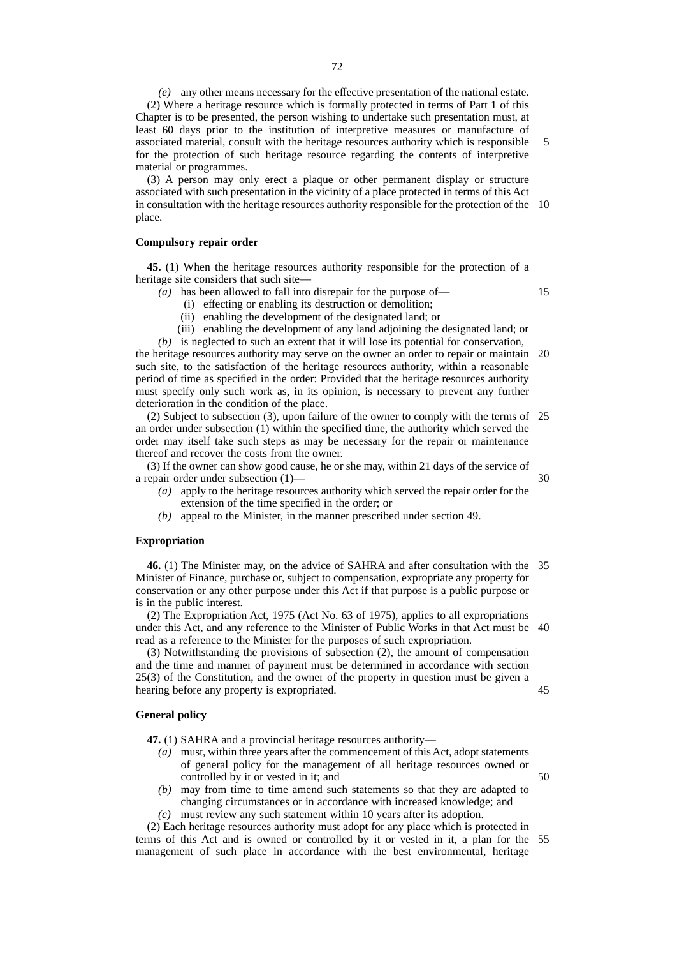*(e)* any other means necessary for the effective presentation of the national estate. (2) Where a heritage resource which is formally protected in terms of Part 1 of this Chapter is to be presented, the person wishing to undertake such presentation must, at least 60 days prior to the institution of interpretive measures or manufacture of associated material, consult with the heritage resources authority which is responsible for the protection of such heritage resource regarding the contents of interpretive material or programmes. 5

(3) A person may only erect a plaque or other permanent display or structure associated with such presentation in the vicinity of a place protected in terms of this Act in consultation with the heritage resources authority responsible for the protection of the 10 place.

# **Compulsory repair order**

**45.** (1) When the heritage resources authority responsible for the protection of a heritage site considers that such site—

- *(a)* has been allowed to fall into disrepair for the purpose of—
	- (i) effecting or enabling its destruction or demolition;
	- (ii) enabling the development of the designated land; or

(iii) enabling the development of any land adjoining the designated land; or

*(b)* is neglected to such an extent that it will lose its potential for conservation, the heritage resources authority may serve on the owner an order to repair or maintain 20 such site, to the satisfaction of the heritage resources authority, within a reasonable period of time as specified in the order: Provided that the heritage resources authority must specify only such work as, in its opinion, is necessary to prevent any further deterioration in the condition of the place.

(2) Subject to subsection (3), upon failure of the owner to comply with the terms of 25 an order under subsection (1) within the specified time, the authority which served the order may itself take such steps as may be necessary for the repair or maintenance thereof and recover the costs from the owner.

(3) If the owner can show good cause, he or she may, within 21 days of the service of a repair order under subsection (1)— 30

- *(a)* apply to the heritage resources authority which served the repair order for the extension of the time specified in the order; or
- *(b)* appeal to the Minister, in the manner prescribed under section 49.

# **Expropriation**

**46.** (1) The Minister may, on the advice of SAHRA and after consultation with the 35 Minister of Finance, purchase or, subject to compensation, expropriate any property for conservation or any other purpose under this Act if that purpose is a public purpose or is in the public interest.

(2) The Expropriation Act, 1975 (Act No. 63 of 1975), applies to all expropriations under this Act, and any reference to the Minister of Public Works in that Act must be 40 read as a reference to the Minister for the purposes of such expropriation.

(3) Notwithstanding the provisions of subsection (2), the amount of compensation and the time and manner of payment must be determined in accordance with section 25(3) of the Constitution, and the owner of the property in question must be given a hearing before any property is expropriated.

#### **General policy**

**47.** (1) SAHRA and a provincial heritage resources authority—

- *(a)* must, within three years after the commencement of this Act, adopt statements of general policy for the management of all heritage resources owned or controlled by it or vested in it; and
- *(b)* may from time to time amend such statements so that they are adapted to changing circumstances or in accordance with increased knowledge; and *(c)* must review any such statement within 10 years after its adoption.

(2) Each heritage resources authority must adopt for any place which is protected in terms of this Act and is owned or controlled by it or vested in it, a plan for the 55management of such place in accordance with the best environmental, heritage

15

50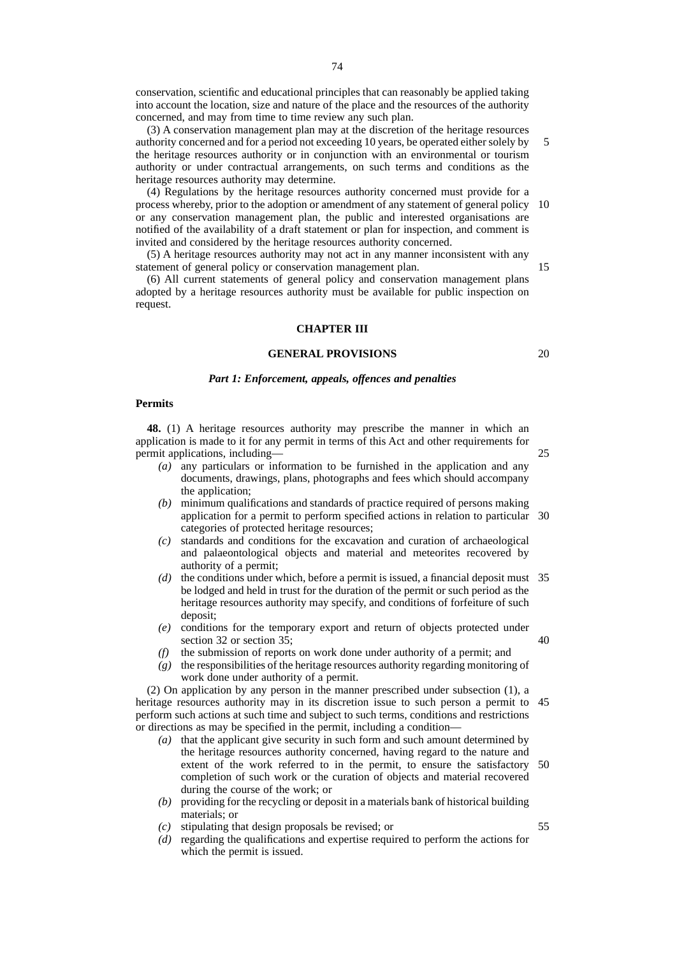conservation, scientific and educational principles that can reasonably be applied taking into account the location, size and nature of the place and the resources of the authority concerned, and may from time to time review any such plan.

(3) A conservation management plan may at the discretion of the heritage resources authority concerned and for a period not exceeding 10 years, be operated either solely by the heritage resources authority or in conjunction with an environmental or tourism authority or under contractual arrangements, on such terms and conditions as the heritage resources authority may determine. 5

(4) Regulations by the heritage resources authority concerned must provide for a process whereby, prior to the adoption or amendment of any statement of general policy or any conservation management plan, the public and interested organisations are notified of the availability of a draft statement or plan for inspection, and comment is invited and considered by the heritage resources authority concerned. 10

(5) A heritage resources authority may not act in any manner inconsistent with any statement of general policy or conservation management plan.

(6) All current statements of general policy and conservation management plans adopted by a heritage resources authority must be available for public inspection on request.

# **CHAPTER III**

# **GENERAL PROVISIONS**

*Part 1: Enforcement, appeals, offences and penalties*

#### **Permits**

**48.** (1) A heritage resources authority may prescribe the manner in which an application is made to it for any permit in terms of this Act and other requirements for permit applications, including—

- *(a)* any particulars or information to be furnished in the application and any documents, drawings, plans, photographs and fees which should accompany the application;
- *(b)* minimum qualifications and standards of practice required of persons making application for a permit to perform specified actions in relation to particular 30 categories of protected heritage resources;
- *(c)* standards and conditions for the excavation and curation of archaeological and palaeontological objects and material and meteorites recovered by authority of a permit;
- *(d)* the conditions under which, before a permit is issued, a financial deposit must 35 be lodged and held in trust for the duration of the permit or such period as the heritage resources authority may specify, and conditions of forfeiture of such deposit;
- *(e)* conditions for the temporary export and return of objects protected under section 32 or section 35;
- *(f)* the submission of reports on work done under authority of a permit; and
- *(g)* the responsibilities of the heritage resources authority regarding monitoring of work done under authority of a permit.

(2) On application by any person in the manner prescribed under subsection (1), a heritage resources authority may in its discretion issue to such person a permit to 45 perform such actions at such time and subject to such terms, conditions and restrictions or directions as may be specified in the permit, including a condition—

- *(a)* that the applicant give security in such form and such amount determined by the heritage resources authority concerned, having regard to the nature and extent of the work referred to in the permit, to ensure the satisfactory completion of such work or the curation of objects and material recovered during the course of the work; or 50
- *(b)* providing for the recycling or deposit in a materials bank of historical building materials; or
- *(c)* stipulating that design proposals be revised; or
- *(d)* regarding the qualifications and expertise required to perform the actions for which the permit is issued.

20

15

25

55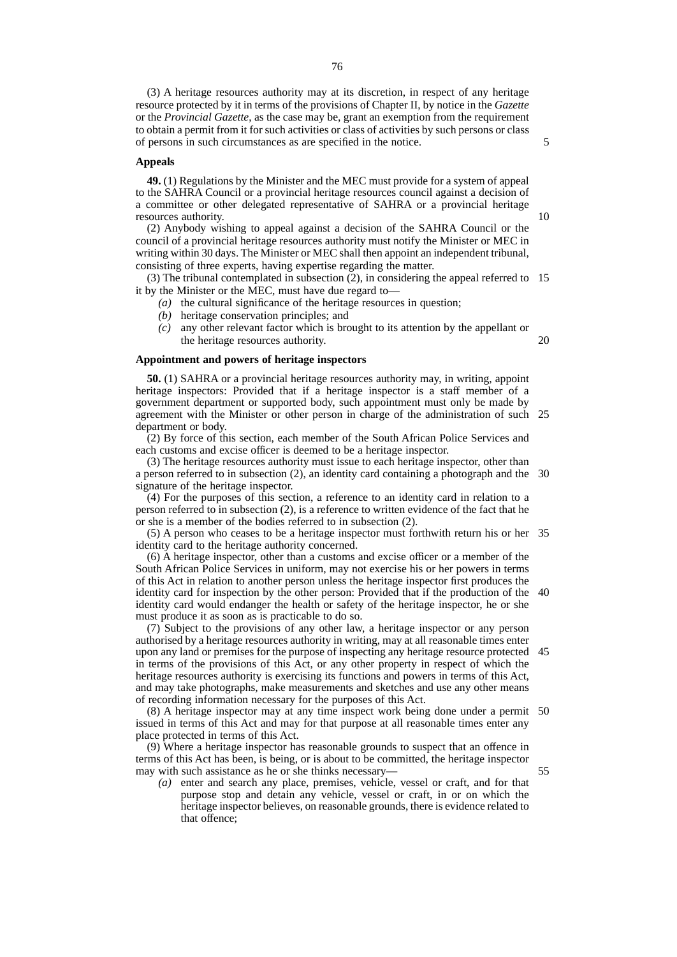(3) A heritage resources authority may at its discretion, in respect of any heritage resource protected by it in terms of the provisions of Chapter II, by notice in the *Gazette* or the *Provincial Gazette*, as the case may be, grant an exemption from the requirement to obtain a permit from it for such activities or class of activities by such persons or class of persons in such circumstances as are specified in the notice.

# **Appeals**

**49.** (1) Regulations by the Minister and the MEC must provide for a system of appeal to the SAHRA Council or a provincial heritage resources council against a decision of a committee or other delegated representative of SAHRA or a provincial heritage resources authority.

(2) Anybody wishing to appeal against a decision of the SAHRA Council or the council of a provincial heritage resources authority must notify the Minister or MEC in writing within 30 days. The Minister or MEC shall then appoint an independent tribunal, consisting of three experts, having expertise regarding the matter.

(3) The tribunal contemplated in subsection (2), in considering the appeal referred to 15 it by the Minister or the MEC, must have due regard to—

- *(a)* the cultural significance of the heritage resources in question;
- *(b)* heritage conservation principles; and
- *(c)* any other relevant factor which is brought to its attention by the appellant or the heritage resources authority.

#### **Appointment and powers of heritage inspectors**

**50.** (1) SAHRA or a provincial heritage resources authority may, in writing, appoint heritage inspectors: Provided that if a heritage inspector is a staff member of a government department or supported body, such appointment must only be made by agreement with the Minister or other person in charge of the administration of such 25 department or body.

(2) By force of this section, each member of the South African Police Services and each customs and excise officer is deemed to be a heritage inspector.

(3) The heritage resources authority must issue to each heritage inspector, other than a person referred to in subsection (2), an identity card containing a photograph and the 30 signature of the heritage inspector.

(4) For the purposes of this section, a reference to an identity card in relation to a person referred to in subsection (2), is a reference to written evidence of the fact that he or she is a member of the bodies referred to in subsection (2).

(5) A person who ceases to be a heritage inspector must forthwith return his or her 35 identity card to the heritage authority concerned.

(6) A heritage inspector, other than a customs and excise officer or a member of the South African Police Services in uniform, may not exercise his or her powers in terms of this Act in relation to another person unless the heritage inspector first produces the identity card for inspection by the other person: Provided that if the production of the identity card would endanger the health or safety of the heritage inspector, he or she must produce it as soon as is practicable to do so. 40

(7) Subject to the provisions of any other law, a heritage inspector or any person authorised by a heritage resources authority in writing, may at all reasonable times enter upon any land or premises for the purpose of inspecting any heritage resource protected 45 in terms of the provisions of this Act, or any other property in respect of which the heritage resources authority is exercising its functions and powers in terms of this Act, and may take photographs, make measurements and sketches and use any other means of recording information necessary for the purposes of this Act.

(8) A heritage inspector may at any time inspect work being done under a permit 50 issued in terms of this Act and may for that purpose at all reasonable times enter any place protected in terms of this Act.

(9) Where a heritage inspector has reasonable grounds to suspect that an offence in terms of this Act has been, is being, or is about to be committed, the heritage inspector may with such assistance as he or she thinks necessary—

*(a)* enter and search any place, premises, vehicle, vessel or craft, and for that purpose stop and detain any vehicle, vessel or craft, in or on which the heritage inspector believes, on reasonable grounds, there is evidence related to that offence;

20

55

5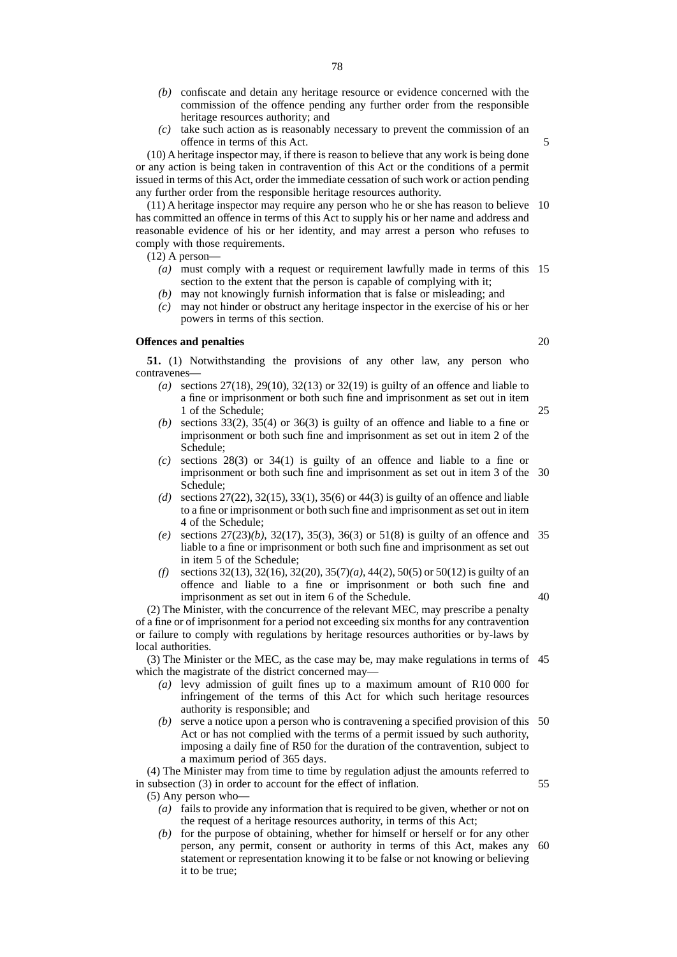- *(b)* confiscate and detain any heritage resource or evidence concerned with the commission of the offence pending any further order from the responsible heritage resources authority; and
- *(c)* take such action as is reasonably necessary to prevent the commission of an offence in terms of this Act.

(10) A heritage inspector may, if there is reason to believe that any work is being done or any action is being taken in contravention of this Act or the conditions of a permit issued in terms of this Act, order the immediate cessation of such work or action pending any further order from the responsible heritage resources authority.

(11) A heritage inspector may require any person who he or she has reason to believe 10 has committed an offence in terms of this Act to supply his or her name and address and reasonable evidence of his or her identity, and may arrest a person who refuses to comply with those requirements.

(12) A person—

- *(a)* must comply with a request or requirement lawfully made in terms of this 15 section to the extent that the person is capable of complying with it;
- *(b)* may not knowingly furnish information that is false or misleading; and
- *(c)* may not hinder or obstruct any heritage inspector in the exercise of his or her powers in terms of this section.

# **Offences and penalties**

**51.** (1) Notwithstanding the provisions of any other law, any person who contravenes—

- *(a)* sections 27(18), 29(10), 32(13) or 32(19) is guilty of an offence and liable to a fine or imprisonment or both such fine and imprisonment as set out in item 1 of the Schedule;
- *(b)* sections 33(2), 35(4) or 36(3) is guilty of an offence and liable to a fine or imprisonment or both such fine and imprisonment as set out in item 2 of the Schedule;
- *(c)* sections 28(3) or 34(1) is guilty of an offence and liable to a fine or imprisonment or both such fine and imprisonment as set out in item 3 of the 30 Schedule;
- *(d)* sections 27(22), 32(15), 33(1), 35(6) or 44(3) is guilty of an offence and liable to a fine or imprisonment or both such fine and imprisonment as set out in item 4 of the Schedule;
- *(e)* sections 27(23)*(b)*, 32(17), 35(3), 36(3) or 51(8) is guilty of an offence and 35 liable to a fine or imprisonment or both such fine and imprisonment as set out in item 5 of the Schedule;
- *(f)* sections 32(13), 32(16), 32(20), 35(7)*(a)*, 44(2), 50(5) or 50(12) is guilty of an offence and liable to a fine or imprisonment or both such fine and imprisonment as set out in item 6 of the Schedule. 40

(2) The Minister, with the concurrence of the relevant MEC, may prescribe a penalty of a fine or of imprisonment for a period not exceeding six months for any contravention or failure to comply with regulations by heritage resources authorities or by-laws by local authorities.

(3) The Minister or the MEC, as the case may be, may make regulations in terms of 45 which the magistrate of the district concerned may—

- *(a)* levy admission of guilt fines up to a maximum amount of R10 000 for infringement of the terms of this Act for which such heritage resources authority is responsible; and
- *(b)* serve a notice upon a person who is contravening a specified provision of this 50 Act or has not complied with the terms of a permit issued by such authority, imposing a daily fine of R50 for the duration of the contravention, subject to a maximum period of 365 days.

(4) The Minister may from time to time by regulation adjust the amounts referred to in subsection (3) in order to account for the effect of inflation.

55

- (5) Any person who—
	- *(a)* fails to provide any information that is required to be given, whether or not on the request of a heritage resources authority, in terms of this Act;
	- *(b)* for the purpose of obtaining, whether for himself or herself or for any other person, any permit, consent or authority in terms of this Act, makes any 60statement or representation knowing it to be false or not knowing or believing it to be true;

20

25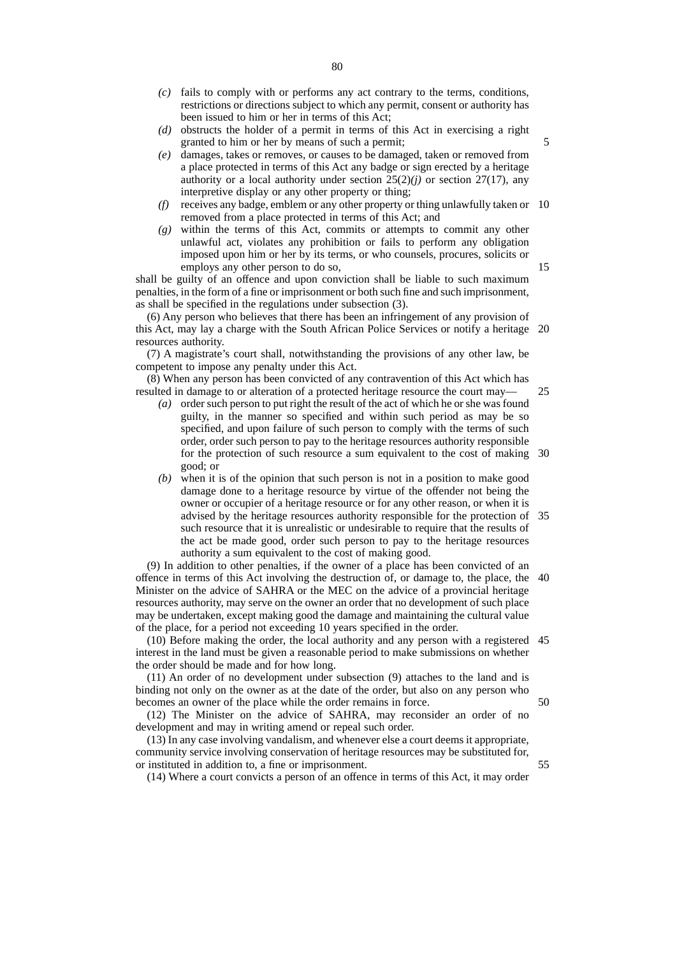- *(c)* fails to comply with or performs any act contrary to the terms, conditions, restrictions or directions subject to which any permit, consent or authority has been issued to him or her in terms of this Act;
- *(d)* obstructs the holder of a permit in terms of this Act in exercising a right granted to him or her by means of such a permit;
- *(e)* damages, takes or removes, or causes to be damaged, taken or removed from a place protected in terms of this Act any badge or sign erected by a heritage authority or a local authority under section  $25(2)(j)$  or section  $27(17)$ , any interpretive display or any other property or thing;
- *(f)* receives any badge, emblem or any other property or thing unlawfully taken or 10 removed from a place protected in terms of this Act; and
- *(g)* within the terms of this Act, commits or attempts to commit any other unlawful act, violates any prohibition or fails to perform any obligation imposed upon him or her by its terms, or who counsels, procures, solicits or employs any other person to do so,

shall be guilty of an offence and upon conviction shall be liable to such maximum penalties, in the form of a fine or imprisonment or both such fine and such imprisonment, as shall be specified in the regulations under subsection (3).

(6) Any person who believes that there has been an infringement of any provision of this Act, may lay a charge with the South African Police Services or notify a heritage 20 resources authority.

(7) A magistrate's court shall, notwithstanding the provisions of any other law, be competent to impose any penalty under this Act.

(8) When any person has been convicted of any contravention of this Act which has resulted in damage to or alteration of a protected heritage resource the court may—

- *(a)* order such person to put right the result of the act of which he or she was found guilty, in the manner so specified and within such period as may be so specified, and upon failure of such person to comply with the terms of such order, order such person to pay to the heritage resources authority responsible for the protection of such resource a sum equivalent to the cost of making 30 good; or
- *(b)* when it is of the opinion that such person is not in a position to make good damage done to a heritage resource by virtue of the offender not being the owner or occupier of a heritage resource or for any other reason, or when it is advised by the heritage resources authority responsible for the protection of 35 such resource that it is unrealistic or undesirable to require that the results of the act be made good, order such person to pay to the heritage resources authority a sum equivalent to the cost of making good.

(9) In addition to other penalties, if the owner of a place has been convicted of an offence in terms of this Act involving the destruction of, or damage to, the place, the 40 Minister on the advice of SAHRA or the MEC on the advice of a provincial heritage resources authority, may serve on the owner an order that no development of such place may be undertaken, except making good the damage and maintaining the cultural value of the place, for a period not exceeding 10 years specified in the order.

(10) Before making the order, the local authority and any person with a registered 45 interest in the land must be given a reasonable period to make submissions on whether the order should be made and for how long.

(11) An order of no development under subsection (9) attaches to the land and is binding not only on the owner as at the date of the order, but also on any person who becomes an owner of the place while the order remains in force.

(12) The Minister on the advice of SAHRA, may reconsider an order of no development and may in writing amend or repeal such order.

(13) In any case involving vandalism, and whenever else a court deems it appropriate, community service involving conservation of heritage resources may be substituted for, or instituted in addition to, a fine or imprisonment.

(14) Where a court convicts a person of an offence in terms of this Act, it may order

5

15

25

55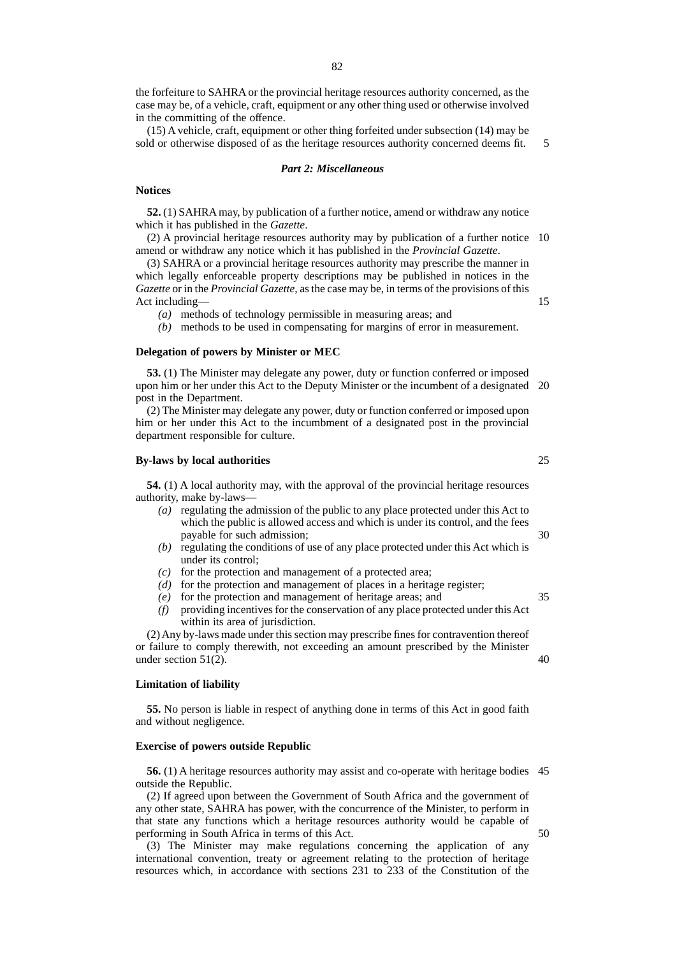the forfeiture to SAHRA or the provincial heritage resources authority concerned, as the case may be, of a vehicle, craft, equipment or any other thing used or otherwise involved in the committing of the offence.

(15) A vehicle, craft, equipment or other thing forfeited under subsection (14) may be sold or otherwise disposed of as the heritage resources authority concerned deems fit. 5

#### *Part 2: Miscellaneous*

# **Notices**

**52.** (1) SAHRA may, by publication of a further notice, amend or withdraw any notice which it has published in the *Gazette*.

(2) A provincial heritage resources authority may by publication of a further notice 10 amend or withdraw any notice which it has published in the *Provincial Gazette*.

(3) SAHRA or a provincial heritage resources authority may prescribe the manner in which legally enforceable property descriptions may be published in notices in the *Gazette* or in the *Provincial Gazette*, as the case may be, in terms of the provisions of this Act including—

*(a)* methods of technology permissible in measuring areas; and

*(b)* methods to be used in compensating for margins of error in measurement.

#### **Delegation of powers by Minister or MEC**

**53.** (1) The Minister may delegate any power, duty or function conferred or imposed upon him or her under this Act to the Deputy Minister or the incumbent of a designated 20 post in the Department.

(2) The Minister may delegate any power, duty or function conferred or imposed upon him or her under this Act to the incumbment of a designated post in the provincial department responsible for culture.

# **By-laws by local authorities**

**54.** (1) A local authority may, with the approval of the provincial heritage resources authority, make by-laws—

- *(a)* regulating the admission of the public to any place protected under this Act to which the public is allowed access and which is under its control, and the fees payable for such admission;
- *(b)* regulating the conditions of use of any place protected under this Act which is under its control;
- *(c)* for the protection and management of a protected area;
- *(d)* for the protection and management of places in a heritage register;
- *(e)* for the protection and management of heritage areas; and
- *(f)* providing incentives for the conservation of any place protected under this Act within its area of jurisdiction.

(2) Any by-laws made under this section may prescribe fines for contravention thereof or failure to comply therewith, not exceeding an amount prescribed by the Minister under section 51(2).

# **Limitation of liability**

**55.** No person is liable in respect of anything done in terms of this Act in good faith and without negligence.

# **Exercise of powers outside Republic**

**56.** (1) A heritage resources authority may assist and co-operate with heritage bodies 45 outside the Republic.

(2) If agreed upon between the Government of South Africa and the government of any other state, SAHRA has power, with the concurrence of the Minister, to perform in that state any functions which a heritage resources authority would be capable of performing in South Africa in terms of this Act.

(3) The Minister may make regulations concerning the application of any international convention, treaty or agreement relating to the protection of heritage resources which, in accordance with sections 231 to 233 of the Constitution of the

25

30

35

40

15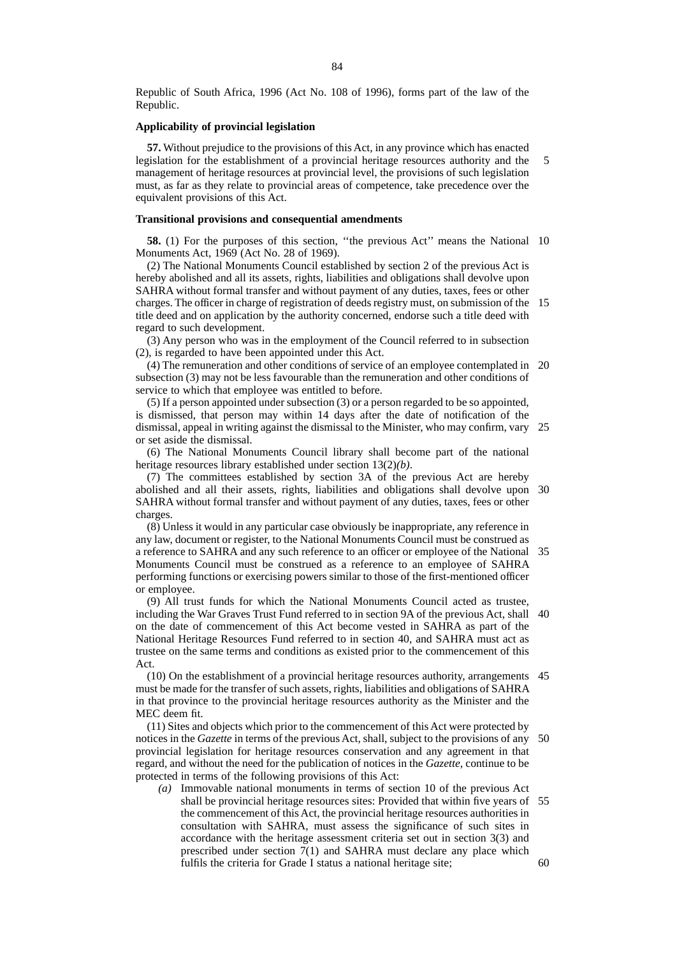# **Applicability of provincial legislation**

**57.** Without prejudice to the provisions of this Act, in any province which has enacted legislation for the establishment of a provincial heritage resources authority and the management of heritage resources at provincial level, the provisions of such legislation must, as far as they relate to provincial areas of competence, take precedence over the equivalent provisions of this Act. 5

# **Transitional provisions and consequential amendments**

**58.** (1) For the purposes of this section, "the previous Act" means the National 10 Monuments Act, 1969 (Act No. 28 of 1969).

(2) The National Monuments Council established by section 2 of the previous Act is hereby abolished and all its assets, rights, liabilities and obligations shall devolve upon SAHRA without formal transfer and without payment of any duties, taxes, fees or other charges. The officer in charge of registration of deeds registry must, on submission of the 15 title deed and on application by the authority concerned, endorse such a title deed with regard to such development.

(3) Any person who was in the employment of the Council referred to in subsection (2), is regarded to have been appointed under this Act.

(4) The remuneration and other conditions of service of an employee contemplated in 20 subsection (3) may not be less favourable than the remuneration and other conditions of service to which that employee was entitled to before.

(5) If a person appointed under subsection (3) or a person regarded to be so appointed, is dismissed, that person may within 14 days after the date of notification of the dismissal, appeal in writing against the dismissal to the Minister, who may confirm, vary 25 or set aside the dismissal.

(6) The National Monuments Council library shall become part of the national heritage resources library established under section 13(2)*(b)*.

(7) The committees established by section 3A of the previous Act are hereby abolished and all their assets, rights, liabilities and obligations shall devolve upon 30 SAHRA without formal transfer and without payment of any duties, taxes, fees or other charges.

(8) Unless it would in any particular case obviously be inappropriate, any reference in any law, document or register, to the National Monuments Council must be construed as a reference to SAHRA and any such reference to an officer or employee of the National 35 Monuments Council must be construed as a reference to an employee of SAHRA performing functions or exercising powers similar to those of the first-mentioned officer or employee.

(9) All trust funds for which the National Monuments Council acted as trustee, including the War Graves Trust Fund referred to in section 9A of the previous Act, shall 40 on the date of commencement of this Act become vested in SAHRA as part of the National Heritage Resources Fund referred to in section 40, and SAHRA must act as trustee on the same terms and conditions as existed prior to the commencement of this Act.

(10) On the establishment of a provincial heritage resources authority, arrangements 45 must be made for the transfer of such assets, rights, liabilities and obligations of SAHRA in that province to the provincial heritage resources authority as the Minister and the MEC deem fit.

(11) Sites and objects which prior to the commencement of this Act were protected by notices in the *Gazette* in terms of the previous Act, shall, subject to the provisions of any provincial legislation for heritage resources conservation and any agreement in that regard, and without the need for the publication of notices in the *Gazette*, continue to be protected in terms of the following provisions of this Act: 50

*(a)* Immovable national monuments in terms of section 10 of the previous Act shall be provincial heritage resources sites: Provided that within five years of 55 the commencement of this Act, the provincial heritage resources authorities in consultation with SAHRA, must assess the significance of such sites in accordance with the heritage assessment criteria set out in section 3(3) and prescribed under section 7(1) and SAHRA must declare any place which fulfils the criteria for Grade I status a national heritage site;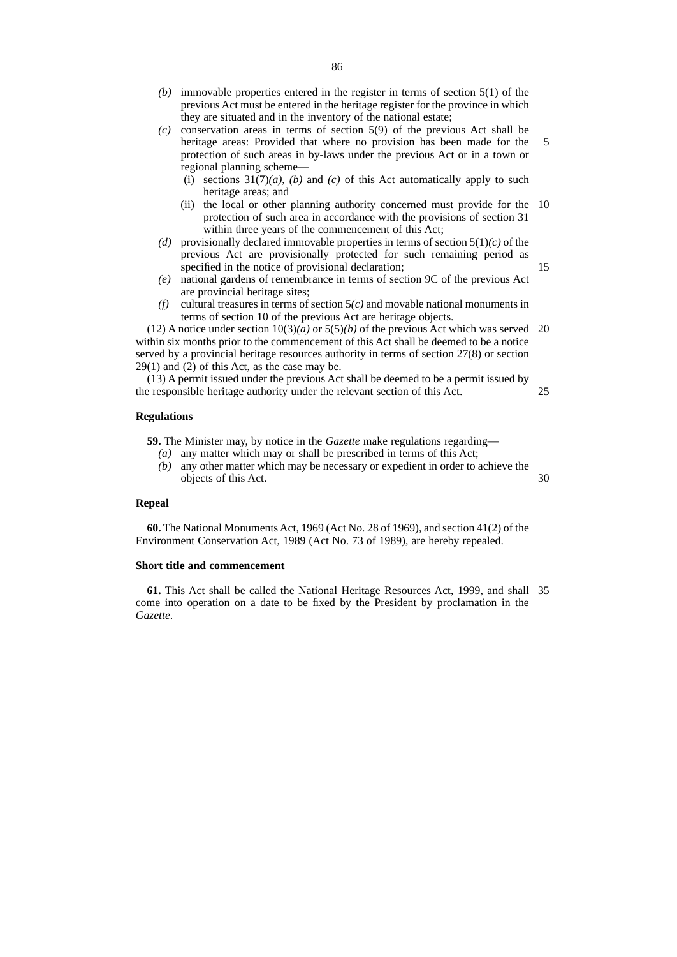- *(b)* immovable properties entered in the register in terms of section 5(1) of the previous Act must be entered in the heritage register for the province in which they are situated and in the inventory of the national estate;
- *(c)* conservation areas in terms of section 5(9) of the previous Act shall be heritage areas: Provided that where no provision has been made for the protection of such areas in by-laws under the previous Act or in a town or regional planning scheme— 5
	- (i) sections  $31(7)(a)$ , *(b)* and *(c)* of this Act automatically apply to such heritage areas; and
	- (ii) the local or other planning authority concerned must provide for the 10 protection of such area in accordance with the provisions of section 31 within three years of the commencement of this Act;
- *(d)* provisionally declared immovable properties in terms of section  $5(1)(c)$  of the previous Act are provisionally protected for such remaining period as specified in the notice of provisional declaration;
- *(e)* national gardens of remembrance in terms of section 9C of the previous Act are provincial heritage sites;
- *(f)* cultural treasures in terms of section 5*(c)* and movable national monuments in terms of section 10 of the previous Act are heritage objects.

 $(12)$  A notice under section  $10(3)(a)$  or  $5(5)(b)$  of the previous Act which was served 20 within six months prior to the commencement of this Act shall be deemed to be a notice served by a provincial heritage resources authority in terms of section 27(8) or section  $29(1)$  and (2) of this Act, as the case may be.

(13) A permit issued under the previous Act shall be deemed to be a permit issued by the responsible heritage authority under the relevant section of this Act. 25

#### **Regulations**

**59.** The Minister may, by notice in the *Gazette* make regulations regarding—

- *(a)* any matter which may or shall be prescribed in terms of this Act;
- *(b)* any other matter which may be necessary or expedient in order to achieve the objects of this Act. 30

# **Repeal**

**60.** The National Monuments Act, 1969 (Act No. 28 of 1969), and section 41(2) of the Environment Conservation Act, 1989 (Act No. 73 of 1989), are hereby repealed.

# **Short title and commencement**

**61.** This Act shall be called the National Heritage Resources Act, 1999, and shall 35come into operation on a date to be fixed by the President by proclamation in the *Gazette*.